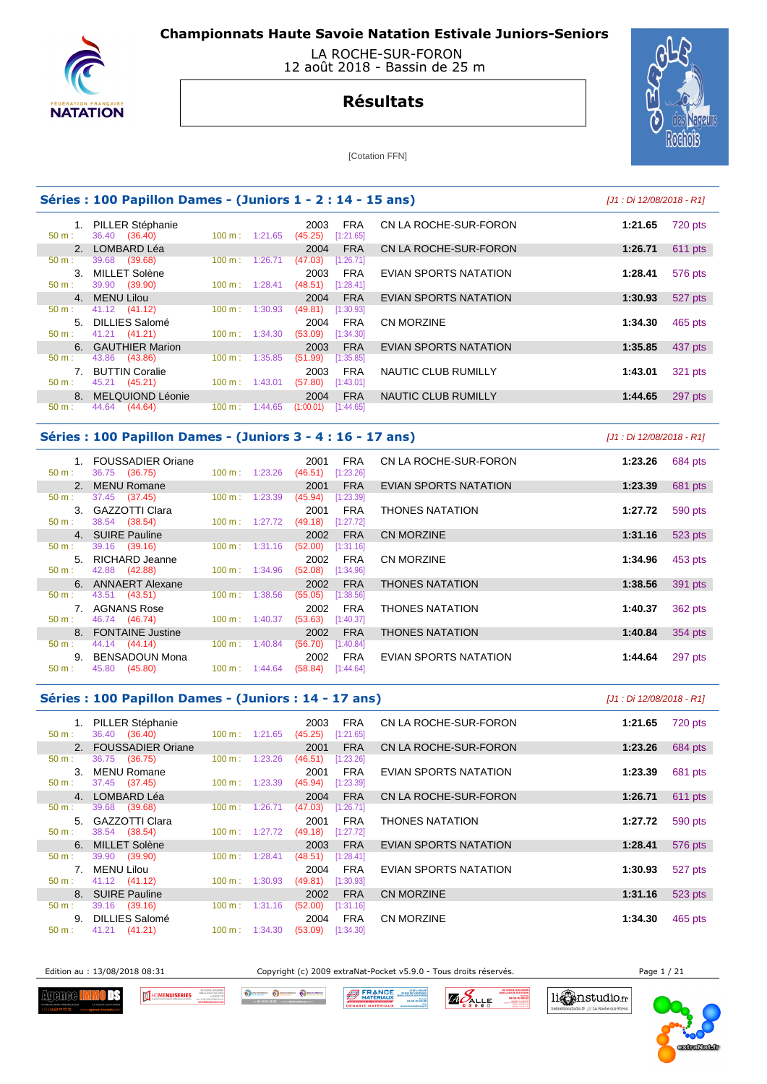



## **Résultats**



[Cotation FFN]

|          | Séries : 100 Papillon Dames - (Juniors 1 - 2 : 14 - 15 ans) | [J1 : Di 12/08/2018 - R1]    |                                            |                            |                    |
|----------|-------------------------------------------------------------|------------------------------|--------------------------------------------|----------------------------|--------------------|
| $50 m$ : | 1. PILLER Stéphanie<br>36.40 (36.40)                        | $100 \text{ m}: 1:21.65$     | <b>FRA</b><br>2003<br>[1:21.65]<br>(45.25) | CN LA ROCHE-SUR-FORON      | 1:21.65<br>720 pts |
|          | 2. LOMBARD Léa                                              |                              | <b>FRA</b><br>2004                         | CN LA ROCHE-SUR-FORON      | 1:26.71<br>611 pts |
| $50 m$ : | 39.68<br>(39.68)                                            | 100 m:<br>1:26.71            | (47.03)<br>[1:26.71]                       |                            |                    |
| $3_{-}$  | MILLET Solène                                               |                              | <b>FRA</b><br>2003                         | EVIAN SPORTS NATATION      | 1:28.41<br>576 pts |
| $50 m$ : | 39.90 (39.90)                                               | 1:28.41<br>$100 \text{ m}$ : | (48.51)<br>[1:28.41]                       |                            |                    |
|          | 4. MENU Lilou                                               |                              | <b>FRA</b><br>2004                         | EVIAN SPORTS NATATION      | 527 pts<br>1:30.93 |
| 50 m:    | 41.12 (41.12)                                               | 100 m:<br>1:30.93            | (49.81)<br>[1:30.93]                       |                            |                    |
|          | 5. DILLIES Salomé                                           |                              | <b>FRA</b><br>2004                         | <b>CN MORZINE</b>          | 1:34.30<br>465 pts |
| $50 m$ : | 41.21 (41.21)                                               | $100 \text{ m}: 1:34.30$     | (53.09)<br>[1:34.30]                       |                            |                    |
|          | 6. GAUTHIER Marion                                          |                              | <b>FRA</b><br>2003                         | EVIAN SPORTS NATATION      | 1:35.85<br>437 pts |
| $50 m$ : | 43.86 (43.86)                                               | 1:35.85<br>100 m:            | (51.99)<br>[1:35.85]                       |                            |                    |
|          | <b>BUTTIN Coralie</b>                                       |                              | <b>FRA</b><br>2003                         | NAUTIC CLUB RUMILLY        | 1:43.01<br>321 pts |
| 50 m:    | 45.21 (45.21)                                               | $100 \text{ m}: 1:43.01$     | (57.80)<br>[1:43.01]                       |                            |                    |
|          | 8. MELQUIOND Léonie                                         |                              | <b>FRA</b><br>2004                         | <b>NAUTIC CLUB RUMILLY</b> | 1:44.65<br>297 pts |
| $50 m$ : | 44.64<br>(44.64)                                            | 100 m:<br>1:44.65            | (1:00.01)<br>[1:44.65]                     |                            |                    |
|          |                                                             |                              |                                            |                            |                    |

### **Séries : 100 Papillon Dames - (Juniors 3 - 4 : 16 - 17 ans)** [J1 : Di 12/08/2018 - R1]

| $50 m$ : | <b>FOUSSADIER Oriane</b><br>36.75 (36.75) | $100 \text{ m}: 1:23.26$     | FRA<br>2001<br>(46.51)<br>[1:23.26] | CN LA ROCHE-SUR-FORON  | 1:23.26 | 684 pts |
|----------|-------------------------------------------|------------------------------|-------------------------------------|------------------------|---------|---------|
|          | 2. MENU Romane                            |                              | <b>FRA</b><br>2001                  | EVIAN SPORTS NATATION  | 1:23.39 | 681 pts |
| $50 m$ : | 37.45 (37.45)                             | 1:23.39<br>$100 \text{ m}$ : | (45.94)<br>[1:23.39]                |                        |         |         |
|          | 3. GAZZOTTI Clara                         |                              | <b>FRA</b><br>2001                  | <b>THONES NATATION</b> | 1:27.72 | 590 pts |
| $50 m$ : | 38.54 (38.54)                             | $100 \text{ m}: 1:27.72$     | (49.18)<br>[1:27.72]                |                        |         |         |
|          | 4. SUIRE Pauline                          |                              | <b>FRA</b><br>2002                  | <b>CN MORZINE</b>      | 1:31.16 | 523 pts |
| $50 m$ : | 39.16 (39.16)                             | $100 \text{ m}: 1:31.16$     | (52.00)<br>[1:31.16]                |                        |         |         |
|          | 5. RICHARD Jeanne                         |                              | <b>FRA</b><br>2002                  | CN MORZINE             | 1:34.96 | 453 pts |
| $50 m$ : | 42.88 (42.88)                             | $100 \text{ m}: 1:34.96$     | (52.08)<br>[1:34.96]                |                        |         |         |
|          | 6. ANNAERT Alexane                        |                              | <b>FRA</b><br>2002                  | <b>THONES NATATION</b> | 1:38.56 | 391 pts |
| $50 m$ : | 43.51 (43.51)                             | 1:38.56<br>$100 \text{ m}$ : | (55.05)<br>[1:38.56]                |                        |         |         |
|          | 7. AGNANS Rose                            |                              | <b>FRA</b><br>2002                  | <b>THONES NATATION</b> | 1:40.37 | 362 pts |
| $50 m$ : | 46.74 (46.74)                             | $100 \text{ m}: 1:40.37$     | (53.63)<br>[1:40.37]                |                        |         |         |
|          | 8. FONTAINE Justine                       |                              | <b>FRA</b><br>2002                  | <b>THONES NATATION</b> | 1:40.84 | 354 pts |
| $50 m$ : | 44.14 (44.14)                             | 1:40.84<br>$100 \text{ m}$ : | (56.70)<br>[1:40.84]                |                        |         |         |
| 9.       | <b>BENSADOUN Mona</b>                     |                              | <b>FRA</b><br>2002                  | EVIAN SPORTS NATATION  | 1:44.64 | 297 pts |
| $50 m$ : | (45.80)<br>45.80                          | $100 \text{ m}: 1:44.64$     | (58.84)<br>[1:44.64]                |                        |         |         |
|          |                                           |                              |                                     |                        |         |         |

| Séries : 100 Papillon Dames - (Juniors : 14 - 17 ans) |  | [J1 : Di 12/08/2018 - R1] |
|-------------------------------------------------------|--|---------------------------|
|-------------------------------------------------------|--|---------------------------|

| $50 \text{ m}$ : | 1. PILLER Stéphanie<br>36.40 (36.40) | 100 m: 1:21.65               | <b>FRA</b><br>2003<br>(45.25)<br>[1:21.65] | CN LA ROCHE-SUR-FORON  | 1:21.65 | 720 pts |
|------------------|--------------------------------------|------------------------------|--------------------------------------------|------------------------|---------|---------|
|                  | 2. FOUSSADIER Oriane                 |                              | <b>FRA</b><br>2001                         | CN LA ROCHE-SUR-FORON  | 1:23.26 | 684 pts |
| $50 \text{ m}$ : | 36.75 (36.75)                        | 1:23.26<br>$100 \text{ m}$ : | (46.51)<br>[1:23.26]                       |                        |         |         |
| $\mathbf{3}$     | <b>MENU Romane</b>                   |                              | <b>FRA</b><br>2001                         | EVIAN SPORTS NATATION  | 1:23.39 | 681 pts |
| $50 m$ :         | 37.45 (37.45)                        | $100 \text{ m}: 1:23.39$     | (45.94)<br>[1:23.39]                       |                        |         |         |
|                  | 4. LOMBARD Léa                       |                              | <b>FRA</b><br>2004                         | CN LA ROCHE-SUR-FORON  | 1:26.71 | 611 pts |
| $50 \text{ m}$ : | 39.68 (39.68)                        | 1:26.71<br>$100 \text{ m}$ : | (47.03)<br>[1:26.71]                       |                        |         |         |
|                  | 5. GAZZOTTI Clara                    |                              | <b>FRA</b><br>2001                         | <b>THONES NATATION</b> | 1:27.72 | 590 pts |
| $50 \text{ m}$ : | 38.54 (38.54)                        | 100 m: 1:27.72               | (49.18)<br>[1:27.72]                       |                        |         |         |
|                  | 6. MILLET Solène                     |                              | <b>FRA</b><br>2003                         | EVIAN SPORTS NATATION  | 1:28.41 | 576 pts |
| 50 m:            | 39.90 (39.90)                        | 1:28.41<br>$100 \text{ m}$ : | (48.51)<br>[1:28.41]                       |                        |         |         |
| 7 <sup>1</sup>   | MENU Lilou                           |                              | <b>FRA</b><br>2004                         | EVIAN SPORTS NATATION  | 1:30.93 | 527 pts |
| $50 \text{ m}$ : | 41.12 (41.12)                        | $100 \text{ m}: 1:30.93$     | (49.81)<br>[1:30.93]                       |                        |         |         |
|                  | 8. SUIRE Pauline                     |                              | <b>FRA</b><br>2002                         | <b>CN MORZINE</b>      | 1:31.16 | 523 pts |
| $50 \text{ m}$ : | 39.16 (39.16)                        | $100 \text{ m}: 1:31.16$     | (52.00)<br>[1:31.16]                       |                        |         |         |
|                  | 9. DILLIES Salomé                    |                              | FRA<br>2004                                | <b>CN MORZINE</b>      | 1:34.30 | 465 pts |
| $50 \text{ m}$ : | 41.21<br>(41.21)                     | $100 \text{ m}: 1:34.30$     | (53.09)<br>[1:34.30]                       |                        |         |         |
|                  |                                      |                              |                                            |                        |         |         |

Edition au : 13/08/2018 08:31 Copyright (c) 2009 extraNat-Pocket v5.9.0 - Tous droits réservés. Page 1 / 21

Agenee <mark>H</mark> mns HOMENUISERIES

O DECHARGER ( O DECHARGER ( O DECHARGER

FRANCE **EXAMPLE AND ARTICULAR STATE ZAPLE** 



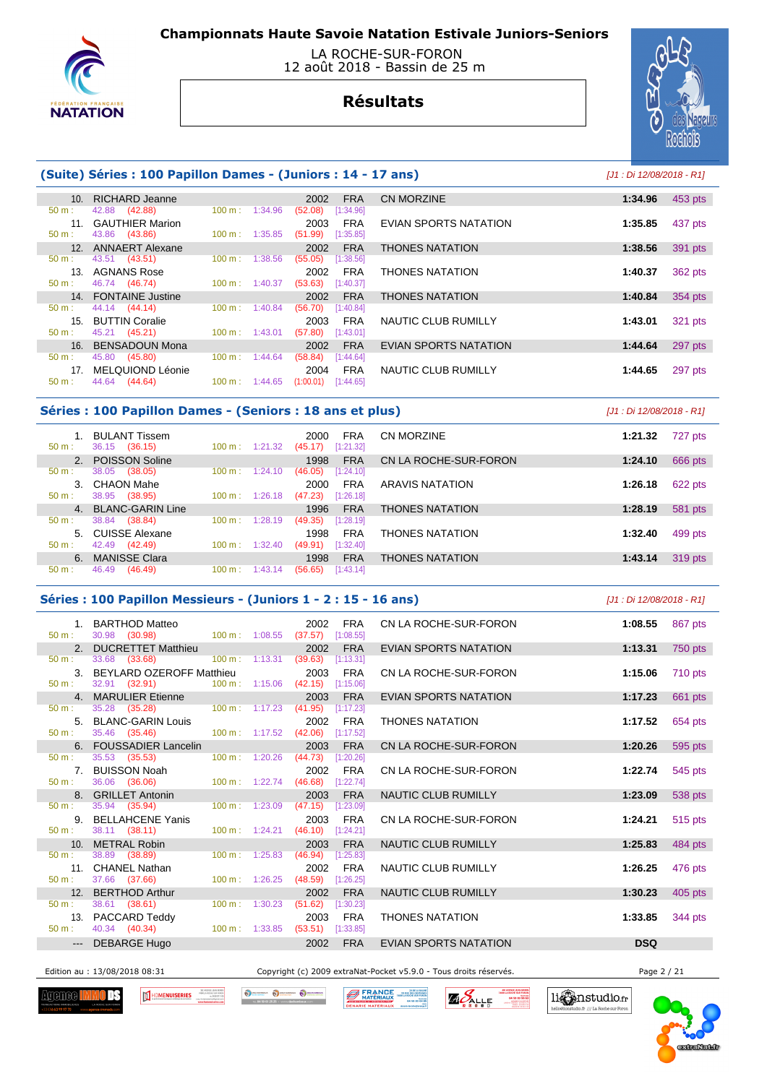

### LA ROCHE-SUR-FORON 12 août 2018 - Bassin de 25 m



# **Résultats**

## **(Suite) Séries : 100 Papillon Dames - (Juniors : 14 - 17 ans)** [J1 : Di 12/08/2018 - R1]

|                 | 10. RICHARD Jeanne     |                              | 2002<br><b>FRA</b>     | <b>CN MORZINE</b>      | 1:34.96 | 453 pts |
|-----------------|------------------------|------------------------------|------------------------|------------------------|---------|---------|
| 50 m:           | 42.88 (42.88)          | 1:34.96<br>$100 \text{ m}$ : | (52.08)<br>[1:34.96]   |                        |         |         |
| 11 <sup>1</sup> | <b>GAUTHIER Marion</b> |                              | 2003<br><b>FRA</b>     | EVIAN SPORTS NATATION  | 1:35.85 | 437 pts |
| $50 m$ :        | 43.86 (43.86)          | $100 \text{ m}$ : 1:35.85    | (51.99)<br>[1:35.85]   |                        |         |         |
|                 | 12. ANNAERT Alexane    |                              | 2002<br><b>FRA</b>     | <b>THONES NATATION</b> | 1:38.56 | 391 pts |
| 50 m:           | 43.51 (43.51)          | $100 \text{ m}$ :<br>1:38.56 | (55.05)<br>[1:38.56]   |                        |         |         |
| 13 <sub>1</sub> | AGNANS Rose            |                              | <b>FRA</b><br>2002     | <b>THONES NATATION</b> | 1:40.37 | 362 pts |
| $50 m$ :        | 46.74 (46.74)          | $100 \text{ m}$ : 1:40.37    | (53.63)<br>[1:40.37]   |                        |         |         |
|                 | 14. FONTAINE Justine   |                              | <b>FRA</b><br>2002     | <b>THONES NATATION</b> | 1:40.84 | 354 pts |
| 50 m:           | 44.14 (44.14)          | $100 m$ :<br>1:40.84         | (56.70)<br>[1:40.84]   |                        |         |         |
|                 | 15. BUTTIN Coralie     |                              | <b>FRA</b><br>2003     | NAUTIC CLUB RUMILLY    | 1:43.01 | 321 pts |
| $50 m$ :        | 45.21 (45.21)          | $100 \text{ m}: 1:43.01$     | (57.80)<br>[1:43.01]   |                        |         |         |
|                 | 16. BENSADOUN Mona     |                              | <b>FRA</b><br>2002     | EVIAN SPORTS NATATION  | 1:44.64 | 297 pts |
| 50 m:           | 45.80 (45.80)          | $100 \text{ m}$ :<br>1:44.64 | (58.84)<br>[1:44.64]   |                        |         |         |
| 17.             | MELQUIOND Léonie       |                              | <b>FRA</b><br>2004     | NAUTIC CLUB RUMILLY    | 1:44.65 | 297 pts |
| $50 m$ :        | 44.64 (44.64)          | $100 \text{ m}$ : 1:44.65    | (1:00.01)<br>[1:44.65] |                        |         |         |
|                 |                        |                              |                        |                        |         |         |

#### **Séries : 100 Papillon Dames - (Seniors : 18 ans et plus)** [J1 : Di 12/08/2018 - R1]

| $50 m$ :         | BULANT Tissem<br>(36.15)<br>36.15 | 1:21.32<br>100 m: | <b>FRA</b><br>2000<br>[1:21.32]<br>(45.17) | CN MORZINE             | 1:21.32 | 727 pts |
|------------------|-----------------------------------|-------------------|--------------------------------------------|------------------------|---------|---------|
|                  | 2. POISSON Soline                 |                   | <b>FRA</b><br>1998                         | CN LA ROCHE-SUR-FORON  | 1:24.10 | 666 pts |
| $50 \text{ m}$ : | 38.05<br>(38.05)                  | 100 m:<br>1:24.10 | (46.05)<br>[1:24.10]                       |                        |         |         |
| 3.               | CHAON Mahe                        |                   | <b>FRA</b><br>2000                         | ARAVIS NATATION        | 1:26.18 | 622 pts |
| $50 m$ :         | (38.95)<br>38.95                  | 100 m:<br>1:26.18 | (47.23)<br>[1:26.18]                       |                        |         |         |
| $\mathbf{4}$     | <b>BLANC-GARIN Line</b>           |                   | <b>FRA</b><br>1996                         | <b>THONES NATATION</b> | 1:28.19 | 581 pts |
| 50 m:            | 38.84<br>(38.84)                  | 100 m:<br>1:28.19 | (49.35)<br>[1:28.19]                       |                        |         |         |
| 5.               | CUISSE Alexane                    |                   | <b>FRA</b><br>1998                         | THONES NATATION        | 1:32.40 | 499 pts |
| $50 m$ :         | 42.49<br>(42.49)                  | 100 m:<br>1:32.40 | (49.91)<br>[1:32.40]                       |                        |         |         |
| 6.               | <b>MANISSE Clara</b>              |                   | <b>FRA</b><br>1998                         | <b>THONES NATATION</b> | 1:43.14 | 319 pts |
| 50 m:            | 46.49<br>(46.49)                  | 100 m:<br>1:43.14 | (56.65)<br>[1:43.14]                       |                        |         |         |

#### **Séries : 100 Papillon Messieurs - (Juniors 1 - 2 : 15 - 16 ans)** [J1 : Di 12/08/2018 - R1]

| $50 m$ :         | 1. BARTHOD Matteo<br>30.98 (30.98) | $100 \text{ m}$ : $1:08.55$ (37.57) | 2002<br><b>FRA</b><br>[1:08.55] | CN LA ROCHE-SUR-FORON  | 1:08.55<br>867 pts |  |
|------------------|------------------------------------|-------------------------------------|---------------------------------|------------------------|--------------------|--|
|                  | 2. DUCRETTET Matthieu              |                                     | 2002<br><b>FRA</b>              | EVIAN SPORTS NATATION  | 1:13.31<br>750 pts |  |
| $50 m$ :         | 33.68 (33.68)                      | $100 \text{ m}: 1:13.31$ (39.63)    | [1:13.31]                       |                        |                    |  |
|                  | 3. BEYLARD OZEROFF Matthieu        |                                     | 2003<br><b>FRA</b>              | CN LA ROCHE-SUR-FORON  | 1:15.06<br>710 pts |  |
| $50 m$ :         | 32.91 (32.91) 100 m : 1:15.06      |                                     | (42.15)<br>[1:15.06]            |                        |                    |  |
|                  | 4. MARULIER Etienne                |                                     | 2003<br><b>FRA</b>              | EVIAN SPORTS NATATION  | 1:17.23<br>661 pts |  |
| 50 m:            | 35.28 (35.28)                      | $100 \text{ m}$ : 1:17.23           | (41.95)<br>[1:17.23]            |                        |                    |  |
|                  | 5. BLANC-GARIN Louis               |                                     | 2002<br><b>FRA</b>              | <b>THONES NATATION</b> | 1:17.52<br>654 pts |  |
| $50 \text{ m}$ : | 35.46 (35.46)                      | $100 \text{ m}: 1:17.52$ (42.06)    | [1:17.52]                       |                        |                    |  |
|                  | 6. FOUSSADIER Lancelin             |                                     | 2003<br><b>FRA</b>              | CN LA ROCHE-SUR-FORON  | 595 pts<br>1:20.26 |  |
| $50 \text{ m}$ : | 35.53 ( <b>35.53</b> )             | $100 m$ : 1:20.26                   | (44.73)<br>[1:20.26]            |                        |                    |  |
|                  | 7. BUISSON Noah                    |                                     | 2002<br><b>FRA</b>              | CN LA ROCHE-SUR-FORON  | 1:22.74<br>545 pts |  |
| $50 m$ :         | 36.06 (36.06)                      | $100 \text{ m}: 1:22.74$ (46.68)    | [1:22.74]                       |                        |                    |  |
|                  | 8. GRILLET Antonin                 |                                     | <b>FRA</b><br>2003              | NAUTIC CLUB RUMILLY    | 1:23.09<br>538 pts |  |
| $50 m$ :         | 35.94 (35.94)                      | $100 \text{ m}$ : 1:23.09           | (47.15)<br>[1:23.09]            |                        |                    |  |
|                  | 9. BELLAHCENE Yanis                |                                     | 2003<br><b>FRA</b>              | CN LA ROCHE-SUR-FORON  | 1:24.21<br>515 pts |  |
| $50 m$ :         | 38.11 (38.11)                      | $100 \text{ m}: 1:24.21$ (46.10)    | [1:24.21]                       |                        |                    |  |
|                  | 10. METRAL Robin                   |                                     | <b>FRA</b><br>2003              | NAUTIC CLUB RUMILLY    | 484 pts<br>1:25.83 |  |
| 50 m:            | 38.89 (38.89)                      | $100 \text{ m}: 1:25.83$            | (46.94)<br>[1:25.83]            |                        |                    |  |
|                  | 11. CHANEL Nathan                  |                                     | <b>FRA</b><br>2002              | NAUTIC CLUB RUMILLY    | 1:26.25<br>476 pts |  |
| 50 m:            | 37.66 (37.66)                      | 100 m: 1:26.25                      | (48.59)<br>[1:26.25]            |                        |                    |  |
|                  | 12. BERTHOD Arthur                 |                                     | 2002<br><b>FRA</b>              | NAUTIC CLUB RUMILLY    | 1:30.23<br>405 pts |  |
| $50 \text{ m}$ : | 38.61 (38.61)                      | $100 m$ : 1:30.23                   | (51.62)<br>[1:30.23]            |                        |                    |  |
|                  | 13. PACCARD Teddy                  |                                     | 2003<br><b>FRA</b>              | <b>THONES NATATION</b> | 1:33.85<br>344 pts |  |
| $50 \text{ m}$ : | 40.34 (40.34)                      | $100 \text{ m}: 1:33.85$            | (53.51)<br>[1:33.85]            |                        |                    |  |
|                  | --- DEBARGE Hugo                   |                                     | 2002<br><b>FRA</b>              | EVIAN SPORTS NATATION  | <b>DSQ</b>         |  |

Edition au : 13/08/2018 08:31 Copyright (c) 2009 extraNat-Pocket v5.9.0 - Tous droits réservés. Page 2 / 21

**Agenee I** ПÆ



**BERANGE** 

ZA DE LA BA **ZAPALLE** 



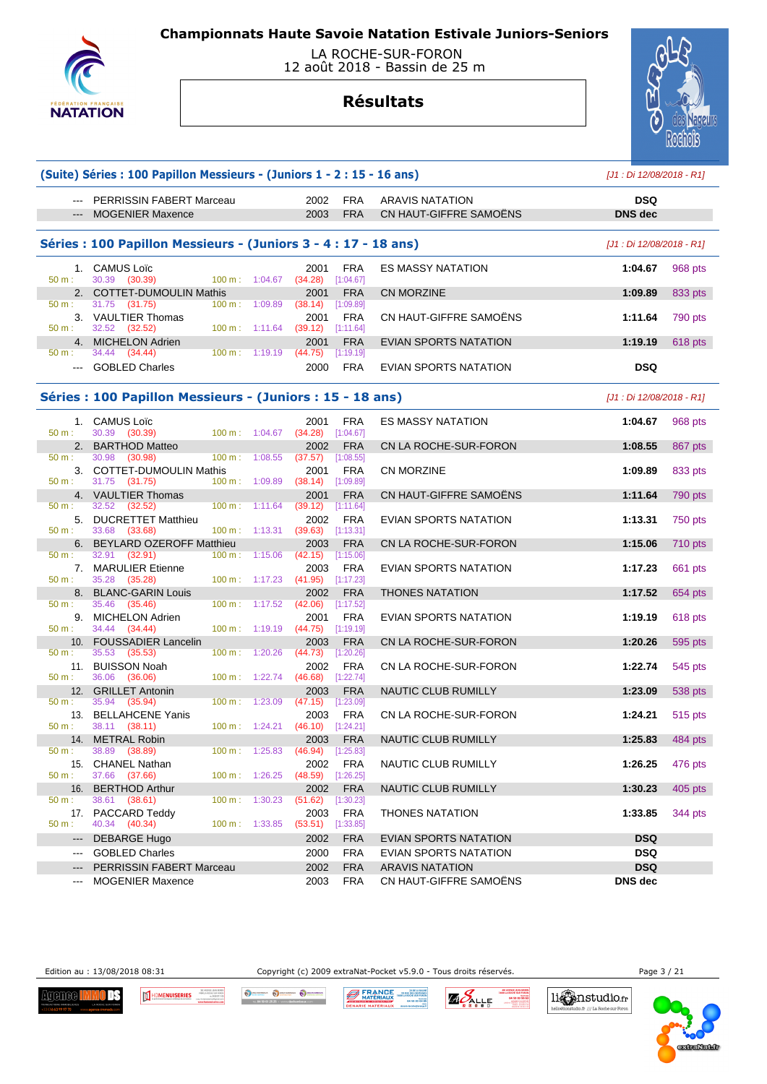

 LA ROCHE-SUR-FORON 12 août 2018 - Bassin de 25 m

## **Résultats**

**(Suite) Séries : 100 Papillon Messieurs - (Juniors 1 - 2 : 15 - 16 ans)** [J1 : Di 12/08/2018 - R1]



|                                                                                                                                                                                                                                                                                                                                                                                                                                                                            | --- PERRISSIN FABERT Marceau                                   |                             | 2002                             | <b>FRA</b>              | ARAVIS NATATION              | <b>DSQ</b>                |                |
|----------------------------------------------------------------------------------------------------------------------------------------------------------------------------------------------------------------------------------------------------------------------------------------------------------------------------------------------------------------------------------------------------------------------------------------------------------------------------|----------------------------------------------------------------|-----------------------------|----------------------------------|-------------------------|------------------------------|---------------------------|----------------|
| $\frac{1}{2} \left( \frac{1}{2} \right) \left( \frac{1}{2} \right) \left( \frac{1}{2} \right) \left( \frac{1}{2} \right) \left( \frac{1}{2} \right) \left( \frac{1}{2} \right) \left( \frac{1}{2} \right) \left( \frac{1}{2} \right) \left( \frac{1}{2} \right) \left( \frac{1}{2} \right) \left( \frac{1}{2} \right) \left( \frac{1}{2} \right) \left( \frac{1}{2} \right) \left( \frac{1}{2} \right) \left( \frac{1}{2} \right) \left( \frac{1}{2} \right) \left( \frac$ | <b>MOGENIER Maxence</b>                                        |                             | 2003                             | <b>FRA</b>              | CN HAUT-GIFFRE SAMOENS       | <b>DNS</b> dec            |                |
|                                                                                                                                                                                                                                                                                                                                                                                                                                                                            |                                                                |                             |                                  |                         |                              |                           |                |
|                                                                                                                                                                                                                                                                                                                                                                                                                                                                            | Séries: 100 Papillon Messieurs - (Juniors 3 - 4 : 17 - 18 ans) |                             |                                  |                         |                              | [J1 : Di 12/08/2018 - R1] |                |
| 50 m:                                                                                                                                                                                                                                                                                                                                                                                                                                                                      | 1. CAMUS Loïc<br>30.39 (30.39)                                 | 100 m: 1:04.67              | 2001<br>(34.28)                  | <b>FRA</b><br>[1:04.67] | <b>ES MASSY NATATION</b>     | 1:04.67                   | 968 pts        |
|                                                                                                                                                                                                                                                                                                                                                                                                                                                                            | 2. COTTET-DUMOULIN Mathis                                      |                             | 2001                             | <b>FRA</b>              | <b>CN MORZINE</b>            | 1:09.89                   | 833 pts        |
| 50 m:                                                                                                                                                                                                                                                                                                                                                                                                                                                                      | 31.75 (31.75)                                                  | $100 \text{ m}: 1:09.89$    | $(38.14)$ [1:09.89]              |                         |                              |                           |                |
| 50 m:                                                                                                                                                                                                                                                                                                                                                                                                                                                                      | 3. VAULTIER Thomas<br>32.52 (32.52)                            | $100 \text{ m}: 1:11.64$    | 2001<br>$(39.12)$ [1:11.64]      | <b>FRA</b>              | CN HAUT-GIFFRE SAMOËNS       | 1:11.64                   | 790 pts        |
|                                                                                                                                                                                                                                                                                                                                                                                                                                                                            | 4. MICHELON Adrien                                             |                             | 2001                             | <b>FRA</b>              | <b>EVIAN SPORTS NATATION</b> | 1:19.19                   | 618 pts        |
| 50 m:                                                                                                                                                                                                                                                                                                                                                                                                                                                                      | 34.44 (34.44)                                                  | 100 m: 1:19.19              | (44.75)                          | [1:19.19]               |                              |                           |                |
|                                                                                                                                                                                                                                                                                                                                                                                                                                                                            | --- GOBLED Charles                                             |                             | 2000                             | <b>FRA</b>              | EVIAN SPORTS NATATION        | <b>DSQ</b>                |                |
|                                                                                                                                                                                                                                                                                                                                                                                                                                                                            |                                                                |                             |                                  |                         |                              |                           |                |
|                                                                                                                                                                                                                                                                                                                                                                                                                                                                            | Séries : 100 Papillon Messieurs - (Juniors : 15 - 18 ans)      |                             |                                  |                         |                              | [J1 : Di 12/08/2018 - R1] |                |
|                                                                                                                                                                                                                                                                                                                                                                                                                                                                            | 1. CAMUS Loïc                                                  |                             | 2001                             | <b>FRA</b>              | <b>ES MASSY NATATION</b>     | 1:04.67                   | 968 pts        |
| 50 m:                                                                                                                                                                                                                                                                                                                                                                                                                                                                      | 30.39 (30.39)                                                  | 100 m: 1:04.67              | $(34.28)$ [1:04.67]              |                         |                              |                           |                |
|                                                                                                                                                                                                                                                                                                                                                                                                                                                                            | 2. BARTHOD Matteo                                              |                             | 2002                             | <b>FRA</b>              | CN LA ROCHE-SUR-FORON        | 1:08.55                   | 867 pts        |
| 50 m:                                                                                                                                                                                                                                                                                                                                                                                                                                                                      | 30.98 (30.98)                                                  | $100 \text{ m}: 1:08.55$    | (37.57)                          | [1:08.55]               |                              |                           |                |
|                                                                                                                                                                                                                                                                                                                                                                                                                                                                            | 3. COTTET-DUMOULIN Mathis                                      |                             | 2001                             | <b>FRA</b>              | <b>CN MORZINE</b>            | 1:09.89                   | 833 pts        |
| 50 m:                                                                                                                                                                                                                                                                                                                                                                                                                                                                      | 31.75 (31.75)                                                  | $100 \text{ m}$ : $1:09.89$ | $(38.14)$ [1:09.89]              |                         |                              |                           |                |
| 50 m :                                                                                                                                                                                                                                                                                                                                                                                                                                                                     | 4. VAULTIER Thomas<br>32.52 (32.52)                            | $100 \text{ m}: 1:11.64$    | 2001<br>$(39.12)$ [1:11.64]      | <b>FRA</b>              | CN HAUT-GIFFRE SAMOENS       | 1:11.64                   | 790 pts        |
|                                                                                                                                                                                                                                                                                                                                                                                                                                                                            | 5. DUCRETTET Matthieu                                          |                             | 2002                             | <b>FRA</b>              | EVIAN SPORTS NATATION        | 1:13.31                   | 750 pts        |
| 50 m:                                                                                                                                                                                                                                                                                                                                                                                                                                                                      | 33.68 (33.68)                                                  | 100 m: 1:13.31              | $(39.63)$ [1:13.31]              |                         |                              |                           |                |
|                                                                                                                                                                                                                                                                                                                                                                                                                                                                            | 6. BEYLARD OZEROFF Matthieu                                    |                             | 2003                             | <b>FRA</b>              | CN LA ROCHE-SUR-FORON        | 1:15.06                   | <b>710 pts</b> |
| 50 m:                                                                                                                                                                                                                                                                                                                                                                                                                                                                      | 32.91 (32.91)                                                  | 100 m: 1:15.06              | (42.15)                          | [1:15.06]               |                              |                           |                |
|                                                                                                                                                                                                                                                                                                                                                                                                                                                                            | 7. MARULIER Etienne                                            |                             | 2003                             | FRA                     | EVIAN SPORTS NATATION        | 1:17.23                   | 661 pts        |
| 50 m:                                                                                                                                                                                                                                                                                                                                                                                                                                                                      | 35.28 (35.28)                                                  | 100 m: 1:17.23              | $(41.95)$ [1:17.23]<br>2002      |                         |                              |                           |                |
| 50 m :                                                                                                                                                                                                                                                                                                                                                                                                                                                                     | 8. BLANC-GARIN Louis<br>35.46 (35.46)                          | 100 m: 1:17.52              | (42.06)                          | <b>FRA</b><br>[1:17.52] | <b>THONES NATATION</b>       | 1:17.52                   | 654 pts        |
|                                                                                                                                                                                                                                                                                                                                                                                                                                                                            | 9. MICHELON Adrien                                             |                             | 2001                             | <b>FRA</b>              | EVIAN SPORTS NATATION        | 1:19.19                   | 618 pts        |
| 50 m:                                                                                                                                                                                                                                                                                                                                                                                                                                                                      | 34.44 (34.44)                                                  |                             | 100 m: 1:19.19 (44.75) [1:19.19] |                         |                              |                           |                |
|                                                                                                                                                                                                                                                                                                                                                                                                                                                                            | 10. FOUSSADIER Lancelin                                        |                             | 2003                             | <b>FRA</b>              | CN LA ROCHE-SUR-FORON        | 1:20.26                   | 595 pts        |
| 50 m:                                                                                                                                                                                                                                                                                                                                                                                                                                                                      | 35.53 (35.53)                                                  | 100 m: 1:20.26              | $(44.73)$ [1:20.26]              |                         |                              |                           |                |
| 50 m:                                                                                                                                                                                                                                                                                                                                                                                                                                                                      | 11. BUISSON Noah<br>36.06 (36.06)                              | 100 m: 1:22.74              | 2002<br>$(46.68)$ [1:22.74]      | <b>FRA</b>              | CN LA ROCHE-SUR-FORON        | 1:22.74                   | 545 pts        |
|                                                                                                                                                                                                                                                                                                                                                                                                                                                                            | 12. GRILLET Antonin                                            |                             | 2003                             | <b>FRA</b>              | NAUTIC CLUB RUMILLY          | 1:23.09                   | 538 pts        |
| 50 m:                                                                                                                                                                                                                                                                                                                                                                                                                                                                      | 35.94 (35.94)                                                  | $100 \text{ m}: 1:23.09$    | (47.15)                          | [1:23.09]               |                              |                           |                |
|                                                                                                                                                                                                                                                                                                                                                                                                                                                                            | 13. BELLAHCENE Yanis                                           |                             | 2003                             | <b>FRA</b>              | CN LA ROCHE-SUR-FORON        | 1:24.21                   | 515 pts        |
| 50 m:                                                                                                                                                                                                                                                                                                                                                                                                                                                                      | 38.11 (38.11)                                                  | 100 m: 1:24.21              | $(46.10)$ [1:24.21]              |                         |                              |                           |                |
|                                                                                                                                                                                                                                                                                                                                                                                                                                                                            | 14. METRAL Robin                                               |                             | 2003                             | <b>FRA</b>              | NAUTIC CLUB RUMILLY          | 1:25.83                   | 484 pts        |
| 50 m :                                                                                                                                                                                                                                                                                                                                                                                                                                                                     | 38.89 (38.89)                                                  | 100 m: 1:25.83              | $(46.94)$ [1:25.83]              |                         |                              |                           |                |
| 50 m :                                                                                                                                                                                                                                                                                                                                                                                                                                                                     | 15. CHANEL Nathan<br>37.66 (37.66)                             |                             | 100 m: 1:26.25 (48.59) [1:26.25] | 2002 FRA                | NAUTIC CLUB RUMILLY          | 1:26.25 476 pts           |                |
|                                                                                                                                                                                                                                                                                                                                                                                                                                                                            | 16. BERTHOD Arthur                                             |                             | 2002                             | <b>FRA</b>              | NAUTIC CLUB RUMILLY          | 1:30.23                   | 405 pts        |
| 50 m:                                                                                                                                                                                                                                                                                                                                                                                                                                                                      | 38.61 (38.61)                                                  | $100 m$ : 1:30.23           | $(51.62)$ [1:30.23]              |                         |                              |                           |                |
|                                                                                                                                                                                                                                                                                                                                                                                                                                                                            | 17. PACCARD Teddy                                              |                             | 2003                             | <b>FRA</b>              | <b>THONES NATATION</b>       | 1:33.85                   | 344 pts        |
| $50 m$ :                                                                                                                                                                                                                                                                                                                                                                                                                                                                   | 40.34 (40.34)                                                  | 100 m: 1:33.85              | $(53.51)$ [1:33.85]              |                         |                              |                           |                |
| $\qquad \qquad \cdots$                                                                                                                                                                                                                                                                                                                                                                                                                                                     | <b>DEBARGE Hugo</b>                                            |                             | 2002                             | <b>FRA</b>              | EVIAN SPORTS NATATION        | DSQ                       |                |
| $\qquad \qquad - -$                                                                                                                                                                                                                                                                                                                                                                                                                                                        | <b>GOBLED Charles</b>                                          |                             | 2000                             | <b>FRA</b>              | EVIAN SPORTS NATATION        | <b>DSQ</b>                |                |
|                                                                                                                                                                                                                                                                                                                                                                                                                                                                            | PERRISSIN FABERT Marceau                                       |                             | 2002                             | <b>FRA</b>              | <b>ARAVIS NATATION</b>       | <b>DSQ</b>                |                |
| $\qquad \qquad \cdots$                                                                                                                                                                                                                                                                                                                                                                                                                                                     | <b>MOGENIER Maxence</b>                                        |                             | 2003                             | <b>FRA</b>              | CN HAUT-GIFFRE SAMOËNS       | <b>DNS</b> dec            |                |

Edition au : 13/08/2018 08:31 Copyright (c) 2009 extraNat-Pocket v5.9.0 - Tous droits réservés. Page 3 / 21

Agenee <mark>H</mark> mns



O SCHANDOLK O DECHANGER O DECH **BERANCE** 

**25 DE LA BALA<br>129 RUE DES GENTIARE<br>1880 LA ROCHE SUR FORD<br>04 SO 03 D4 8 ZIO ALLE** 



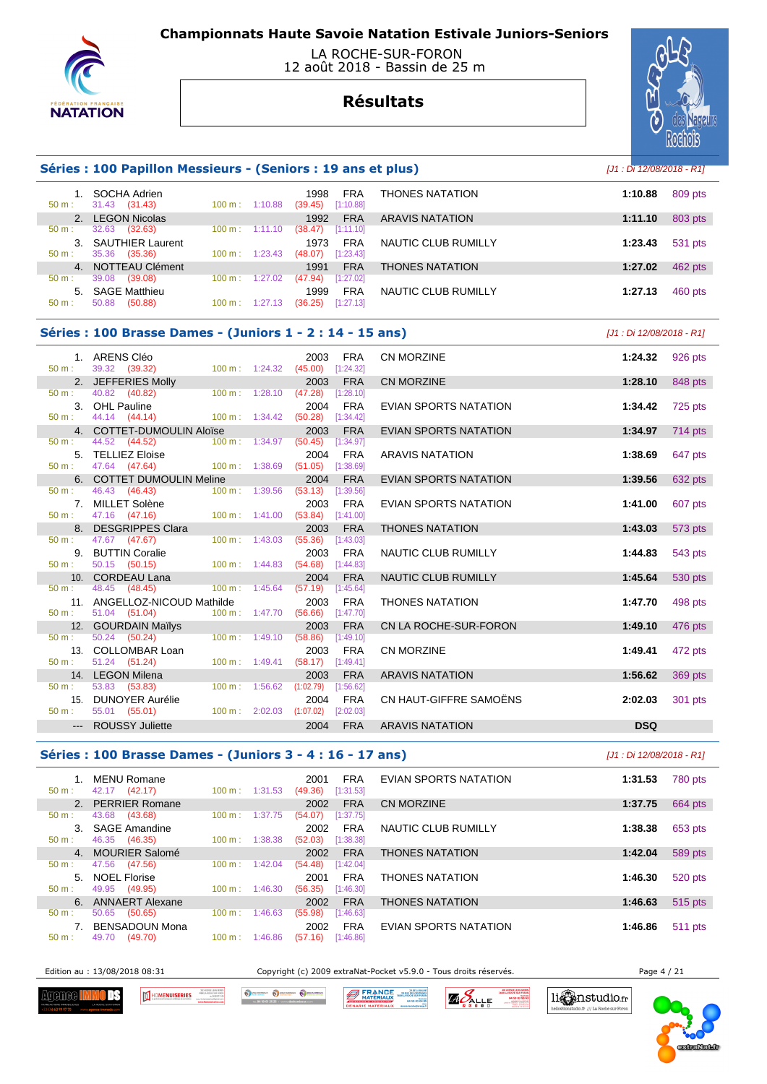

### LA ROCHE-SUR-FORON 12 août 2018 - Bassin de 25 m





### **Séries : 100 Papillon Messieurs - (Seniors : 19 ans et plus)** [J1 : Di 12/08/2018 - R1]

| $50 m$ :    | SOCHA Adrien<br>(31.43)<br>31.43            | 1:10.88<br>$100 \text{ m}$ : | 1998<br><b>FRA</b><br>(39.45)<br>[1:10.88] | <b>THONES NATATION</b> | 1:10.88 | 809 pts |
|-------------|---------------------------------------------|------------------------------|--------------------------------------------|------------------------|---------|---------|
| $2^{\circ}$ | <b>LEGON Nicolas</b>                        |                              | 1992<br><b>FRA</b>                         | <b>ARAVIS NATATION</b> | 1:11.10 | 803 pts |
| 50 m:       | 32.63<br>(32.63)                            | $100 \text{ m}$ :<br>1:11.10 | [1:11.10]<br>(38.47)                       |                        |         |         |
| 3.<br>50 m: | <b>SAUTHIER Laurent</b><br>35.36<br>(35.36) | 1:23.43<br>$100 \text{ m}$ : | 1973<br><b>FRA</b><br>[1:23.43]<br>(48.07) | NAUTIC CLUB RUMILLY    | 1:23.43 | 531 pts |
|             | 4. NOTTEAU Clément                          |                              | 1991<br><b>FRA</b>                         | <b>THONES NATATION</b> | 1:27.02 | 462 pts |
| 50 m:       | 39.08<br>(39.08)                            | 1:27.02<br>$100 \text{ m}$ : | (47.94)<br>[1:27.02]                       |                        |         |         |
| 5.          | <b>SAGE Matthieu</b>                        |                              | <b>FRA</b><br>1999                         | NAUTIC CLUB RUMILLY    | 1:27.13 | 460 pts |
| $50 m$ :    | 50.88<br>(50.88)                            | $100 \text{ m}$ :<br>1:27.13 | [1:27.13]<br>(36.25)                       |                        |         |         |

#### **Séries : 100 Brasse Dames - (Juniors 1 - 2 : 14 - 15 ans)** [J1 : Di 12/08/2018 - R1]

|                  | 1. ARENS Cléo                                           |                                      | 2003      | <b>FRA</b>              | CN MORZINE                   | 1:24.32    | 926 pts |
|------------------|---------------------------------------------------------|--------------------------------------|-----------|-------------------------|------------------------------|------------|---------|
| $50 \text{ m}$ : | 39.32 (39.32)                                           | $100 \text{ m}$ : $1:24.32$ (45.00)  |           | [1:24.32]               |                              |            |         |
| 50 m:            | 2. JEFFERIES Molly                                      | 100 m: 1:28.10 (47.28) [1:28.10]     | 2003      | <b>FRA</b>              | <b>CN MORZINE</b>            | 1:28.10    | 848 pts |
|                  | 40.82 (40.82)                                           |                                      |           |                         |                              |            |         |
| $50 m$ :         | 3. OHL Pauline<br>44.14 (44.14) 100 m : 1:34.42 (50.28) |                                      | 2004      | <b>FRA</b><br>[1:34.42] | EVIAN SPORTS NATATION        | 1:34.42    | 725 pts |
|                  |                                                         |                                      | 2003      |                         |                              |            |         |
| 50 m:            | 4. COTTET-DUMOULIN Aloïse<br>44.52 (44.52)              | $100 \text{ m}: 1:34.97$             | (50.45)   | <b>FRA</b><br>[1:34.97] | <b>EVIAN SPORTS NATATION</b> | 1:34.97    | 714 pts |
|                  | 5. TELLIEZ Eloise                                       |                                      | 2004      | <b>FRA</b>              | <b>ARAVIS NATATION</b>       | 1:38.69    |         |
| $50 \text{ m}$ : | 47.64 (47.64) 100 m : 1:38.69 (51.05) [1:38.69]         |                                      |           |                         |                              |            | 647 pts |
|                  | 6. COTTET DUMOULIN Meline                               |                                      | 2004      | <b>FRA</b>              | <b>EVIAN SPORTS NATATION</b> | 1:39.56    | 632 pts |
| $50 m$ :         | 46.43 (46.43)                                           | 100 m: 1:39.56                       | (53.13)   | [1:39.56]               |                              |            |         |
|                  | 7. MILLET Solène                                        |                                      | 2003      | <b>FRA</b>              | <b>EVIAN SPORTS NATATION</b> | 1:41.00    | 607 pts |
| $50 m$ :         | 47.16 (47.16) 100 m : 1:41.00 (53.84)                   |                                      |           | [1:41.00]               |                              |            |         |
|                  | 8. DESGRIPPES Clara                                     |                                      | 2003      | <b>FRA</b>              | <b>THONES NATATION</b>       | 1:43.03    | 573 pts |
| 50 m:            | 47.67 (47.67)                                           | 100 m: 1:43.03 (55.36)               |           | [1:43.03]               |                              |            |         |
|                  | 9. BUTTIN Coralie                                       |                                      | 2003      | <b>FRA</b>              | <b>NAUTIC CLUB RUMILLY</b>   | 1:44.83    | 543 pts |
| 50 m:            | 50.15 (50.15) 100 m : 1:44.83 (54.68)                   |                                      |           | [1:44.83]               |                              |            |         |
|                  | 10. CORDEAU Lana                                        |                                      | 2004      | <b>FRA</b>              | <b>NAUTIC CLUB RUMILLY</b>   | 1:45.64    | 530 pts |
| $50 \text{ m}$ : | 48.45 (48.45)                                           | 100 m: 1:45.64                       | (57.19)   | [1:45.64]               |                              |            |         |
|                  | 11. ANGELLOZ-NICOUD Mathilde                            |                                      | 2003      | <b>FRA</b>              | <b>THONES NATATION</b>       | 1:47.70    | 498 pts |
| $50 m$ :         | 51.04 (51.04)                                           | 100 m: 1:47.70 (56.66)               |           | [1:47.70]               |                              |            |         |
|                  | 12. GOURDAIN Maïlys                                     |                                      | 2003      | <b>FRA</b>              | CN LA ROCHE-SUR-FORON        | 1:49.10    | 476 pts |
| 50 m:            | 50.24 (50.24)                                           | 100 m: 1:49.10                       | (58.86)   | [1:49.10]               |                              |            |         |
|                  | 13. COLLOMBAR Loan                                      |                                      | 2003      | <b>FRA</b>              | CN MORZINE                   | 1:49.41    | 472 pts |
| $50 m$ :         | 51.24 (51.24)                                           | $100 \text{ m}: 1:49.41 (58.17)$     |           | [1:49.41]               |                              |            |         |
|                  | 14. LEGON Milena                                        |                                      | 2003      | <b>FRA</b>              | <b>ARAVIS NATATION</b>       | 1:56.62    | 369 pts |
| $50 \text{ m}$ : | 53.83 (53.83)                                           | $100 \text{ m}$ : 1:56.62            | (1:02.79) | [1:56.62]               |                              |            |         |
|                  | 15. DUNOYER Aurélie                                     |                                      | 2004      | <b>FRA</b>              | CN HAUT-GIFFRE SAMOËNS       | 2:02.03    | 301 pts |
| 50 m:            | 55.01 (55.01)                                           | $100 \text{ m}: 2:02.03$ $(1:07.02)$ |           | [2:02.03]               |                              |            |         |
|                  | --- ROUSSY Juliette                                     |                                      | 2004      | <b>FRA</b>              | <b>ARAVIS NATATION</b>       | <b>DSQ</b> |         |
|                  |                                                         |                                      |           |                         |                              |            |         |

## **Séries : 100 Brasse Dames - (Juniors 3 - 4 : 16 - 17 ans)** [J1 : Di 12/08/2018 - R1]

| <b>MENU Romane</b><br>(42.17)<br>42.17<br>$50 m$ : | $100 \text{ m}$ :<br>1:31.53 | 2001<br><b>FRA</b><br>(49.36)<br>[1:31.53] | EVIAN SPORTS NATATION  | 1:31.53<br>780 pts |
|----------------------------------------------------|------------------------------|--------------------------------------------|------------------------|--------------------|
| <b>PERRIER Romane</b><br>2 <sub>1</sub>            |                              | <b>FRA</b><br>2002                         | <b>CN MORZINE</b>      | 1:37.75<br>664 pts |
| 43.68<br>(43.68)<br>50 m :                         | 1:37.75<br>$100 \text{ m}$ : | [1:37.75]<br>(54.07)                       |                        |                    |
| <b>SAGE Amandine</b><br>3.                         |                              | <b>FRA</b><br>2002                         | NAUTIC CLUB RUMILLY    | 1:38.38<br>653 pts |
| (46.35)<br>46.35<br>$50 m$ :                       | $100 \text{ m}$ :<br>1:38.38 | (52.03)<br>[1:38.38]                       |                        |                    |
| 4. MOURIER Salomé                                  |                              | <b>FRA</b><br>2002                         | <b>THONES NATATION</b> | 589 pts<br>1:42.04 |
| 47.56<br>(47.56)<br>$50 m$ :                       | 100 m:<br>1:42.04            | [1:42.04]<br>(54.48)                       |                        |                    |
| <b>NOEL Florise</b><br>5.                          |                              | <b>FRA</b><br>2001                         | <b>THONES NATATION</b> | 1:46.30<br>520 pts |
| 49.95<br>(49.95)<br>$50 m$ :                       | $100 \text{ m}$ :<br>1:46.30 | (56.35)<br>[1:46.30]                       |                        |                    |
| <b>ANNAERT Alexane</b><br>6.                       |                              | <b>FRA</b><br>2002                         | <b>THONES NATATION</b> | 1:46.63<br>515 pts |
| 50.65<br>(50.65)<br>$50 m$ :                       | 1:46.63<br>$100 \text{ m}$ : | (55.98)<br>[1:46.63]                       |                        |                    |
| BENSADOUN Mona                                     |                              | <b>FRA</b><br>2002                         | EVIAN SPORTS NATATION  | 511 pts<br>1:46.86 |
| 49.70<br>(49.70)<br>$50 m$ :                       | 1:46.86<br>100 m :           | [1:46.86]<br>(57.16)                       |                        |                    |

Edition au : 13/08/2018 08:31 Copyright (c) 2009 extraNat-Pocket v5.9.0 - Tous droits réservés. Page 4 / 21

Agenee <mark>H</mark> ΠK HOMENUISERIES

O SCHANDOLK O DECHANGER O DECH **BERANCE** 

**ZAPALLE** 

11 mmstudio.fr

.<br>http:/// La Roche sur Ford

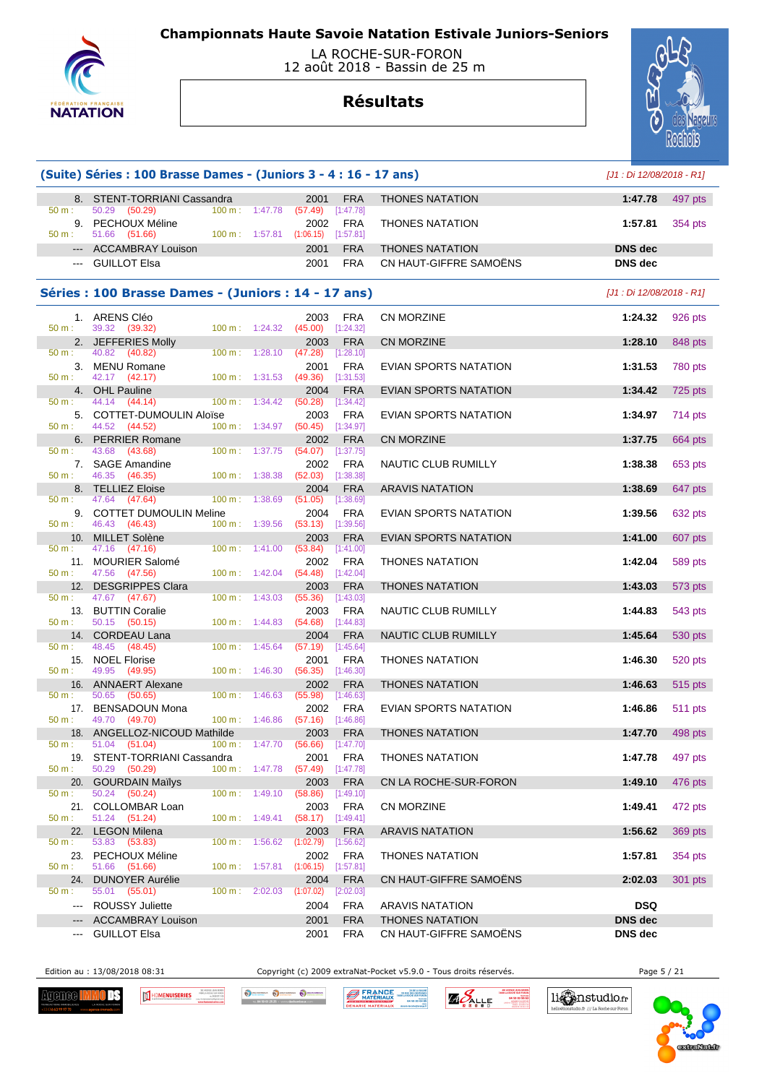

 LA ROCHE-SUR-FORON 12 août 2018 - Bassin de 25 m

## **Résultats**



|                        | (Suite) Séries : 100 Brasse Dames - (Juniors 3 - 4 : 16 - 17 ans) |                   |         |                                                       |                         |                        |                           | [J1 : Di 12/08/2018 - R1] |  |
|------------------------|-------------------------------------------------------------------|-------------------|---------|-------------------------------------------------------|-------------------------|------------------------|---------------------------|---------------------------|--|
|                        | 8. STENT-TORRIANI Cassandra                                       |                   |         | 2001                                                  | <b>FRA</b>              | <b>THONES NATATION</b> | 1:47.78                   | 497 pts                   |  |
| 50 m:<br>50 m :        | 50.29 (50.29)<br>9. PECHOUX Méline<br>51.66 (51.66)               | 100 m: 1:47.78    |         | (57.49)<br>2002<br>100 m: 1:57.81 (1:06.15) [1:57.81] | [1:47.78]<br><b>FRA</b> | <b>THONES NATATION</b> | 1:57.81                   | 354 pts                   |  |
|                        | --- ACCAMBRAY Louison                                             |                   |         | 2001                                                  | <b>FRA</b>              | <b>THONES NATATION</b> | <b>DNS</b> dec            |                           |  |
|                        | --- GUILLOT Elsa                                                  |                   |         | 2001                                                  | <b>FRA</b>              | CN HAUT-GIFFRE SAMOËNS | <b>DNS</b> dec            |                           |  |
|                        | Séries : 100 Brasse Dames - (Juniors : 14 - 17 ans)               |                   |         |                                                       |                         |                        | [J1 : Di 12/08/2018 - R1] |                           |  |
| 50 m:                  | 1. ARENS Cléo<br>39.32 (39.32)                                    | $100 m$ : 1:24.32 |         | 2003<br>$(45.00)$ [1:24.32]                           | FRA                     | <b>CN MORZINE</b>      | 1:24.32                   | 926 pts                   |  |
|                        | 2. JEFFERIES Molly                                                |                   |         | 2003                                                  | <b>FRA</b>              | CN MORZINE             | 1:28.10                   | 848 pts                   |  |
| 50 m:                  | 40.82 (40.82)<br>3. MENU Romane                                   | $100 m$ : 1:28.10 |         | (47.28)<br>2001                                       | [1:28.10]<br><b>FRA</b> | EVIAN SPORTS NATATION  | 1:31.53                   | 780 pts                   |  |
| 50 m :                 | 42.17 (42.17)                                                     | 100 m: 1:31.53    |         | (49.36)                                               | [1:31.53]               |                        |                           |                           |  |
| 50 m :                 | 4. OHL Pauline<br>44.14 (44.14)                                   | $100 \text{ m}$ : | 1:34.42 | 2004<br>(50.28)                                       | <b>FRA</b><br>[1:34.42] | EVIAN SPORTS NATATION  | 1:34.42                   | 725 pts                   |  |
| 50 m:                  | 5. COTTET-DUMOULIN Aloïse<br>44.52 (44.52)                        | 100 m: 1:34.97    |         | 2003<br>$(50.45)$ [1:34.97]                           | <b>FRA</b>              | EVIAN SPORTS NATATION  | 1:34.97                   | 714 pts                   |  |
|                        | 6. PERRIER Romane                                                 |                   |         | 2002                                                  | <b>FRA</b>              | <b>CN MORZINE</b>      | 1:37.75                   | 664 pts                   |  |
| 50 m :                 | 43.68 (43.68)<br>7. SAGE Amandine                                 | 100 m: 1:37.75    |         | $(54.07)$ [1:37.75]<br>2002                           | FRA                     | NAUTIC CLUB RUMILLY    | 1:38.38                   | 653 pts                   |  |
| 50 m :                 | 46.35 (46.35)                                                     | 100 m: 1:38.38    |         | $(52.03)$ [1:38.38]                                   |                         |                        |                           |                           |  |
| 50 m:                  | 8. TELLIEZ Eloise<br>47.64 (47.64)                                | 100 m:            | 1:38.69 | 2004<br>(51.05)                                       | <b>FRA</b><br>[1:38.69] | <b>ARAVIS NATATION</b> | 1:38.69                   | 647 pts                   |  |
|                        | 9. COTTET DUMOULIN Meline                                         |                   |         | 2004                                                  | <b>FRA</b>              | EVIAN SPORTS NATATION  | 1:39.56                   | 632 pts                   |  |
| 50 m :                 | 46.43 (46.43)<br>10. MILLET Solène                                | 100 m: 1:39.56    |         | (53.13)<br>2003                                       | [1:39.56]<br><b>FRA</b> | EVIAN SPORTS NATATION  | 1:41.00                   | 607 pts                   |  |
| 50 m :                 | 47.16 (47.16)                                                     | $100 \text{ m}$ : | 1:41.00 | (53.84)                                               | [1:41.00]               |                        |                           |                           |  |
| 50 m:                  | 11. MOURIER Salomé<br>47.56 (47.56)                               | 100 m: 1:42.04    |         | 2002<br>$(54.48)$ [1:42.04]                           | <b>FRA</b>              | <b>THONES NATATION</b> | 1:42.04                   | 589 pts                   |  |
|                        | 12. DESGRIPPES Clara                                              |                   |         | 2003                                                  | <b>FRA</b>              | <b>THONES NATATION</b> | 1:43.03                   | 573 pts                   |  |
| 50 m :                 | 47.67 (47.67)<br>13. BUTTIN Coralie                               | 100 m:            | 1:43.03 | (55.36)<br>2003                                       | $[1:43.03]$<br>FRA      | NAUTIC CLUB RUMILLY    | 1:44.83                   | 543 pts                   |  |
| 50 m :                 | 50.15 (50.15)                                                     | 100 m: 1:44.83    |         | $(54.68)$ [1:44.83]                                   |                         |                        |                           |                           |  |
| 50 m:                  | 14. CORDEAU Lana<br>48.45<br>(48.45)                              | $100 \text{ m}$ : | 1:45.64 | 2004<br>(57.19)                                       | <b>FRA</b><br>[1:45.64] | NAUTIC CLUB RUMILLY    | 1:45.64                   | <b>530 pts</b>            |  |
| 50 m:                  | 15. NOEL Florise                                                  | 100 m:            |         | 2001                                                  | <b>FRA</b>              | <b>THONES NATATION</b> | 1:46.30                   | 520 pts                   |  |
|                        | 49.95 (49.95)<br>16. ANNAERT Alexane                              |                   | 1:46.30 | (56.35)<br>2002                                       | [1:46.30]<br><b>FRA</b> | <b>THONES NATATION</b> | 1:46.63                   | 515 pts                   |  |
| $50 m$ :               | 50.65 (50.65)<br>17. BENSADOUN Mona                               | 100 m: 1:46.63    |         | (55.98)                                               | [1:46.63]               |                        |                           |                           |  |
| $50 m$ :               | 49.70 (49.70)                                                     | 100 m: 1:46.86    |         | 2002<br>(57.16)                                       | <b>FRA</b><br>[1:46.86] | EVIAN SPORTS NATATION  | 1:46.86                   | <b>511 pts</b>            |  |
| 50 m :                 | 18. ANGELLOZ-NICOUD Mathilde<br>51.04 (51.04)                     | 100 m: 1:47.70    |         | 2003<br>$(56.66)$ [1:47.70]                           | <b>FRA</b>              | <b>THONES NATATION</b> | 1:47.70                   | 498 pts                   |  |
|                        | 19. STENT-TORRIANI Cassandra                                      |                   |         | 2001                                                  | FRA                     | <b>THONES NATATION</b> | 1:47.78                   | 497 pts                   |  |
| 50 m:<br>20.           | 50.29 (50.29)<br><b>GOURDAIN Maïlys</b>                           | 100 m: 1:47.78    |         | $(57.49)$ [1:47.78]<br>2003                           | <b>FRA</b>              | CN LA ROCHE-SUR-FORON  | 1:49.10                   |                           |  |
| 50 m:                  | 50.24 (50.24)                                                     | 100 m:            | 1:49.10 | (58.86)                                               | [1:49.10]               |                        |                           | 476 pts                   |  |
| 50 m:                  | 21. COLLOMBAR Loan<br>51.24 (51.24)                               | 100 m:            | 1:49.41 | 2003<br>$(58.17)$ [1:49.41]                           | <b>FRA</b>              | <b>CN MORZINE</b>      | 1:49.41                   | 472 pts                   |  |
| 22.                    | <b>LEGON Milena</b>                                               |                   |         | 2003                                                  | <b>FRA</b>              | <b>ARAVIS NATATION</b> | 1:56.62                   | 369 pts                   |  |
| 50 m:                  | 53.83 (53.83)<br>23. PECHOUX Méline                               | 100 m:            | 1:56.62 | $(1:02.79)$ $[1:56.62]$<br>2002                       | <b>FRA</b>              | <b>THONES NATATION</b> | 1:57.81                   | 354 pts                   |  |
| 50 m:                  | 51.66 (51.66)                                                     | $100 m$ :         | 1:57.81 | $(1:06.15)$ [1:57.81]                                 |                         |                        |                           |                           |  |
| 24.<br>50 m:           | <b>DUNOYER Aurélie</b><br>55.01 (55.01)                           | 100 m:            | 2:02.03 | 2004<br>$(1:07.02)$ $[2:02.03]$                       | <b>FRA</b>              | CN HAUT-GIFFRE SAMOËNS | 2:02.03                   | 301 pts                   |  |
| $\cdots$               | <b>ROUSSY Juliette</b>                                            |                   |         | 2004                                                  | FRA                     | <b>ARAVIS NATATION</b> | <b>DSQ</b>                |                           |  |
| $\qquad \qquad \cdots$ | <b>ACCAMBRAY Louison</b>                                          |                   |         | 2001                                                  | <b>FRA</b>              | <b>THONES NATATION</b> | <b>DNS dec</b>            |                           |  |
| ---                    | <b>GUILLOT Elsa</b>                                               |                   |         | 2001                                                  | <b>FRA</b>              | CN HAUT-GIFFRE SAMOËNS | <b>DNS</b> dec            |                           |  |

Edition au : 13/08/2018 08:31 Copyright (c) 2009 extraNat-Pocket v5.9.0 - Tous droits réservés. Page 5 / 21

**Agenee I** OF HOMENUISERIES  $\mathfrak{m}$  Occursos Occursos Osc **FRANCE** 

**EA DE LA BALA**<br>V29 RUE DES GENTIARE<br>FAINO LA ROCHE SUR FORD<br>O4 50 03 04 8 **ZIO SALLE** 

04 50 03 96 6



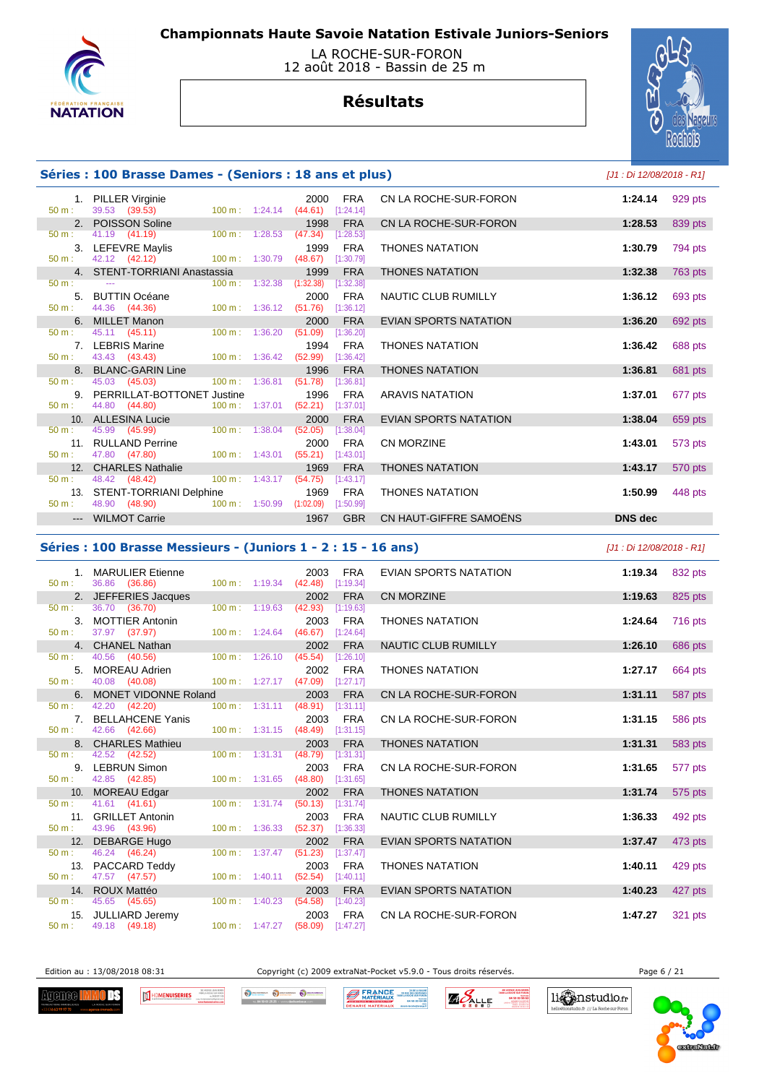

### LA ROCHE-SUR-FORON 12 août 2018 - Bassin de 25 m

# **Résultats**



## **Séries : 100 Brasse Dames - (Seniors : 18 ans et plus)** [J1 : Di 12/08/2018 - R1]

| 50 m:            | 1. PILLER Virginie<br>39.53 (39.53) 100 m : 1:24.14 (44.61)                                                   |                                  |           | 2000    | <b>FRA</b><br>$[1:24.14]$ | CN LA ROCHE-SUR-FORON        | 1:24.14        | 929 pts |
|------------------|---------------------------------------------------------------------------------------------------------------|----------------------------------|-----------|---------|---------------------------|------------------------------|----------------|---------|
|                  | 2. POISSON Soline                                                                                             |                                  |           | 1998    | <b>FRA</b>                | CN LA ROCHE-SUR-FORON        | 1:28.53        | 839 pts |
| 50 m:            | 41.19 (41.19)                                                                                                 | $100 \text{ m}$ : 1:28.53        | (47.34)   |         | [1:28.53]                 |                              |                |         |
|                  | 3. LEFEVRE Maylis                                                                                             |                                  |           | 1999    | <b>FRA</b>                | <b>THONES NATATION</b>       | 1:30.79        | 794 pts |
| 50 m:            | 42.12 (42.12) 100 m: 1:30.79                                                                                  |                                  | (48.67)   |         | [1:30.79]                 |                              |                |         |
|                  | 4. STENT-TORRIANI Anastassia                                                                                  |                                  |           | 1999    | <b>FRA</b>                | <b>THONES NATATION</b>       | 1:32.38        | 763 pts |
| $50 \text{ m}$ : | see the company of the company of the                                                                         | $100 \text{ m}: 1:32.38$         | (1:32.38) |         | [1:32.38]                 |                              |                |         |
|                  | 5. BUTTIN Océane                                                                                              |                                  |           | 2000    | <b>FRA</b>                | NAUTIC CLUB RUMILLY          | 1:36.12        | 693 pts |
| 50 m:            | 44.36 (44.36) 100 m : 1:36.12                                                                                 |                                  | (51.76)   |         | [1:36.12]                 |                              |                |         |
|                  | 6. MILLET Manon                                                                                               |                                  |           | 2000    | <b>FRA</b>                | <b>EVIAN SPORTS NATATION</b> | 1:36.20        | 692 pts |
| 50 m:            | 45.11 (45.11)                                                                                                 | 100 m: 1:36.20                   | (51.09)   |         | [1:36.20]                 |                              |                |         |
|                  | 7. LEBRIS Marine                                                                                              |                                  |           | 1994    | <b>FRA</b>                | <b>THONES NATATION</b>       | 1:36.42        | 688 pts |
| 50 m:            | 43.43 (43.43) 100 m : 1:36.42                                                                                 |                                  | (52.99)   |         | [1:36.42]                 |                              |                |         |
|                  | 8. BLANC-GARIN Line                                                                                           |                                  |           | 1996    | <b>FRA</b>                | <b>THONES NATATION</b>       | 1:36.81        | 681 pts |
| 50 m:            | 45.03 (45.03)                                                                                                 | $100 \text{ m}: 1:36.81$         | (51.78)   |         | [1:36.81]                 |                              |                |         |
|                  | 9. PERRILLAT-BOTTONET Justine                                                                                 |                                  |           | 1996    | FRA                       | <b>ARAVIS NATATION</b>       | 1:37.01        | 677 pts |
| 50 m:            | 44.80 (44.80)                                                                                                 | $100 \text{ m}: 1:37.01$         |           | (52.21) | [1:37.01]                 |                              |                |         |
|                  | 10. ALLESINA Lucie Annual Annual Annual Annual Annual Annual Annual Annual Annual Annual Annual Annual Annual |                                  |           | 2000    | <b>FRA</b>                | EVIAN SPORTS NATATION        | 1:38.04        | 659 pts |
| $50 m$ :         | 45.99 (45.99)                                                                                                 | $100 \text{ m}$ : 1:38.04        | (52.05)   |         | [1:38.04]                 |                              |                |         |
|                  | 11. RULLAND Perrine                                                                                           |                                  |           | 2000    | <b>FRA</b>                | <b>CN MORZINE</b>            | 1:43.01        | 573 pts |
| $50 m$ :         | 47.80 (47.80)                                                                                                 | $100 \text{ m}$ : 1:43.01        |           | (55.21) | [1:43.01]                 |                              |                |         |
|                  | 12. CHARLES Nathalie                                                                                          |                                  |           | 1969    | <b>FRA</b>                | <b>THONES NATATION</b>       | 1:43.17        | 570 pts |
| 50 m:            | 48.42 (48.42)                                                                                                 | $100 \text{ m}: 1:43.17$ (54.75) |           |         | [1:43.17]                 |                              |                |         |
|                  | 13. STENT-TORRIANI Delphine                                                                                   |                                  |           | 1969    | FRA                       | <b>THONES NATATION</b>       | 1:50.99        | 448 pts |
| $50 \text{ m}$ : | 48.90 (48.90)                                                                                                 | 100 m: 1:50.99                   | (1:02.09) |         | [1:50.99]                 |                              |                |         |
|                  | --- WILMOT Carrie                                                                                             |                                  |           | 1967    | <b>GBR</b>                | CN HAUT-GIFFRE SAMOËNS       | <b>DNS</b> dec |         |

#### **Séries : 100 Brasse Messieurs - (Juniors 1 - 2 : 15 - 16 ans)** [J1 : Di 12/08/2018 - R1]

| 50 m:            | 1. MARULIER Etienne<br>36.86 (36.86) | 100 m: 1:19.34 (42.48) [1:19.34]  | <b>FRA</b><br>2003                         | EVIAN SPORTS NATATION        | 1:19.34 | 832 pts |
|------------------|--------------------------------------|-----------------------------------|--------------------------------------------|------------------------------|---------|---------|
|                  | 2. JEFFERIES Jacques                 |                                   | 2002<br><b>FRA</b>                         | <b>CN MORZINE</b>            | 1:19.63 | 825 pts |
| $50 \text{ m}$ : | 36.70 (36.70)                        | $100 \text{ m}$ : 1:19.63         | (42.93)<br>[1:19.63]                       |                              |         |         |
|                  | 3. MOTTIER Antonin                   |                                   | 2003<br><b>FRA</b>                         | <b>THONES NATATION</b>       | 1:24.64 | 716 pts |
| 50 m:            | 37.97 (37.97)                        | 100 m: 1:24.64 (46.67) [1:24.64]  |                                            |                              |         |         |
|                  | 4. CHANEL Nathan                     |                                   | 2002<br><b>FRA</b>                         | NAUTIC CLUB RUMILLY          | 1:26.10 | 686 pts |
| 50 m:            | 40.56 (40.56)                        | $100 \text{ m}: 1:26.10$          | (45.54)<br>[1:26.10]                       |                              |         |         |
|                  | 5. MOREAU Adrien                     |                                   | 2002<br>FRA                                | <b>THONES NATATION</b>       | 1:27.17 | 664 pts |
| 50 m:            | 40.08 (40.08)                        | 100 m: 1:27.17 (47.09) [1:27.17]  |                                            |                              |         |         |
|                  | 6. MONET VIDONNE Roland              |                                   | 2003<br><b>FRA</b>                         | CN LA ROCHE-SUR-FORON        | 1:31.11 | 587 pts |
| 50 m:            | 42.20 (42.20)                        | $100 \text{ m}$ : 1:31.11         | (48.91)<br>[1:31.11]                       |                              |         |         |
|                  | 7. BELLAHCENE Yanis                  |                                   | 2003<br>FRA                                | CN LA ROCHE-SUR-FORON        | 1:31.15 | 586 pts |
| 50 m:            | 42.66 (42.66)                        | 100 m: 1:31.15 (48.49) [1:31.15]  |                                            |                              |         |         |
|                  | 8. CHARLES Mathieu                   |                                   | <b>FRA</b><br>2003                         | <b>THONES NATATION</b>       | 1:31.31 | 583 pts |
| 50 m:            | 42.52 (42.52)                        | 100 m: 1:31.31                    | (48.79)<br>[1:31.31]                       |                              |         |         |
|                  | 9. LEBRUN Simon                      |                                   | FRA<br>2003                                | CN LA ROCHE-SUR-FORON        | 1:31.65 | 577 pts |
| $50 m$ :         | 42.85 (42.85)                        | 100 m: 1:31.65 (48.80) [1:31.65]  |                                            |                              |         |         |
|                  | 10. MOREAU Edgar                     |                                   | <b>FRA</b><br>2002                         | <b>THONES NATATION</b>       | 1:31.74 | 575 pts |
| 50 m:            | 41.61 (41.61)                        | 100 m: 1:31.74                    | (50.13)<br>[1:31.74]                       |                              |         |         |
|                  | 11. GRILLET Antonin                  |                                   | 2003<br><b>FRA</b>                         | NAUTIC CLUB RUMILLY          | 1:36.33 | 492 pts |
| 50 m:            | 43.96 (43.96)                        | 100 m: 1:36.33                    | $(52.37)$ [1:36.33]                        |                              |         |         |
|                  | 12. DEBARGE Hugo                     |                                   | 2002<br><b>FRA</b>                         | <b>EVIAN SPORTS NATATION</b> | 1:37.47 | 473 pts |
| 50 m:            | 46.24 (46.24)                        | $100 m$ : 1:37.47                 | (51.23)<br>[1:37.47]                       |                              |         |         |
| $50 \text{ m}$ : | 13. PACCARD Teddy                    | $100 m$ : 1:40.11                 | <b>FRA</b><br>2003                         | <b>THONES NATATION</b>       | 1:40.11 | 429 pts |
|                  | 47.57 (47.57)                        |                                   | (52.54)<br>[1:40.11]                       |                              |         |         |
| $50 m$ :         | 14. ROUX Mattéo<br>45.65 (45.65)     | $100 \text{ m}$ : 1:40.23         | 2003<br><b>FRA</b><br>(54.58)<br>[1:40.23] | <b>EVIAN SPORTS NATATION</b> | 1:40.23 | 427 pts |
|                  | 15. JULLIARD Jeremy                  |                                   | <b>FRA</b><br>2003                         | CN LA ROCHE-SUR-FORON        |         |         |
| $50 m$ :         | 49.18 (49.18)                        | 100 m : 1:47.27 (58.09) [1:47.27] |                                            |                              | 1:47.27 | 321 pts |
|                  |                                      |                                   |                                            |                              |         |         |

Edition au : 13/08/2018 08:31 Copyright (c) 2009 extraNat-Pocket v5.9.0 - Tous droits réservés. Page 6 / 21

li Canstudio.fr

.<br><br /// La Roche sur Fo

**Agenee I** ΠŦ



O SCHANDOLK O DECHANGER O DECH **BERANCE** 

ZA DE LA BALA<br>129 RUE DES GENTIARE<br>180 LA ROCHE SUR FORC<br>04 SO CO DA 3 **ZAPALLE** 

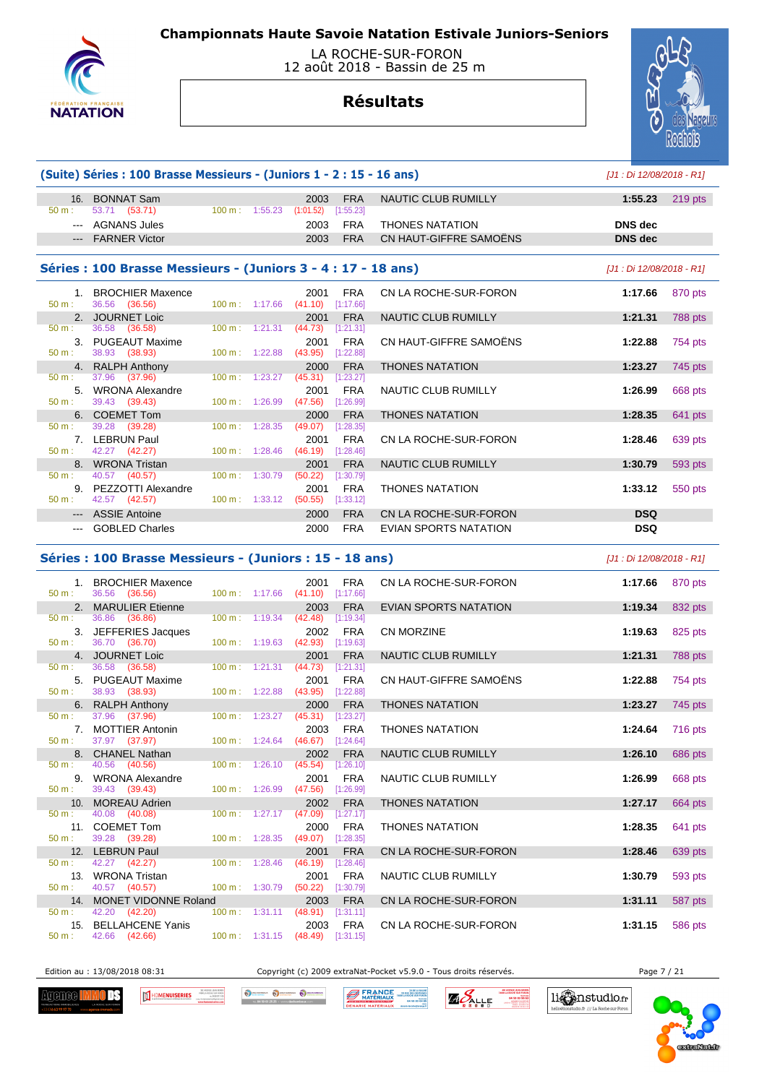



# **Résultats**



|          | (Suite) Séries: 100 Brasse Messieurs - (Juniors 1 - 2 : 15 - 16 ans) |                          |                                          |                         |                            | [J1 : Di 12/08/2018 - R1] |           |
|----------|----------------------------------------------------------------------|--------------------------|------------------------------------------|-------------------------|----------------------------|---------------------------|-----------|
| $50 m$ : | 16. BONNAT Sam<br>53.71 (53.71)                                      | $100 \text{ m}: 1:55.23$ | 2003<br>(1:01.52)                        | <b>FRA</b><br>[1:55.23] | <b>NAUTIC CLUB RUMILLY</b> | 1:55.23                   | $219$ pts |
|          | --- AGNANS Jules                                                     |                          | 2003                                     | <b>FRA</b>              | <b>THONES NATATION</b>     | <b>DNS</b> dec            |           |
|          | --- FARNER Victor                                                    |                          | 2003                                     | <b>FRA</b>              | CN HAUT-GIFFRE SAMOËNS     | <b>DNS</b> dec            |           |
|          | Séries : 100 Brasse Messieurs - (Juniors 3 - 4 : 17 - 18 ans)        |                          |                                          |                         |                            | [J1 : Di 12/08/2018 - R1] |           |
|          | 1. BROCHIER Maxence                                                  |                          | 2001                                     | <b>FRA</b>              | CN LA ROCHE-SUR-FORON      | 1:17.66                   | 870 pts   |
| 50 m:    | 36.56 (36.56)                                                        | $100 \text{ m}: 1:17.66$ | (41.10)                                  | [1:17.66]               |                            |                           |           |
| 50 m:    | 2. JOURNET Loic<br>36.58 (36.58)                                     |                          | 2001<br>$100 \text{ m}: 1:21.31 (44.73)$ | <b>FRA</b><br>[1:21.31] | NAUTIC CLUB RUMILLY        | 1:21.31                   | 788 pts   |
| 50 m:    | 3. PUGEAUT Maxime<br>38.93 (38.93)                                   | $100 \text{ m}: 1:22.88$ | 2001<br>(43.95)                          | <b>FRA</b><br>[1:22.88] | CN HAUT-GIFFRE SAMOËNS     | 1:22.88                   | 754 pts   |
|          | 4. RALPH Anthony                                                     |                          | 2000                                     | <b>FRA</b>              | <b>THONES NATATION</b>     | 1:23.27                   | 745 pts   |
| 50 m:    | 37.96 (37.96)                                                        | 100 m: 1:23.27           | (45.31)                                  | [1:23.27]               |                            |                           |           |
| 50 m:    | 5. WRONA Alexandre<br>39.43 (39.43)                                  | $100 \text{ m}: 1:26.99$ | 2001<br>(47.56)                          | <b>FRA</b><br>[1:26.99] | NAUTIC CLUB RUMILLY        | 1:26.99                   | 668 pts   |
|          | 6. COEMET Tom                                                        |                          | 2000                                     | <b>FRA</b>              | <b>THONES NATATION</b>     | 1:28.35                   | 641 pts   |
| 50 m:    | 39.28 (39.28)                                                        | 100 m: 1:28.35           | (49.07)                                  | [1:28.35]               |                            |                           |           |
|          | 7. LEBRUN Paul                                                       |                          | 2001                                     | <b>FRA</b>              | CN LA ROCHE-SUR-FORON      | 1:28.46                   | 639 pts   |
| 50 m:    | 42.27 (42.27)                                                        | $100 \text{ m}: 1:28.46$ | (46.19)                                  | [1:28.46]               |                            |                           |           |
|          | 8. WRONA Tristan                                                     |                          | 2001                                     | <b>FRA</b>              | NAUTIC CLUB RUMILLY        | 1:30.79                   | 593 pts   |
| $50 m$ : | 40.57 (40.57)                                                        | 100 m: 1:30.79           | (50.22)                                  | [1:30.79]               |                            |                           |           |
| $50 m$ : | 9. PEZZOTTI Alexandre<br>42.57 (42.57)                               | $100 \text{ m}: 1:33.12$ | 2001<br>(50.55)                          | <b>FRA</b><br>[1:33.12] | <b>THONES NATATION</b>     | 1:33.12                   | 550 pts   |
|          | --- ASSIE Antoine                                                    |                          | 2000                                     | <b>FRA</b>              | CN LA ROCHE-SUR-FORON      | <b>DSQ</b>                |           |
|          | --- GOBLED Charles                                                   |                          | 2000                                     | <b>FRA</b>              | EVIAN SPORTS NATATION      | <b>DSQ</b>                |           |

### **Séries : 100 Brasse Messieurs - (Juniors : 15 - 18 ans)** [J1 : Di 12/08/2018 - R1]

| 50 m:    | 1. BROCHIER Maxence<br>36.56 (36.56)  | 2001<br>100 m: 1:17.66 (41.10) [1:17.66] | <b>FRA</b>          | CN LA ROCHE-SUR-FORON        | 1:17.66 | 870 pts |
|----------|---------------------------------------|------------------------------------------|---------------------|------------------------------|---------|---------|
|          | 2. MARULIER Etienne                   | 2003                                     | <b>FRA</b>          | <b>EVIAN SPORTS NATATION</b> | 1:19.34 | 832 pts |
| 50 m:    | 36.86 (36.86)                         | $100 \text{ m}: 1:19.34$ (42.48)         | [1:19.34]           |                              |         |         |
|          | 3. JEFFERIES Jacques                  |                                          | 2002<br><b>FRA</b>  | <b>CN MORZINE</b>            | 1:19.63 | 825 pts |
| 50 m:    | 36.70 (36.70)                         | 100 m: 1:19.63 (42.93) [1:19.63]         |                     |                              |         |         |
|          | 4. JOURNET Loic                       | 2001                                     | <b>FRA</b>          | <b>NAUTIC CLUB RUMILLY</b>   | 1:21.31 | 788 pts |
| 50 m:    | 36.58 (36.58)                         | $100 \text{ m}: 1:21.31$<br>(44.73)      | [1:21.31]           |                              |         |         |
|          | 5. PUGEAUT Maxime                     | 2001                                     | FRA                 | CN HAUT-GIFFRE SAMOËNS       | 1:22.88 | 754 pts |
| 50 m:    | 38.93 (38.93)                         | 100 m: 1:22.88                           | $(43.95)$ [1:22.88] |                              |         |         |
|          | 6. RALPH Anthony                      |                                          | <b>FRA</b><br>2000  | <b>THONES NATATION</b>       | 1:23.27 | 745 pts |
| 50 m:    | 37.96 (37.96)                         | 100 m: 1:23.27 (45.31) [1:23.27]         |                     |                              |         |         |
|          | 7. MOTTIER Antonin                    | 2003                                     | <b>FRA</b>          | <b>THONES NATATION</b>       | 1:24.64 | 716 pts |
| 50 m:    | 37.97 (37.97)                         | 100 m: 1:24.64 (46.67) [1:24.64]         |                     |                              |         |         |
|          | 8. CHANEL Nathan                      | 2002                                     | <b>FRA</b>          | NAUTIC CLUB RUMILLY          | 1:26.10 | 686 pts |
| 50 m:    | 40.56 (40.56)                         | 100 m: 1:26.10 (45.54) [1:26.10]         |                     |                              |         |         |
|          | 9. WRONA Alexandre                    | 2001                                     | FRA                 | <b>NAUTIC CLUB RUMILLY</b>   | 1:26.99 | 668 pts |
| 50 m:    | 39.43 (39.43)                         | 100 m: 1:26.99 (47.56) [1:26.99]         |                     |                              |         |         |
|          | 10. MOREAU Adrien                     |                                          | <b>FRA</b><br>2002  | <b>THONES NATATION</b>       | 1:27.17 | 664 pts |
| $50 m$ : | 40.08 (40.08)                         | 100 m: 1:27.17 (47.09) [1:27.17]         |                     |                              |         |         |
|          | 11. COEMET Tom                        | 2000                                     | <b>FRA</b>          | <b>THONES NATATION</b>       | 1:28.35 | 641 pts |
| 50 m:    | 39.28 (39.28)                         | 100 m: 1:28.35 (49.07) [1:28.35]         |                     |                              |         |         |
|          | 12. LEBRUN Paul                       | 2001                                     | <b>FRA</b>          | CN LA ROCHE-SUR-FORON        | 1:28.46 | 639 pts |
| 50 m:    | 42.27 (42.27)                         | $100 \text{ m}$ : 1:28.46<br>(46.19)     | [1:28.46]           |                              |         |         |
|          | 13. WRONA Tristan                     | 2001                                     | <b>FRA</b>          | NAUTIC CLUB RUMILLY          | 1:30.79 | 593 pts |
| 50 m:    | 40.57 (40.57)                         | 100 m: 1:30.79 (50.22) [1:30.79]         |                     |                              |         |         |
|          | 14. MONET VIDONNE Roland              | 2003                                     | <b>FRA</b>          | CN LA ROCHE-SUR-FORON        | 1:31.11 | 587 pts |
| 50 m:    | 42.20 (42.20)                         | 100 m: 1:31.11 (48.91) [1:31.11]         |                     |                              |         |         |
| 50 m:    | 15. BELLAHCENE Yanis<br>42.66 (42.66) | 2003<br>100 m: 1:31.15 (48.49) [1:31.15] | <b>FRA</b>          | CN LA ROCHE-SUR-FORON        | 1:31.15 | 586 pts |
|          |                                       |                                          |                     |                              |         |         |

Edition au : 13/08/2018 08:31 Copyright (c) 2009 extraNat-Pocket v5.9.0 - Tous droits réservés. Page 7 / 21

Agenee <mark>I</mark> ΠŦ HOMENUISERIES

O DECHANGER O DECHANGER O DECHA **BERANGE** 

**ZIO ALLE** ROCHE SUR FORD<br>The South Card

li Canstudio.fr io.fr /// La Roche sur Foro

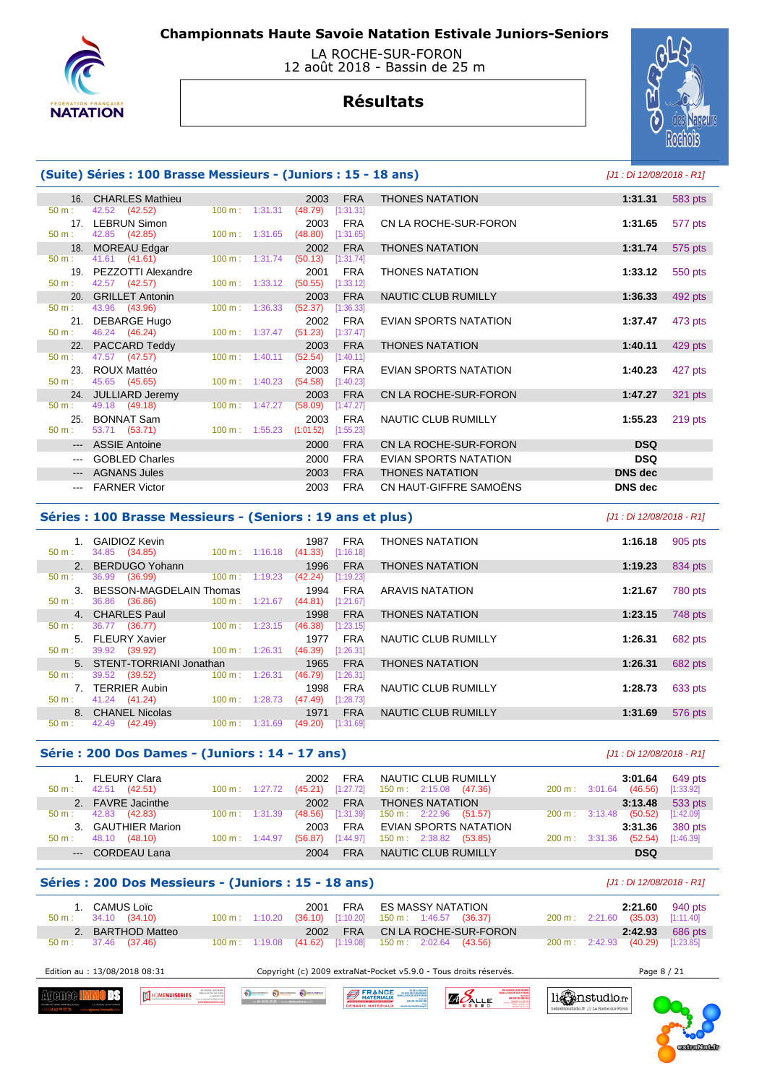

### LA ROCHE-SUR-FORON 12 août 2018 - Bassin de 25 m

# **Résultats**



## **(Suite) Séries : 100 Brasse Messieurs - (Juniors : 15 - 18 ans)** [J1 : Di 12/08/2018 - R1]

|                  | 16. CHARLES Mathieu    |                           |                                  | 2003                | <b>FRA</b> | <b>THONES NATATION</b> | 1:31.31        | 583 pts   |
|------------------|------------------------|---------------------------|----------------------------------|---------------------|------------|------------------------|----------------|-----------|
| $50 \text{ m}$ : | 42.52 (42.52)          | $100 \text{ m}: 1:31.31$  |                                  | (48.79)             | [1:31.31]  |                        |                |           |
|                  | 17. LEBRUN Simon       |                           |                                  | 2003                | <b>FRA</b> | CN LA ROCHE-SUR-FORON  | 1:31.65        | 577 pts   |
| $50 m$ :         | 42.85 (42.85)          | $100 \text{ m}: 1:31.65$  |                                  | (48.80)             | [1:31.65]  |                        |                |           |
|                  | 18. MOREAU Edgar       |                           |                                  | 2002                | <b>FRA</b> | <b>THONES NATATION</b> | 1:31.74        | 575 pts   |
| $50 \text{ m}$ : | 41.61 (41.61)          | $100 \text{ m}$ : 1:31.74 |                                  | (50.13)             | [1:31.74]  |                        |                |           |
|                  | 19. PEZZOTTI Alexandre |                           |                                  | 2001                | <b>FRA</b> | <b>THONES NATATION</b> | 1:33.12        | 550 pts   |
| $50 m$ :         | 42.57 (42.57)          | $100 \text{ m}$ : 1:33.12 |                                  | (50.55)             | [1:33.12]  |                        |                |           |
|                  | 20. GRILLET Antonin    |                           |                                  | 2003                | <b>FRA</b> | NAUTIC CLUB RUMILLY    | 1:36.33        | 492 pts   |
| $50 \text{ m}$ : | 43.96 (43.96)          | $100 \text{ m}$ : 1:36.33 |                                  | (52.37)             | [1:36.33]  |                        |                |           |
|                  | 21. DEBARGE Hugo       |                           |                                  | 2002                | <b>FRA</b> | EVIAN SPORTS NATATION  | 1:37.47        | 473 pts   |
| $50 \text{ m}$ : | 46.24 (46.24)          |                           | $100 \text{ m}: 1:37.47$ (51.23) |                     | [1:37.47]  |                        |                |           |
|                  | 22. PACCARD Teddy      |                           |                                  | 2003                | <b>FRA</b> | <b>THONES NATATION</b> | 1:40.11        | 429 pts   |
| $50 \text{ m}$ : | 47.57 (47.57)          |                           | $100 \text{ m}: 1:40.11$         | (52.54)             | [1:40.11]  |                        |                |           |
| 23.              | ROUX Mattéo            |                           |                                  | 2003                | <b>FRA</b> | EVIAN SPORTS NATATION  | 1:40.23        | 427 pts   |
| $50 m$ :         | 45.65 (45.65)          | $100 \text{ m}$ : 1:40.23 |                                  | $(54.58)$ [1:40.23] |            |                        |                |           |
|                  | 24. JULLIARD Jeremy    |                           |                                  | 2003                | <b>FRA</b> | CN LA ROCHE-SUR-FORON  | 1:47.27        | 321 pts   |
| $50 \text{ m}$ : | 49.18 (49.18)          | $100 \text{ m}: 1:47.27$  |                                  | (58.09)             | [1:47.27]  |                        |                |           |
| 25.              | <b>BONNAT Sam</b>      |                           |                                  | 2003                | <b>FRA</b> | NAUTIC CLUB RUMILLY    | 1:55.23        | $219$ pts |
| $50 m$ :         | 53.71 (53.71)          | $100 \text{ m}: 1:55.23$  |                                  | (1:01.52)           | [1:55.23]  |                        |                |           |
|                  | --- ASSIE Antoine      |                           |                                  | 2000                | <b>FRA</b> | CN LA ROCHE-SUR-FORON  | <b>DSQ</b>     |           |
|                  | <b>GOBLED Charles</b>  |                           |                                  | 2000                | <b>FRA</b> | EVIAN SPORTS NATATION  | <b>DSQ</b>     |           |
| $---$            | <b>AGNANS Jules</b>    |                           |                                  | 2003                | <b>FRA</b> | <b>THONES NATATION</b> | DNS dec        |           |
|                  | <b>FARNER Victor</b>   |                           |                                  | 2003                | <b>FRA</b> | CN HAUT-GIFFRE SAMOËNS | <b>DNS</b> dec |           |
|                  |                        |                           |                                  |                     |            |                        |                |           |

#### **Séries : 100 Brasse Messieurs - (Seniors : 19 ans et plus)** [J1 : Di 12/08/2018 - R1]

| 50 m:    | GAIDIOZ Kevin<br>34.85 (34.85) | $100 \text{ m}$ : | 1:16.18 | 1987<br>(41.33) | <b>FRA</b><br>[1:16.18] | <b>THONES NATATION</b> | 1:16.18 | 905 pts |
|----------|--------------------------------|-------------------|---------|-----------------|-------------------------|------------------------|---------|---------|
|          | 2. BERDUGO Yohann              |                   |         | 1996            | <b>FRA</b>              | <b>THONES NATATION</b> | 1:19.23 | 834 pts |
| $50 m$ : | 36.99<br>(36.99)               | 100 m:            | 1:19.23 | (42.24)         | [1:19.23]               |                        |         |         |
|          | 3. BESSON-MAGDELAIN Thomas     |                   |         | 1994            | <b>FRA</b>              | <b>ARAVIS NATATION</b> | 1:21.67 | 780 pts |
| 50 m:    | 36.86 (36.86)                  | $100 \text{ m}$ : | 1:21.67 | (44.81)         | [1:21.67]               |                        |         |         |
|          | 4. CHARLES Paul                |                   |         | 1998            | <b>FRA</b>              | <b>THONES NATATION</b> | 1:23.15 | 748 pts |
| $50 m$ : | 36.77 (36.77)                  | $100 \text{ m}$ : | 1:23.15 | (46.38)         | [1:23.15]               |                        |         |         |
|          | 5. FLEURY Xavier               |                   |         | 1977            | <b>FRA</b>              | NAUTIC CLUB RUMILLY    | 1:26.31 | 682 pts |
| $50 m$ : | 39.92 (39.92)                  | $100 \text{ m}$ : | 1:26.31 | (46.39)         | [1:26.31]               |                        |         |         |
|          | 5. STENT-TORRIANI Jonathan     |                   |         | 1965            | <b>FRA</b>              | <b>THONES NATATION</b> | 1:26.31 | 682 pts |
| $50 m$ : | 39.52<br>(39.52)               | $100 \text{ m}$ : | 1:26.31 | (46.79)         | [1:26.31]               |                        |         |         |
|          | 7. TERRIER Aubin               |                   |         | 1998            | <b>FRA</b>              | NAUTIC CLUB RUMILLY    | 1:28.73 | 633 pts |
| $50 m$ : | 41.24 (41.24)                  | $100 \text{ m}$ : | 1:28.73 | (47.49)         | [1:28.73]               |                        |         |         |
|          | 8. CHANEL Nicolas              |                   |         | 1971            | <b>FRA</b>              | NAUTIC CLUB RUMILLY    | 1:31.69 | 576 pts |
| 50 m:    | 42.49<br>(42.49)               | $100 \text{ m}$ : | 1:31.69 | (49.20)         | [1:31.69]               |                        |         |         |
|          |                                |                   |         |                 |                         |                        |         |         |

#### **Série : 200 Dos Dames - (Juniors : 14 - 17 ans)** [J1 : Di 12/08/2018 - R1]

| $50 \text{ m}$ : | 1. FLEURY Clara<br>(42.51)<br>42.51 | $100 \text{ m}: 1:27.72$ | 2002<br>(45.21) | FRA<br>$[1:27.72]$ | NAUTIC CLUB RUMILLY<br>$150 \text{ m}: 2:15.08$ (47.36) | $200 \text{ m}$ : $3:01.64$ |                          | 3:01.64<br>(46.56) | 649 pts<br>[1:33.92] |
|------------------|-------------------------------------|--------------------------|-----------------|--------------------|---------------------------------------------------------|-----------------------------|--------------------------|--------------------|----------------------|
|                  | 2. FAVRE Jacinthe                   |                          | 2002            | <b>FRA</b>         | <b>THONES NATATION</b>                                  |                             |                          | 3:13.48            | 533 pts              |
| $50 \text{ m}$ : | 42.83<br>(42.83)                    | $100 \text{ m}: 1:31.39$ | (48.56)         | [1:31.39]          | $150 \text{ m}: 2:22.96$ (51.57)                        |                             | $200 \text{ m}: 3:13.48$ | (50.52)            | [1:42.09]            |
|                  | 3. GAUTHIER Marion                  |                          | 2003            | <b>FRA</b>         | EVIAN SPORTS NATATION                                   |                             |                          | 3:31.36            | 380 pts              |
| $50 m$ :         | 48.10<br>(48.10)                    | $100 \text{ m}: 1:44.97$ | (56.87)         | [1:44.97]          | $150 \text{ m}: 2:38.82$ (53.85)                        | $200 \text{ m}: 3:31.36$    |                          | (52.54)            | [1:46.39]            |
|                  | --- CORDEAU Lana                    |                          | 2004            | <b>FRA</b>         | NAUTIC CLUB RUMILLY                                     |                             |                          | <b>DSQ</b>         |                      |
|                  |                                     |                          |                 |                    |                                                         |                             |                          |                    |                      |

## **Séries : 200 Dos Messieurs - (Juniors : 15 - 18 ans)** [J1 : Di 12/08/2018 - R1]

HOMENUISERIES

O SCHANDOLK O DECHANGER O DECH

| 1. CAMUS Loïc<br>$50 \text{ m}$ : 34.10 (34.10) |  | 2001 | FRA ES MASSY NATATION<br>$100 \text{ m}$ : 1:10.20 (36.10) [1:10.20] 150 m : 1:46.57 (36.37) |                                |  | 200 m: 2:21.60 (35.03) [1:11.40] | $2:21.60$ 940 pts      |
|-------------------------------------------------|--|------|----------------------------------------------------------------------------------------------|--------------------------------|--|----------------------------------|------------------------|
| 2. BARTHOD Matteo<br>50 m : 37.46 (37.46)       |  |      | 100 m : 1:19.08 (41.62) [1:19.08] 150 m : 2:02.64 (43.56)                                    | 2002 FRA CN LA ROCHE-SUR-FORON |  | 200 m: 2:42.93 (40.29) [1:23.85] | <b>2:42.93</b> 686 pts |

 Edition au : 13/08/2018 08:31 Copyright (c) 2009 extraNat-Pocket v5.9.0 - Tous droits réservés. Page 8 / 21 **BERANCE** 

**Agenee I** TITE





.<br><br /// La Roche sur Fo

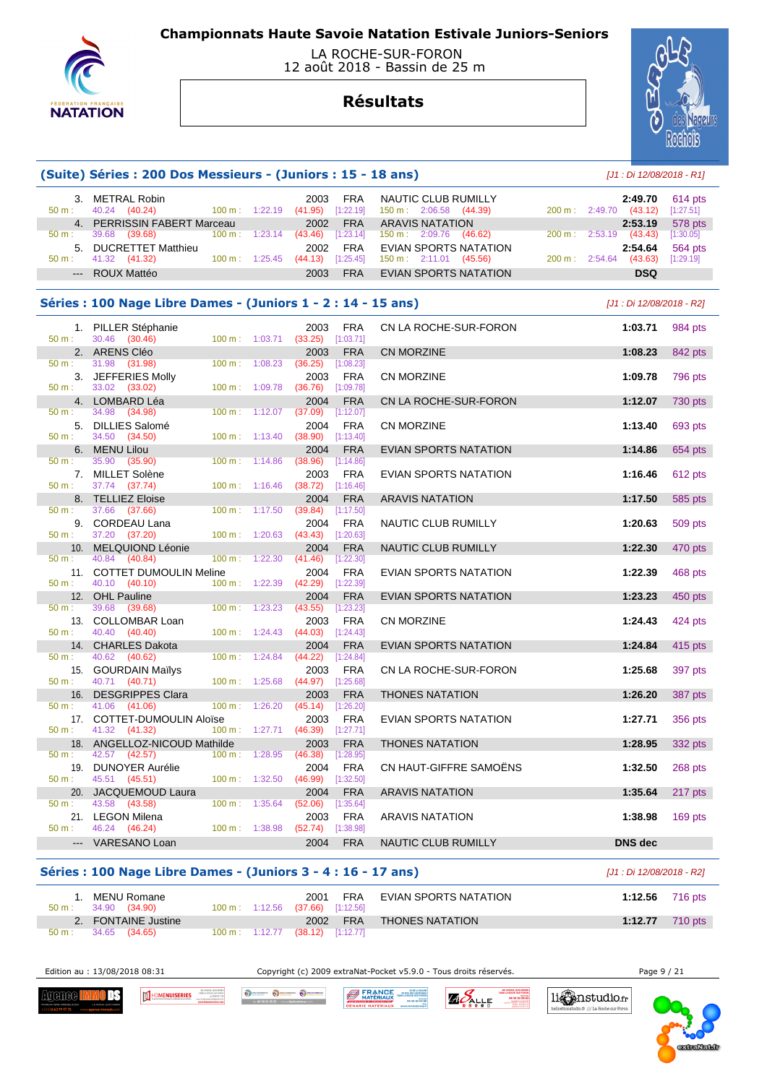

#### LA ROCHE-SUR-FORON 12 août 2018 - Bassin de 25 m

# **Résultats**



|                                                                                                                                                                                                                                                                                                                                                                                                                                                                            | (Suite) Séries : 200 Dos Messieurs - (Juniors : 15 - 18 ans)  |                                  |         |                             |             |                                                         |        | [J1 : Di 12/08/2018 - R1]          |                        |
|----------------------------------------------------------------------------------------------------------------------------------------------------------------------------------------------------------------------------------------------------------------------------------------------------------------------------------------------------------------------------------------------------------------------------------------------------------------------------|---------------------------------------------------------------|----------------------------------|---------|-----------------------------|-------------|---------------------------------------------------------|--------|------------------------------------|------------------------|
| 50 m:                                                                                                                                                                                                                                                                                                                                                                                                                                                                      | 3. METRAL Robin<br>40.24 (40.24)                              | 100 m: 1:22.19 (41.95) [1:22.19] |         | 2003                        | <b>FRA</b>  | NAUTIC CLUB RUMILLY<br>$150 \text{ m}: 2:06.58$ (44.39) |        | 2:49.70<br>200 m : 2:49.70 (43.12) | $614$ pts<br>[1:27.51] |
|                                                                                                                                                                                                                                                                                                                                                                                                                                                                            | 4. PERRISSIN FABERT Marceau                                   |                                  |         | 2002                        | <b>FRA</b>  | <b>ARAVIS NATATION</b>                                  |        | 2:53.19                            | 578 pts                |
| 50 m:                                                                                                                                                                                                                                                                                                                                                                                                                                                                      | 39.68 (39.68)                                                 | 100 m: 1:23.14                   |         | (43.46)                     | [1:23.14]   | $150 \text{ m}: 2:09.76$ (46.62)                        | 200 m: | $2:53.19$ (43.43)                  | [1:30.05]              |
|                                                                                                                                                                                                                                                                                                                                                                                                                                                                            | 5. DUCRETTET Matthieu                                         |                                  |         | 2002                        | <b>FRA</b>  | <b>EVIAN SPORTS NATATION</b>                            |        | 2:54.64                            | 564 pts                |
| 50 m:                                                                                                                                                                                                                                                                                                                                                                                                                                                                      | 41.32 (41.32)                                                 | 100 m: 1:25.45                   |         | $(44.13)$ [1:25.45]         |             | $150 \text{ m}: 2:11.01$ (45.56)                        |        | 200 m: 2:54.64 (43.63)             | [1:29.19]              |
| $\frac{1}{2} \left( \frac{1}{2} \right) \left( \frac{1}{2} \right) \left( \frac{1}{2} \right) \left( \frac{1}{2} \right) \left( \frac{1}{2} \right) \left( \frac{1}{2} \right) \left( \frac{1}{2} \right) \left( \frac{1}{2} \right) \left( \frac{1}{2} \right) \left( \frac{1}{2} \right) \left( \frac{1}{2} \right) \left( \frac{1}{2} \right) \left( \frac{1}{2} \right) \left( \frac{1}{2} \right) \left( \frac{1}{2} \right) \left( \frac{1}{2} \right) \left( \frac$ | <b>ROUX Mattéo</b>                                            |                                  |         | 2003                        | <b>FRA</b>  | EVIAN SPORTS NATATION                                   |        | <b>DSQ</b>                         |                        |
|                                                                                                                                                                                                                                                                                                                                                                                                                                                                            | Séries : 100 Nage Libre Dames - (Juniors 1 - 2 : 14 - 15 ans) |                                  |         |                             |             |                                                         |        |                                    |                        |
|                                                                                                                                                                                                                                                                                                                                                                                                                                                                            |                                                               |                                  |         |                             |             |                                                         |        | [J1 : Di 12/08/2018 - R2]          |                        |
| 50 m:                                                                                                                                                                                                                                                                                                                                                                                                                                                                      | 1. PILLER Stéphanie<br>30.46 (30.46)                          | $100 \text{ m}: 1:03.71$         |         | 2003<br>$(33.25)$ [1:03.71] | FRA         | CN LA ROCHE-SUR-FORON                                   |        | 1:03.71                            | 984 pts                |
|                                                                                                                                                                                                                                                                                                                                                                                                                                                                            | 2. ARENS Cléo                                                 |                                  |         | 2003                        | <b>FRA</b>  | <b>CN MORZINE</b>                                       |        | 1:08.23                            | 842 pts                |
| 50 m:                                                                                                                                                                                                                                                                                                                                                                                                                                                                      | 31.98 (31.98)                                                 | 100 m: 1:08.23                   |         | (36.25)                     | $[1:08.23]$ |                                                         |        |                                    |                        |
|                                                                                                                                                                                                                                                                                                                                                                                                                                                                            | 3. JEFFERIES Molly                                            |                                  |         | 2003                        | <b>FRA</b>  | <b>CN MORZINE</b>                                       |        | 1:09.78                            | 796 pts                |
| 50 m:                                                                                                                                                                                                                                                                                                                                                                                                                                                                      | 33.02 (33.02)                                                 | 100 m: 1:09.78                   |         | $(36.76)$ [1:09.78]         |             |                                                         |        |                                    |                        |
|                                                                                                                                                                                                                                                                                                                                                                                                                                                                            | 4. LOMBARD Léa                                                |                                  |         | 2004                        | <b>FRA</b>  | CN LA ROCHE-SUR-FORON                                   |        | 1:12.07                            | 730 pts                |
| 50 m:                                                                                                                                                                                                                                                                                                                                                                                                                                                                      | 34.98 (34.98)                                                 | 100 m: 1:12.07                   |         | (37.09)                     | [1:12.07]   |                                                         |        |                                    |                        |
|                                                                                                                                                                                                                                                                                                                                                                                                                                                                            | 5. DILLIES Salomé                                             |                                  |         | 2004                        | <b>FRA</b>  | <b>CN MORZINE</b>                                       |        | 1:13.40                            | 693 pts                |
| 50 m:                                                                                                                                                                                                                                                                                                                                                                                                                                                                      | 34.50 (34.50)                                                 | $100 \text{ m}: 1:13.40$         |         | $(38.90)$ [1:13.40]         |             |                                                         |        |                                    |                        |
|                                                                                                                                                                                                                                                                                                                                                                                                                                                                            | 6. MENU Lilou                                                 |                                  |         | 2004                        | <b>FRA</b>  | EVIAN SPORTS NATATION                                   |        | 1:14.86                            | 654 pts                |
| 50 m:                                                                                                                                                                                                                                                                                                                                                                                                                                                                      | 35.90<br>(35.90)                                              | $100 \text{ m}: 1:14.86$         |         | (38.96)                     | [1:14.86]   |                                                         |        |                                    |                        |
|                                                                                                                                                                                                                                                                                                                                                                                                                                                                            | 7. MILLET Solène                                              |                                  |         | 2003                        | FRA         | EVIAN SPORTS NATATION                                   |        | 1:16.46                            | 612 pts                |
| 50 m:                                                                                                                                                                                                                                                                                                                                                                                                                                                                      | 37.74 (37.74)                                                 | $100 \text{ m}: 1:16.46$         |         | $(38.72)$ [1:16.46]         |             |                                                         |        |                                    |                        |
|                                                                                                                                                                                                                                                                                                                                                                                                                                                                            | 8. TELLIEZ Eloise                                             |                                  |         | 2004                        | <b>FRA</b>  | <b>ARAVIS NATATION</b>                                  |        | 1:17.50                            | 585 pts                |
| $50 m$ :                                                                                                                                                                                                                                                                                                                                                                                                                                                                   | 37.66 (37.66)                                                 | $100 \text{ m}$ :                | 1:17.50 | (39.84)                     | [1:17.50]   |                                                         |        |                                    |                        |
|                                                                                                                                                                                                                                                                                                                                                                                                                                                                            | 9. CORDEAU Lana                                               |                                  |         | 2004                        | <b>FRA</b>  | NAUTIC CLUB RUMILLY                                     |        | 1:20.63                            | 509 pts                |
| 50 m:                                                                                                                                                                                                                                                                                                                                                                                                                                                                      | 37.20 (37.20)                                                 | $100 \text{ m}: 1:20.63$         |         | $(43.43)$ [1:20.63]         |             |                                                         |        |                                    |                        |
|                                                                                                                                                                                                                                                                                                                                                                                                                                                                            | 10. MELQUIOND Léonie                                          |                                  |         | 2004                        | <b>FRA</b>  | NAUTIC CLUB RUMILLY                                     |        | 1:22.30                            | 470 pts                |
| 50 m:                                                                                                                                                                                                                                                                                                                                                                                                                                                                      | 40.84 (40.84)                                                 | 100 m: 1:22.30                   |         | (41.46)                     | [1:22.30]   |                                                         |        |                                    |                        |
|                                                                                                                                                                                                                                                                                                                                                                                                                                                                            | 11. COTTET DUMOULIN Meline                                    |                                  |         | 2004                        | <b>FRA</b>  | EVIAN SPORTS NATATION                                   |        | 1:22.39                            | 468 pts                |
| 50 m:                                                                                                                                                                                                                                                                                                                                                                                                                                                                      | 40.10 (40.10)                                                 | 100 m: 1:22.39                   |         | $(42.29)$ [1:22.39]         |             |                                                         |        |                                    |                        |
|                                                                                                                                                                                                                                                                                                                                                                                                                                                                            | 12. OHL Pauline                                               |                                  |         | 2004                        | <b>FRA</b>  | EVIAN SPORTS NATATION                                   |        | 1:23.23                            | 450 pts                |
| 50 m:                                                                                                                                                                                                                                                                                                                                                                                                                                                                      | 39.68<br>(39.68)                                              | 100 m: 1:23.23                   |         | (43.55)                     | [1:23.23]   |                                                         |        |                                    |                        |
|                                                                                                                                                                                                                                                                                                                                                                                                                                                                            | 13. COLLOMBAR Loan                                            |                                  |         | 2003                        | <b>FRA</b>  | <b>CN MORZINE</b>                                       |        | 1:24.43                            | 424 pts                |
| 50 m:                                                                                                                                                                                                                                                                                                                                                                                                                                                                      | 40.40 (40.40)                                                 | 100 m: 1:24.43                   |         | (44.03)                     | [1:24.43]   |                                                         |        |                                    |                        |
|                                                                                                                                                                                                                                                                                                                                                                                                                                                                            | 14. CHARLES Dakota                                            |                                  |         | 2004                        | <b>FRA</b>  | EVIAN SPORTS NATATION                                   |        | 1:24.84                            | 415 pts                |
| 50 m:                                                                                                                                                                                                                                                                                                                                                                                                                                                                      | 40.62 (40.62)                                                 | $100 \text{ m}: 1:24.84$         |         | (44.22)                     | [1:24.84]   |                                                         |        |                                    |                        |
|                                                                                                                                                                                                                                                                                                                                                                                                                                                                            | 15. GOURDAIN Mailys                                           |                                  |         | 2003                        | <b>FRA</b>  | CN LA ROCHE-SUR-FORON                                   |        | 1:25.68                            | 397 pts                |
| $50 m$ :                                                                                                                                                                                                                                                                                                                                                                                                                                                                   | 40.71 (40.71)                                                 | 100 m: 1:25.68                   |         | $(44.97)$ [1:25.68]         |             |                                                         |        |                                    |                        |
| 16.                                                                                                                                                                                                                                                                                                                                                                                                                                                                        | <b>DESGRIPPES Clara</b>                                       |                                  |         | 2003                        | <b>FRA</b>  | <b>THONES NATATION</b>                                  |        | 1:26.20                            | 387 pts                |
| 50 m:                                                                                                                                                                                                                                                                                                                                                                                                                                                                      | 41.06 (41.06)                                                 | $100 \text{ m}: 1:26.20$         |         | $(45.14)$ [1:26.20]         |             |                                                         |        |                                    |                        |
|                                                                                                                                                                                                                                                                                                                                                                                                                                                                            | 17. COTTET-DUMOULIN Aloïse                                    |                                  |         | 2003                        | <b>FRA</b>  | EVIAN SPORTS NATATION                                   |        | 1:27.71                            | 356 pts                |
| 50 m:                                                                                                                                                                                                                                                                                                                                                                                                                                                                      | 41.32 (41.32)                                                 | 100 m: 1:27.71                   |         | (46.39)                     | [1:27.71]   |                                                         |        |                                    |                        |
|                                                                                                                                                                                                                                                                                                                                                                                                                                                                            | 18. ANGELLOZ-NICOUD Mathilde                                  |                                  |         | 2003                        | <b>FRA</b>  | THONES NATATION                                         |        | 1:28.95                            | 332 pts                |
| 50 m:                                                                                                                                                                                                                                                                                                                                                                                                                                                                      | 42.57 (42.57)                                                 | $100 \text{ m}: 1:28.95$         |         | $(46.38)$ [1:28.95]         |             |                                                         |        |                                    |                        |
|                                                                                                                                                                                                                                                                                                                                                                                                                                                                            | 19. DUNOYER Aurélie                                           |                                  |         | 2004                        | <b>FRA</b>  | CN HAUT-GIFFRE SAMOENS                                  |        | 1:32.50                            | 268 pts                |
| $50 m$ :                                                                                                                                                                                                                                                                                                                                                                                                                                                                   | 45.51 (45.51)                                                 | 100 m: 1:32.50                   |         | $(46.99)$ [1:32.50]         |             |                                                         |        |                                    |                        |
| 20.                                                                                                                                                                                                                                                                                                                                                                                                                                                                        | JACQUEMOUD Laura                                              |                                  |         | 2004                        | <b>FRA</b>  | <b>ARAVIS NATATION</b>                                  |        | 1:35.64                            | 217 pts                |
| 50 m:                                                                                                                                                                                                                                                                                                                                                                                                                                                                      | 43.58 (43.58)                                                 | $100 \text{ m}$ :                | 1:35.64 | (52.06)                     | [1:35.64]   |                                                         |        |                                    |                        |
|                                                                                                                                                                                                                                                                                                                                                                                                                                                                            | 21. LEGON Milena                                              |                                  |         | 2003                        | <b>FRA</b>  | <b>ARAVIS NATATION</b>                                  |        | 1:38.98                            | $169$ pts              |
| 50 m:                                                                                                                                                                                                                                                                                                                                                                                                                                                                      | 46.24 (46.24)                                                 | 100 m: 1:38.98                   |         | (52.74)                     | [1:38.98]   |                                                         |        |                                    |                        |
| $---$                                                                                                                                                                                                                                                                                                                                                                                                                                                                      | VARESANO Loan                                                 |                                  |         | 2004                        | <b>FRA</b>  | NAUTIC CLUB RUMILLY                                     |        | DNS dec                            |                        |

| Séries : 100 Nage Libre Dames - (Juniors 3 - 4 : 16 - 17 ans) | [J1 : Di 12/08/2018 - R2]                   |                                 |                           |                           |
|---------------------------------------------------------------|---------------------------------------------|---------------------------------|---------------------------|---------------------------|
| . MENU Romane<br>34.90 (34.90)<br>$50 \text{ m}$ :            | $100 \text{ m}$ : 1:12.56 (37.66) [1:12.56] | 2001                            | FRA EVIAN SPORTS NATATION | 1:12.56 $716 \text{ pts}$ |
| 2. FONTAINE Justine<br>34.65 (34.65)<br>$50 m$ :              | $100 \text{ m}: 1:12.77$                    | 2002 FRA<br>$(38.12)$ [1:12.77] | THONES NATATION           | 1:12.77<br>710 pts        |

Edition au : 13/08/2018 08:31 Copyright (c) 2009 extraNat-Pocket v5.9.0 - Tous droits réservés. Page 9 / 21

li Canstudio.fr

lio.fr /// La Roche sur Foron

**Agenee Himo DS** 



TEL 04 50 03 25 25 · www.dech

A FRANCE BARRISON O DECHARGER O DECHARGER O DECHARGER

**ZAPALLE** 

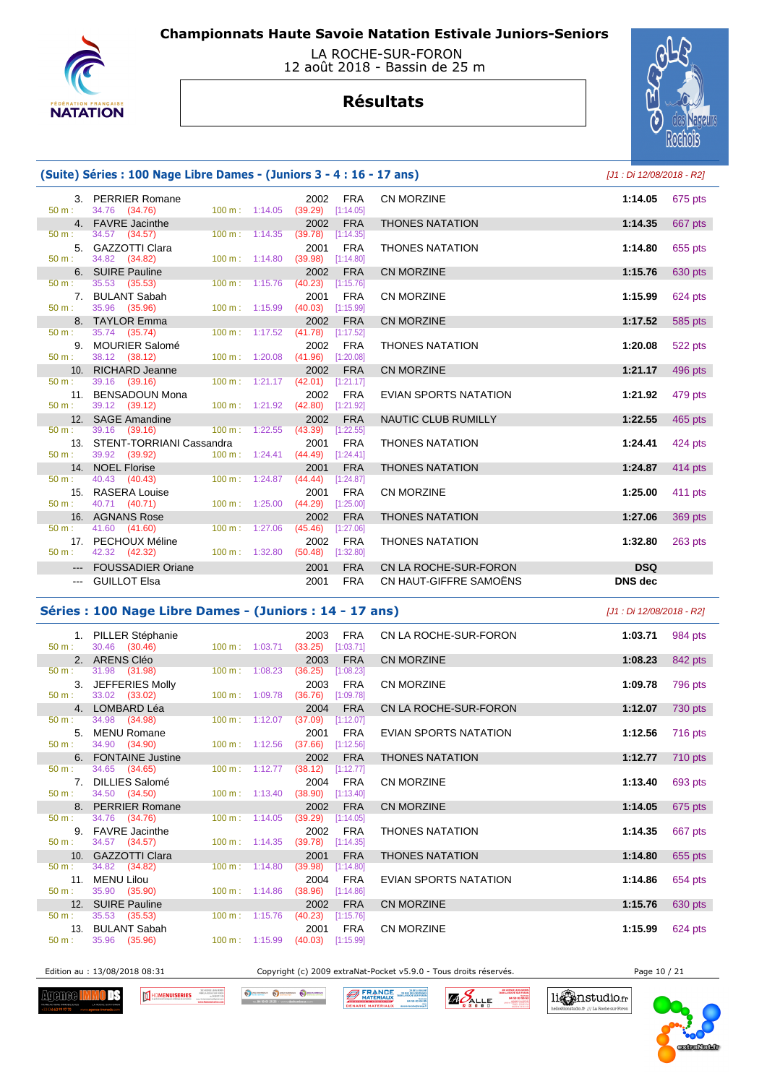

### LA ROCHE-SUR-FORON 12 août 2018 - Bassin de 25 m

# **Résultats**



## **(Suite) Séries : 100 Nage Libre Dames - (Juniors 3 - 4 : 16 - 17 ans)** [J1 : Di 12/08/2018 - R2]

|          | 3. PERRIER Romane                                      |                                                |                                  | 2002 FRA   | <b>CN MORZINE</b>            | 1:14.05        | 675 pts |
|----------|--------------------------------------------------------|------------------------------------------------|----------------------------------|------------|------------------------------|----------------|---------|
|          | $50 \text{ m}: 34.76 (34.76)$                          |                                                | 100 m: 1:14.05 (39.29) [1:14.05] |            |                              |                |         |
| 50 m:    | 4. FAVRE Jacinthe                                      | $100 \text{ m}: 1:14.35$                       | (39.78)                          | 2002 FRA   | <b>THONES NATATION</b>       | 1:14.35        | 667 pts |
|          | 34.57 (34.57)                                          |                                                |                                  | [1:14.35]  |                              |                |         |
| 50 m:    | 5. GAZZOTTI Clara<br>34.82 (34.82)                     | $100 \text{ m}: 1:14.80$                       | 2001<br>$(39.98)$ [1:14.80]      | <b>FRA</b> | <b>THONES NATATION</b>       | 1:14.80        | 655 pts |
|          | 6. SUIRE Pauline                                       |                                                |                                  | 2002 FRA   | <b>CN MORZINE</b>            | 1:15.76        | 630 pts |
|          | $50 \text{ m}: 35.53 (35.53)$                          |                                                | 100 m: 1:15.76 (40.23) [1:15.76] |            |                              |                |         |
|          | 7. BULANT Sabah                                        |                                                | 2001                             | <b>FRA</b> | <b>CN MORZINE</b>            | 1:15.99        | 624 pts |
| 50 m:    | 35.96 (35.96)                                          | $100 \text{ m}$ : 1:15.99                      | $(40.03)$ [1:15.99]              |            |                              |                |         |
|          | 8. TAYLOR Emma                                         |                                                |                                  | 2002 FRA   | <b>CN MORZINE</b>            | 1:17.52        | 585 pts |
| 50 m:    | 35.74 (35.74)                                          |                                                | 100 m: 1:17.52 (41.78) [1:17.52] |            |                              |                |         |
|          | 9. MOURIER Salomé                                      |                                                | 2002                             | FRA        | <b>THONES NATATION</b>       | 1:20.08        | 522 pts |
|          | $50 \text{ m}: 38.12 (38.12)$                          |                                                | 100 m: 1:20.08 (41.96) [1:20.08] |            |                              |                |         |
|          | 10. RICHARD Jeanne                                     |                                                |                                  | 2002 FRA   | <b>CN MORZINE</b>            | 1:21.17        | 496 pts |
| 50 m:    | 39.16 (39.16)                                          |                                                | 100 m: 1:21.17 (42.01) [1:21.17] |            |                              |                |         |
|          | 11. BENSADOUN Mona                                     |                                                |                                  | 2002 FRA   | <b>EVIAN SPORTS NATATION</b> | 1:21.92        | 479 pts |
| 50 m:    | 39.12 (39.12) 100 m : 1:21.92 (42.80) [1:21.92]        |                                                |                                  |            |                              |                |         |
|          | 12. SAGE Amandine                                      |                                                | 2002                             | <b>FRA</b> | NAUTIC CLUB RUMILLY          | 1:22.55        | 465 pts |
| 50 m:    | 39.16 (39.16)                                          | $100 \text{ m}: 1:22.55$ $(43.39)$ $[1:22.55]$ |                                  |            |                              |                |         |
|          | 13. STENT-TORRIANI Cassandra                           |                                                | 2001                             | FRA        | <b>THONES NATATION</b>       | 1:24.41        | 424 pts |
|          | 50 m : 39.92 (39.92) 100 m : 1:24.41 (44.49) [1:24.41] |                                                |                                  |            |                              |                |         |
| $50 m$ : | 14. NOEL Florise<br>40.43 (40.43)                      | $100 \text{ m}: 1:24.87$                       | 2001<br>$(44.44)$ [1:24.87]      | <b>FRA</b> | <b>THONES NATATION</b>       | 1:24.87        | 414 pts |
|          | 15. RASERA Louise                                      |                                                | 2001                             | FRA        | <b>CN MORZINE</b>            | 1:25.00        |         |
| 50 m:    | 40.71 (40.71) 100 m : 1:25.00 (44.29) [1:25.00]        |                                                |                                  |            |                              |                | 411 pts |
|          | 16. AGNANS Rose                                        |                                                | 2002                             | <b>FRA</b> | <b>THONES NATATION</b>       | 1:27.06        | 369 pts |
| 50 m:    | 41.60 (41.60)                                          | $100 \text{ m}$ : 1:27.06                      | (45.46)                          | [1:27.06]  |                              |                |         |
|          | 17. PECHOUX Méline                                     |                                                | 2002                             | <b>FRA</b> | <b>THONES NATATION</b>       | 1:32.80        | 263 pts |
|          | $50 \text{ m}: 42.32 (42.32)$                          |                                                | 100 m: 1:32.80 (50.48) [1:32.80] |            |                              |                |         |
|          | --- FOUSSADIER Oriane                                  |                                                | 2001                             | <b>FRA</b> | CN LA ROCHE-SUR-FORON        | <b>DSQ</b>     |         |
|          | --- GUILLOT Elsa                                       |                                                | 2001                             | <b>FRA</b> | CN HAUT-GIFFRE SAMOËNS       | <b>DNS</b> dec |         |
|          |                                                        |                                                |                                  |            |                              |                |         |

| CN MORZINE                   | 1:14.05    | 675 pts        |
|------------------------------|------------|----------------|
| THONES NATATION              | 1:14.35    | 667 pts        |
| THONES NATATION              | 1:14.80    | 655 pts        |
| CN MORZINE                   | 1:15.76    | 630 pts        |
| CN MORZINE                   | 1:15.99    | 624 pts        |
| CN MORZINE                   | 1:17.52    | 585 pts        |
| THONES NATATION              | 1:20.08    | 522 pts        |
| CN MORZINE                   | 1:21.17    | 496 pts        |
| <b>EVIAN SPORTS NATATION</b> | 1:21.92    | 479 pts        |
| NAUTIC CLUB RUMILLY          | 1:22.55    | 465 pts        |
| THONES NATATION              | 1:24.41    | 424 pts        |
| <b>THONES NATATION</b>       | 1:24.87    | 414 pts        |
| CN MORZINE                   | 1:25.00    | 411 pts        |
| <b>THONES NATATION</b>       | 1:27.06    | <b>369 pts</b> |
| THONES NATATION              | 1:32.80    | 263 pts        |
| CN LA ROCHE-SUR-FORON        | <b>DSQ</b> |                |
|                              |            |                |

### **Séries : 100 Nage Libre Dames - (Juniors : 14 - 17 ans)** [J1 : Di 12/08/2018 - R2]

| 50 m:        | 1. PILLER Stéphanie<br>30.46 (30.46) | $100 \text{ m}: 1:03.71$ (33.25) | 2003<br><b>FRA</b><br>[1:03.71]            | CN LA ROCHE-SUR-FORON  | 1:03.71 | 984 pts |
|--------------|--------------------------------------|----------------------------------|--------------------------------------------|------------------------|---------|---------|
|              | 2. ARENS Cléo                        |                                  | 2003<br><b>FRA</b>                         | CN MORZINE             | 1:08.23 | 842 pts |
| 50 m:        | 31.98 (31.98)                        | $100 \text{ m}$ : 1:08.23        | (36.25)<br>[1:08.23]                       |                        |         |         |
|              | 3. JEFFERIES Molly                   |                                  | <b>FRA</b><br>2003                         | CN MORZINE             | 1:09.78 | 796 pts |
| 50 m:        | 33.02 (33.02)                        | 100 m: 1:09.78                   | $(36.76)$ [1:09.78]                        |                        |         |         |
|              | 4. LOMBARD Léa                       |                                  | 2004<br><b>FRA</b>                         | CN LA ROCHE-SUR-FORON  | 1:12.07 | 730 pts |
| $50 m$ :     | 34.98 (34.98)                        | $100 m$ : 1:12.07                | (37.09)<br>[1:12.07]                       |                        |         |         |
| 5.<br>50 m:  | MENU Romane<br>34.90 (34.90)         | $100 \text{ m}$ : 1:12.56        | 2001<br><b>FRA</b><br>(37.66)<br>[1:12.56] | EVIAN SPORTS NATATION  | 1:12.56 | 716 pts |
|              | 6. FONTAINE Justine                  |                                  | <b>FRA</b><br>2002                         | <b>THONES NATATION</b> | 1:12.77 | 710 pts |
| $50 m$ :     | 34.65 (34.65)                        | 100 m: 1:12.77                   | $(38.12)$ [1:12.77]                        |                        |         |         |
|              | 7. DILLIES Salomé                    |                                  | 2004 FRA                                   | <b>CN MORZINE</b>      | 1:13.40 | 693 pts |
| 50 m:        | 34.50 (34.50)                        | $100 \text{ m}: 1:13.40$         | $(38.90)$ [1:13.40]                        |                        |         |         |
|              | 8. PERRIER Romane                    |                                  | 2002<br><b>FRA</b>                         | CN MORZINE             | 1:14.05 | 675 pts |
| 50 m:        | 34.76 (34.76)                        | $100 \text{ m}$ : 1:14.05        | (39.29)<br>[1:14.05]                       |                        |         |         |
|              | 9. FAVRE Jacinthe                    |                                  | 2002<br>FRA                                | <b>THONES NATATION</b> | 1:14.35 | 667 pts |
| 50 m:        | 34.57 (34.57)                        | $100 \text{ m}$ : 1:14.35        | $(39.78)$ [1:14.35]                        |                        |         |         |
|              | 10. GAZZOTTI Clara                   |                                  | <b>FRA</b><br>2001                         | <b>THONES NATATION</b> | 1:14.80 | 655 pts |
| 50 m:        | 34.82 (34.82)                        | $100 \text{ m}: 1:14.80$         | (39.98)<br>[1:14.80]                       |                        |         |         |
|              | 11. MENU Lilou                       |                                  | <b>FRA</b><br>2004                         | EVIAN SPORTS NATATION  | 1:14.86 | 654 pts |
| $50 m$ :     | 35.90 (35.90)                        | $100 \text{ m}: 1:14.86$         | (38.96)<br>[1:14.86]                       |                        |         |         |
|              | 12. SUIRE Pauline                    | 100 m: 1:15.76                   | 2002<br><b>FRA</b>                         | CN MORZINE             | 1:15.76 | 630 pts |
| 50 m:        | 35.53 (35.53)                        |                                  | (40.23)<br>[1:15.76]                       |                        |         |         |
| 13.<br>50 m: | BULANT Sabah<br>35.96 (35.96)        | $100 \text{ m}: 1:15.99$         | <b>FRA</b><br>2001<br>(40.03)<br>[1:15.99] | CN MORZINE             | 1:15.99 | 624 pts |
|              |                                      |                                  |                                            |                        |         |         |

Edition au : 13/08/2018 08:31 Copyright (c) 2009 extraNat-Pocket v5.9.0 - Tous droits réservés. Page 10 / 21

**Agenee I** ПÆ



O SCHANDOLK O DECHANGER O DECH **BERANGE** 

ZA DE LA BA **ZAPALLE** ROCHE SUR FOR



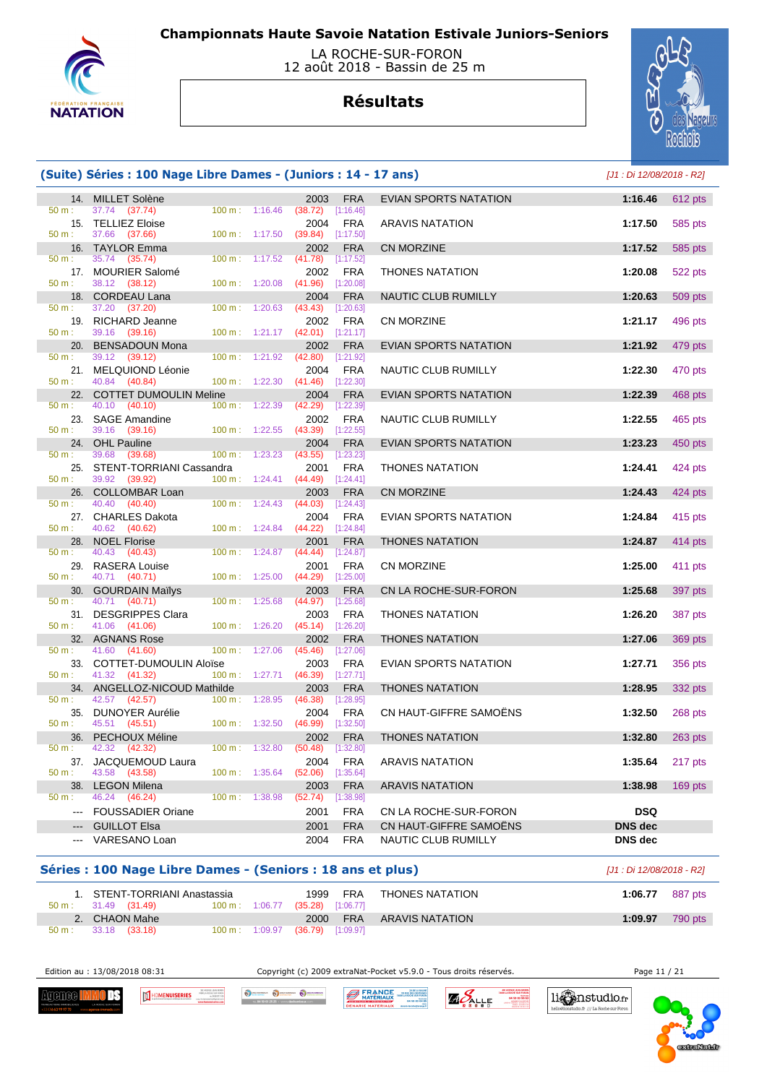

### LA ROCHE-SUR-FORON 12 août 2018 - Bassin de 25 m

# **Résultats**



## **(Suite) Séries : 100 Nage Libre Dames - (Juniors : 14 - 17 ans)** [J1 : Di 12/08/2018 - R2]

| 14.             | <b>MILLET Solène</b>                              |                |         | 2003            | <b>FRA</b>              | <b>EVIAN SPORTS NATATION</b> | 1:16.46        | 612 pts   |
|-----------------|---------------------------------------------------|----------------|---------|-----------------|-------------------------|------------------------------|----------------|-----------|
| 50 m:           | 37.74<br>(37.74)                                  | 100 m:         | 1:16.46 | (38.72)         | [1:16.46]               |                              |                |           |
| 15.             | <b>TELLIEZ Eloise</b>                             |                |         | 2004            | <b>FRA</b>              | ARAVIS NATATION              | 1:17.50        | 585 pts   |
| 50 m:           | 37.66<br>(37.66)                                  | 100 m:         | 1:17.50 | (39.84)         | [1:17.50]               |                              |                |           |
| 16.             | <b>TAYLOR Emma</b>                                |                |         | 2002            | <b>FRA</b>              | <b>CN MORZINE</b>            | 1:17.52        | 585 pts   |
| 50 m:<br>17.    | 35.74<br>(35.74)<br><b>MOURIER Salomé</b>         | 100 m:         | 1:17.52 | (41.78)<br>2002 | [1:17.52]<br><b>FRA</b> | <b>THONES NATATION</b>       | 1:20.08        |           |
| $50 m$ :        | 38.12 (38.12)                                     | 100 m:         | 1:20.08 | (41.96)         | [1:20.08]               |                              |                | 522 pts   |
| 18.             | <b>CORDEAU Lana</b>                               |                |         | 2004            | <b>FRA</b>              | NAUTIC CLUB RUMILLY          | 1:20.63        | 509 pts   |
| 50 m:           | 37.20<br>(37.20)                                  | 100 m:         | 1:20.63 | (43.43)         | [1:20.63]               |                              |                |           |
| 19.             | RICHARD Jeanne                                    |                |         | 2002            | <b>FRA</b>              | <b>CN MORZINE</b>            | 1:21.17        | 496 pts   |
| 50 m:           | 39.16<br>(39.16)                                  | 100 m:         | 1:21.17 | (42.01)         | [1:21.17]               |                              |                |           |
| 20.<br>50 m:    | <b>BENSADOUN Mona</b><br>39.12<br>(39.12)         | 100 m:         | 1:21.92 | 2002<br>(42.80) | <b>FRA</b><br>[1:21.92] | <b>EVIAN SPORTS NATATION</b> | 1:21.92        | 479 pts   |
| 21.             | MELQUIOND Léonie                                  |                |         | 2004            | <b>FRA</b>              | NAUTIC CLUB RUMILLY          | 1:22.30        | 470 pts   |
| $50 m$ :        | 40.84<br>(40.84)                                  | 100 m:         | 1:22.30 | (41.46)         | [1:22.30]               |                              |                |           |
| 22.             | <b>COTTET DUMOULIN Meline</b>                     |                |         | 2004            | <b>FRA</b>              | <b>EVIAN SPORTS NATATION</b> | 1:22.39        | 468 pts   |
| 50 m:           | 40.10<br>(40.10)                                  | 100 m:         | 1:22.39 | (42.29)         | [1:22.39]               |                              |                |           |
| 23.<br>50 m:    | <b>SAGE Amandine</b><br>39.16<br>(39.16)          | 100 m:         | 1:22.55 | 2002<br>(43.39) | <b>FRA</b><br>[1:22.55] | NAUTIC CLUB RUMILLY          | 1:22.55        | 465 pts   |
| 24.             | <b>OHL Pauline</b>                                |                |         | 2004            | <b>FRA</b>              | EVIAN SPORTS NATATION        | 1:23.23        | 450 pts   |
| 50 m:           | 39.68<br>(39.68)                                  | 100 m:         | 1:23.23 | (43.55)         | [1:23.23]               |                              |                |           |
| 25.             | STENT-TORRIANI Cassandra                          |                |         | 2001            | <b>FRA</b>              | <b>THONES NATATION</b>       | 1:24.41        | 424 pts   |
| 50 m:           | 39.92<br>(39.92)                                  | 100 m:         | 1:24.41 | (44.49)         | [1:24.41]               |                              |                |           |
| 26.<br>50 m:    | <b>COLLOMBAR Loan</b><br>40.40<br>(40.40)         | 100 m:         | 1:24.43 | 2003<br>(44.03) | <b>FRA</b><br>[1:24.43] | <b>CN MORZINE</b>            | 1:24.43        | 424 pts   |
|                 | 27. CHARLES Dakota                                |                |         | 2004            | <b>FRA</b>              | <b>EVIAN SPORTS NATATION</b> | 1:24.84        | 415 pts   |
| $50 m$ :        | 40.62<br>(40.62)                                  | 100 m:         | 1:24.84 | (44.22)         | [1:24.84]               |                              |                |           |
| 28.             | <b>NOEL Florise</b>                               |                |         | 2001            | <b>FRA</b>              | <b>THONES NATATION</b>       | 1:24.87        | 414 pts   |
| 50 m:           | 40.43<br>(40.43)                                  | 100 m:         | 1:24.87 | (44.44)         | [1:24.87]               |                              |                |           |
| $50 m$ :        | 29. RASERA Louise<br>40.71                        | 100 m:         | 1:25.00 | 2001            | <b>FRA</b>              | <b>CN MORZINE</b>            | 1:25.00        | 411 pts   |
| 30.             | (40.71)<br><b>GOURDAIN Mailys</b>                 |                |         | (44.29)<br>2003 | [1:25.00]<br><b>FRA</b> | CN LA ROCHE-SUR-FORON        | 1:25.68        | 397 pts   |
| 50 m:           | 40.71<br>(40.71)                                  | 100 m:         | 1:25.68 | (44.97)         | [1:25.68]               |                              |                |           |
| 31.             | <b>DESGRIPPES Clara</b>                           |                |         | 2003            | <b>FRA</b>              | <b>THONES NATATION</b>       | 1:26.20        | 387 pts   |
| 50 m:           | 41.06<br>(41.06)                                  | 100 m:         | 1:26.20 | (45.14)         | [1:26.20]               |                              |                |           |
| 32.             | <b>AGNANS Rose</b>                                |                |         | 2002            | <b>FRA</b>              | <b>THONES NATATION</b>       | 1:27.06        | 369 pts   |
| 50 m:           | 41.60<br>(41.60)                                  | 100 m:         | 1:27.06 | (45.46)         | [1:27.06]               |                              |                |           |
| 33.<br>$50 m$ : | <b>COTTET-DUMOULIN Aloïse</b><br>41.32<br>(41.32) | 100 m: 1:27.71 |         | 2003<br>(46.39) | <b>FRA</b><br>[1:27.71] | EVIAN SPORTS NATATION        | 1:27.71        | 356 pts   |
| 34.             | ANGELLOZ-NICOUD Mathilde                          |                |         | 2003            | <b>FRA</b>              | <b>THONES NATATION</b>       | 1:28.95        | 332 pts   |
| 50 m:           | 42.57<br>(42.57)                                  | 100 m:         | 1:28.95 | (46.38)         | [1:28.95]               |                              |                |           |
| 35.             | <b>DUNOYER Aurélie</b>                            |                |         | 2004            | <b>FRA</b>              | CN HAUT-GIFFRE SAMOËNS       | 1:32.50        | 268 pts   |
| 50 m:           | 45.51 (45.51)                                     | 100 m:         | 1:32.50 | (46.99)         | [1:32.50]               |                              |                |           |
| 36.<br>50 m:    | <b>PECHOUX Méline</b><br>42.32<br>(42.32)         | 100 m:         | 1:32.80 | 2002<br>(50.48) | <b>FRA</b><br>[1:32.80] | <b>THONES NATATION</b>       | 1:32.80        | $263$ pts |
| 37.             | JACQUEMOUD Laura                                  |                |         | 2004            | <b>FRA</b>              | ARAVIS NATATION              | 1:35.64        | 217 pts   |
| $50 m$ :        | 43.58<br>(43.58)                                  | 100 m:         | 1:35.64 | (52.06)         | [1:35.64]               |                              |                |           |
| 38.             | <b>LEGON Milena</b>                               |                |         | 2003            | <b>FRA</b>              | <b>ARAVIS NATATION</b>       | 1:38.98        | 169 pts   |
| 50 m:           | 46.24<br>(46.24)                                  | 100 m:         | 1:38.98 | (52.74)         | [1:38.98]               |                              |                |           |
|                 | <b>FOUSSADIER Oriane</b>                          |                |         | 2001            | <b>FRA</b>              | CN LA ROCHE-SUR-FORON        | <b>DSQ</b>     |           |
|                 | <b>GUILLOT Elsa</b>                               |                |         | 2001            | <b>FRA</b>              | CN HAUT-GIFFRE SAMOENS       | <b>DNS</b> dec |           |
|                 | VARESANO Loan                                     |                |         | 2004            | <b>FRA</b>              | NAUTIC CLUB RUMILLY          | <b>DNS</b> dec |           |
|                 |                                                   |                |         |                 |                         |                              |                |           |

## **Séries : 100 Nage Libre Dames - (Seniors : 18 ans et plus)** [J1 : Di 12/08/2018 - R2]

| 1. STENT-TORRIANI Anastassia<br>$50 \text{ m}: 31.49 (31.49)$ |  | 1999<br>100 m: 1:06.77 (35.28) [1:06.77] | FRA        | THONES NATATION | 1:06.77 | 887 pts |
|---------------------------------------------------------------|--|------------------------------------------|------------|-----------------|---------|---------|
| 2. CHAON Mahe                                                 |  | 2000                                     | <b>FRA</b> | ARAVIS NATATION | 1:09.97 | 790 pts |
| $50 \text{ m}: 33.18 (33.18)$                                 |  | 100 m: 1:09.97 (36.79) [1:09.97]         |            |                 |         |         |

Edition au : 13/08/2018 08:31 Copyright (c) 2009 extraNat-Pocket v5.9.0 - Tous droits réservés. Page 11 / 21

li Canstudio.fr

io.fr /// La Roche sur Foro

Agenee <mark>I</mark> ΠK



O DECHANGER O DECHANGER O DECHA **BERANCE** 

ZA DE LA BA **ZAPALLE** 

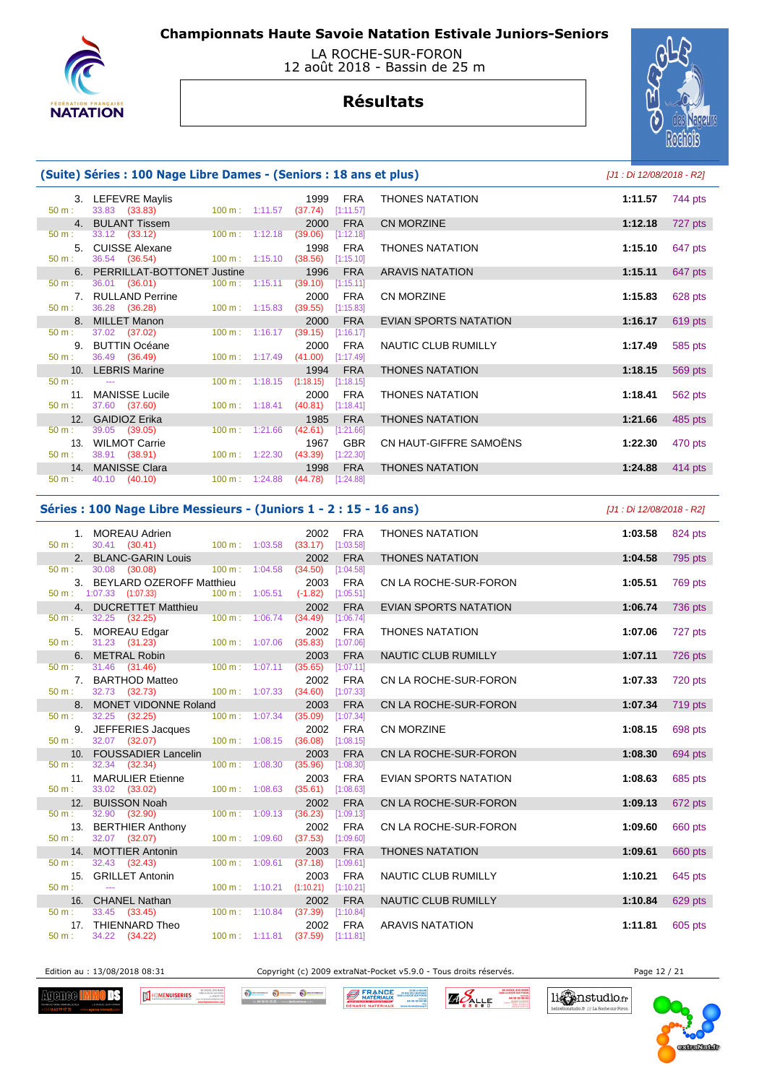



# **Résultats**



## **(Suite) Séries : 100 Nage Libre Dames - (Seniors : 18 ans et plus)** [J1 : Di 12/08/2018 - R2]

| $50 \text{ m}$ : | 3. LEFEVRE Maylis<br>33.83 (33.83) 100 m : 1:11.57 (37.74) [1:11.57] | 1999<br>FRA                                      | <b>THONES NATATION</b> | 1:11.57<br>744 pts |
|------------------|----------------------------------------------------------------------|--------------------------------------------------|------------------------|--------------------|
|                  | 4. BULANT Tissem                                                     | 2000<br><b>FRA</b>                               | <b>CN MORZINE</b>      | 727 pts<br>1:12.18 |
| 50 m:            | 33.12 (33.12) 100 m: 1:12.18 (39.06) [1:12.18]                       |                                                  |                        |                    |
|                  | 5. CUISSE Alexane                                                    | 1998 FRA                                         | <b>THONES NATATION</b> | 1:15.10<br>647 pts |
| 50 m:            | 36.54 (36.54) 100 m : 1:15.10 (38.56) [1:15.10]                      |                                                  |                        |                    |
|                  | 6. PERRILLAT-BOTTONET Justine                                        | 1996 FRA                                         | <b>ARAVIS NATATION</b> | 647 pts<br>1:15.11 |
| $50 \text{ m}$ : | 36.01 (36.01) 100 m : 1:15.11 (39.10) [1:15.11]                      |                                                  |                        |                    |
|                  | 7. RULLAND Perrine                                                   | 2000 FRA                                         | CN MORZINE             | 1:15.83<br>628 pts |
| 50 m:            | 36.28 (36.28) 100 m : 1:15.83 (39.55) [1:15.83]                      |                                                  |                        |                    |
|                  | 8. MILLET Manon                                                      | 2000<br><b>FRA</b>                               | EVIAN SPORTS NATATION  | 1:16.17<br>619 pts |
| $50 \text{ m}$ : | 37.02 (37.02)                                                        | 100 m: 1:16.17 (39.15) [1:16.17]                 |                        |                    |
|                  | 9. BUTTIN Océane                                                     | 2000 FRA                                         | NAUTIC CLUB RUMILLY    | 1:17.49<br>585 pts |
| $50 \text{ m}$ : | 36.49 (36.49)                                                        | 100 m: 1:17.49 (41.00) [1:17.49]                 |                        |                    |
|                  | 10. LEBRIS Marine                                                    | 1994 FRA                                         | <b>THONES NATATION</b> | 1:18.15<br>569 pts |
| $50 \text{ m}$ : | the company's company's company's                                    | $100 \text{ m}: 1:18.15$ $(1:18.15)$ $[1:18.15]$ |                        |                    |
|                  | 11. MANISSE Lucile                                                   | 2000<br>FRA                                      | <b>THONES NATATION</b> | 1:18.41<br>562 pts |
|                  | $50 \text{ m}: 37.60 (37.60)$                                        | 100 m: 1:18.41 (40.81) [1:18.41]                 |                        |                    |
|                  | 12. GAIDIOZ Erika                                                    | 1985 FRA                                         | <b>THONES NATATION</b> | 485 pts<br>1:21.66 |
| 50 m:            | 39.05 (39.05)                                                        | 100 m: 1:21.66 (42.61) [1:21.66]                 |                        |                    |
|                  | 13. WILMOT Carrie                                                    | <b>GBR</b><br>1967                               | CN HAUT-GIFFRE SAMOËNS | 1:22.30<br>470 pts |
|                  | $50 \text{ m}: 38.91 (38.91)$<br>$100 \text{ m}: 1:22.30$            | $(43.39)$ $[1:22.30]$                            |                        |                    |
|                  | 14. MANISSE Clara                                                    | <b>FRA</b><br>1998                               | <b>THONES NATATION</b> | 1:24.88<br>414 pts |
| $50 \text{ m}$ : | 40.10 (40.10)<br>$100 \text{ m}$ : 1:24.88                           | $(44.78)$ [1:24.88]                              |                        |                    |

#### **Séries : 100 Nage Libre Messieurs - (Juniors 1 - 2 : 15 - 16 ans)** [J1 : Di 12/08/2018 - R2]

| $50 \text{ m}$ : | 1. MOREAU Adrien <b>Martin Administration</b> Martin Structure and Structure and Structure and Structure and Structure<br>30.41 (30.41)        |  | 2002 FRA<br>100 m: 1:03.58 (33.17) [1:03.58]           | <b>THONES NATATION</b>       | 1:03.58 | 824 pts |
|------------------|------------------------------------------------------------------------------------------------------------------------------------------------|--|--------------------------------------------------------|------------------------------|---------|---------|
|                  | 2. BLANC-GARIN Louis                                                                                                                           |  | 2002<br><b>FRA</b>                                     | <b>THONES NATATION</b>       | 1:04.58 | 795 pts |
|                  | $50 \text{ m}: 30.08 (30.08)$                                                                                                                  |  | 100 m : 1:04.58 (34.50) [1:04.58]                      |                              |         |         |
|                  | 3. BEYLARD OZEROFF Matthieu                                                                                                                    |  | 2003 FRA                                               | CN LA ROCHE-SUR-FORON        | 1:05.51 | 769 pts |
|                  | 50 m : 1:07.33 (1:07.33) 100 m : 1:05.51 (-1.82) [1:05.51]                                                                                     |  |                                                        |                              |         |         |
|                  | 4. DUCRETTET Matthieu                                                                                                                          |  | <b>FRA</b><br>2002                                     | <b>EVIAN SPORTS NATATION</b> | 1:06.74 | 736 pts |
|                  | 50 m : 32.25 (32.25) 100 m : 1:06.74 (34.49) [1:06.74]                                                                                         |  |                                                        |                              |         |         |
|                  | 5. MOREAU Edgar                                                                                                                                |  | 2002<br><b>FRA</b>                                     | <b>THONES NATATION</b>       | 1:07.06 | 727 pts |
| 50 m:            | 31.23 (31.23) 100 m: 1:07.06 (35.83) [1:07.06]                                                                                                 |  |                                                        |                              |         |         |
| 50 m:            | 6. METRAL Robin and the control of the control of the control of the control of the control of the control of<br>31.46 (31.46) 100 m : 1:07.11 |  | 2003<br><b>FRA</b><br>(35.65)<br>[1:07.11]             | NAUTIC CLUB RUMILLY          | 1:07.11 | 726 pts |
|                  | 7. BARTHOD Matteo                                                                                                                              |  | 2002 FRA                                               | CN LA ROCHE-SUR-FORON        | 1:07.33 |         |
| 50 m:            | 32.73 (32.73)                                                                                                                                  |  | 100 m: 1:07.33 (34.60) [1:07.33]                       |                              |         | 720 pts |
|                  | 8. MONET VIDONNE Roland                                                                                                                        |  | 2003<br><b>FRA</b>                                     | CN LA ROCHE-SUR-FORON        | 1:07.34 | 719 pts |
| 50 m:            | 32.25 (32.25)                                                                                                                                  |  | $100 \text{ m}: 1:07.34$ $(35.09)$ $[1:07.34]$         |                              |         |         |
|                  | 9. JEFFERIES Jacques                                                                                                                           |  | 2002<br>FRA                                            | <b>CN MORZINE</b>            | 1:08.15 | 698 pts |
| $50 m$ :         | 32.07 (32.07)                                                                                                                                  |  | 100 m: 1:08.15 (36.08) [1:08.15]                       |                              |         |         |
|                  | 10. FOUSSADIER Lancelin                                                                                                                        |  | 2003<br><b>FRA</b>                                     | CN LA ROCHE-SUR-FORON        | 1:08.30 | 694 pts |
| 50 m:            | $32.34$ $(32.34)$                                                                                                                              |  | 100 m: 1:08.30 (35.96) [1:08.30]                       |                              |         |         |
|                  | 11. MARULIER Etienne                                                                                                                           |  | FRA<br>2003                                            | <b>EVIAN SPORTS NATATION</b> | 1:08.63 | 685 pts |
| $50 m$ :         | 33.02 (33.02) 100 m: 1:08.63 (35.61) [1:08.63]                                                                                                 |  |                                                        |                              |         |         |
|                  | 12. BUISSON Noah                                                                                                                               |  | <b>FRA</b><br>2002                                     | CN LA ROCHE-SUR-FORON        | 1:09.13 | 672 pts |
| $50 m$ :         | 32.90 (32.90)                                                                                                                                  |  | 100 m: 1:09.13 (36.23) [1:09.13]                       |                              |         |         |
|                  | 13. BERTHIER Anthony                                                                                                                           |  | 2002<br>FRA                                            | CN LA ROCHE-SUR-FORON        | 1:09.60 | 660 pts |
| 50 m:            | 32.07 (32.07)                                                                                                                                  |  | 100 m: 1:09.60 (37.53) [1:09.60]                       |                              |         |         |
| 50 m:            | 14. MOTTIER Antonin<br>32.43 (32.43)                                                                                                           |  | 2003<br><b>FRA</b><br>100 m: 1:09.61 (37.18) [1:09.61] | <b>THONES NATATION</b>       | 1:09.61 | 660 pts |
|                  | 15. GRILLET Antonin                                                                                                                            |  | <b>FRA</b><br>2003                                     | NAUTIC CLUB RUMILLY          | 1:10.21 | 645 pts |
| $50 m$ :         | <b>Continued</b>                                                                                                                               |  | 100 m: 1:10.21 (1:10.21) [1:10.21]                     |                              |         |         |
|                  | 16. CHANEL Nathan                                                                                                                              |  | 2002<br><b>FRA</b>                                     | NAUTIC CLUB RUMILLY          | 1:10.84 | 629 pts |
| 50 m:            | 33.45 (33.45)                                                                                                                                  |  | 100 m: 1:10.84 (37.39) [1:10.84]                       |                              |         |         |
|                  | 17. THIENNARD Theo                                                                                                                             |  | 2002<br>FRA                                            | <b>ARAVIS NATATION</b>       | 1:11.81 | 605 pts |
| 50 m:            | 34.22 (34.22)                                                                                                                                  |  | 100 m: 1:11.81 (37.59) [1:11.81]                       |                              |         |         |
|                  |                                                                                                                                                |  |                                                        |                              |         |         |

Edition au : 13/08/2018 08:31 Copyright (c) 2009 extraNat-Pocket v5.9.0 - Tous droits réservés. Page 12 / 21

Agenee <mark>H</mark> ΠR



O SCHANDOLK O DECHANGER O DECH **BERANCE** 

**ZIO ALLE** ROCHE SUR FOR

li Canstudio.fr

o.fr /// La Roche sur Foro

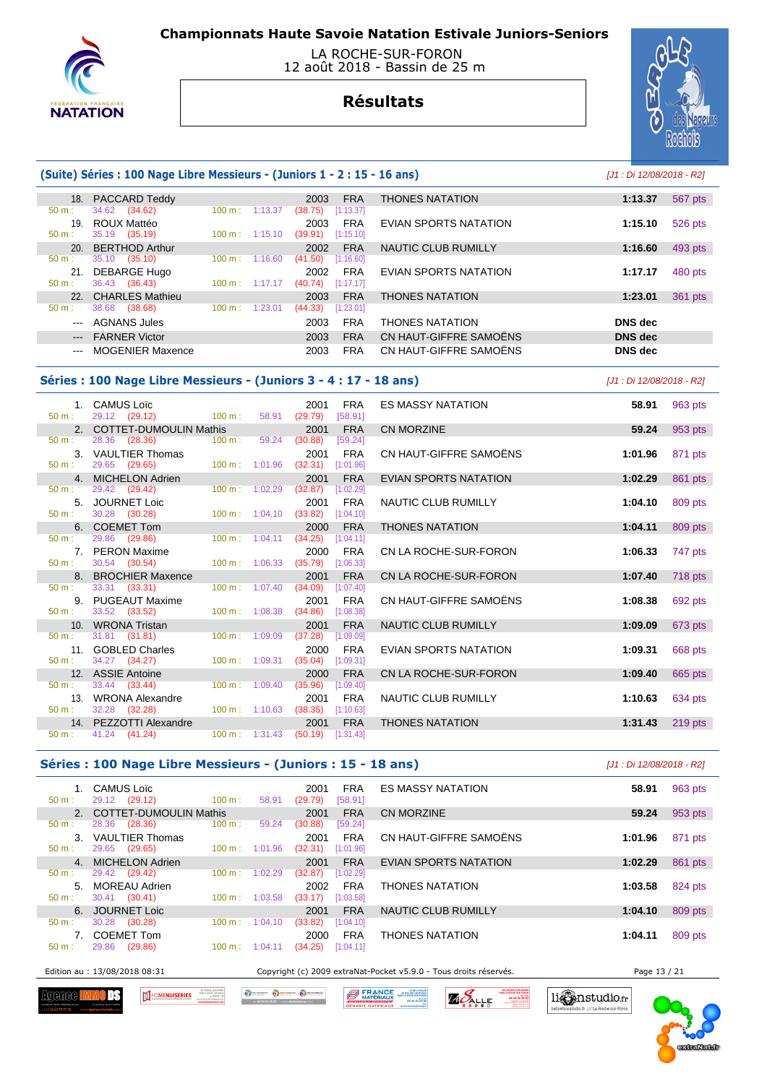

### LA ROCHE-SUR-FORON 12 août 2018 - Bassin de 25 m

# **Résultats**



## **(Suite) Séries : 100 Nage Libre Messieurs - (Juniors 1 - 2 : 15 - 16 ans)** [J1 : Di 12/08/2018 - R2]

| 18.                 | <b>PACCARD Teddy</b>    |                   |         | 2003    | <b>FRA</b> | <b>THONES NATATION</b> | 1:13.37        | 567 pts |
|---------------------|-------------------------|-------------------|---------|---------|------------|------------------------|----------------|---------|
| 50 m:               | 34.62 (34.62)           | 100 m:            | 1:13.37 | (38.75) | [1:13.37]  |                        |                |         |
| 19.                 | ROUX Mattéo             |                   |         | 2003    | <b>FRA</b> | EVIAN SPORTS NATATION  | 1:15.10        | 526 pts |
| 50 m:               | 35.19 (35.19)           | 100 m:            | 1:15.10 | (39.91) | [1:15.10]  |                        |                |         |
| 20.                 | <b>BERTHOD Arthur</b>   |                   |         | 2002    | <b>FRA</b> | NAUTIC CLUB RUMILLY    | 1:16.60        | 493 pts |
| 50 m:               | 35.10<br>(35.10)        | $100 \text{ m}$ : | 1:16.60 | (41.50) | [1:16.60]  |                        |                |         |
| 21                  | <b>DEBARGE Hugo</b>     |                   |         | 2002    | <b>FRA</b> | EVIAN SPORTS NATATION  | 1:17.17        | 480 pts |
| $50 m$ :            | 36.43 (36.43)           | $100 \text{ m}$ : | 1:17.17 | (40.74) | [1:17.17]  |                        |                |         |
| 22 <sub>1</sub>     | <b>CHARLES Mathieu</b>  |                   |         | 2003    | <b>FRA</b> | <b>THONES NATATION</b> | 1:23.01        | 361 pts |
| $50 m$ :            | 38.68<br>(38.68)        | 100 m:            | 1:23.01 | (44.33) | [1:23.01]  |                        |                |         |
| $---$               | <b>AGNANS Jules</b>     |                   |         | 2003    | <b>FRA</b> | <b>THONES NATATION</b> | <b>DNS</b> dec |         |
| $\qquad \qquad - -$ | <b>FARNER Victor</b>    |                   |         | 2003    | <b>FRA</b> | CN HAUT-GIFFRE SAMOËNS | <b>DNS</b> dec |         |
| $\cdots$            | <b>MOGENIER Maxence</b> |                   |         | 2003    | <b>FRA</b> | CN HAUT-GIFFRE SAMOËNS | DNS dec        |         |

#### **Séries : 100 Nage Libre Messieurs - (Juniors 3 - 4 : 17 - 18 ans)** [J1 : Di 12/08/2018 - R2]

|                  | 1. CAMUS Loïc                                                  |                             |       | 2001                             | <b>FRA</b>              | <b>ES MASSY NATATION</b>   | 58.91   | 963 pts   |
|------------------|----------------------------------------------------------------|-----------------------------|-------|----------------------------------|-------------------------|----------------------------|---------|-----------|
|                  | $50 \text{ m}: \quad 29.12 \quad (29.12) \quad 100 \text{ m}:$ |                             | 58.91 | (29.79)                          | [58.91]                 |                            |         |           |
|                  | 2. COTTET-DUMOULIN Mathis                                      |                             |       | 2001                             | <b>FRA</b>              | <b>CN MORZINE</b>          | 59.24   | 953 pts   |
| 50 m:            | 28.36 (28.36)                                                  | 100 m:                      | 59.24 | (30.88)                          | [59.24]                 |                            |         |           |
|                  | 3. VAULTIER Thomas                                             |                             |       | 2001                             | <b>FRA</b>              | CN HAUT-GIFFRE SAMOËNS     | 1:01.96 | 871 pts   |
| 50 m:            | 29.65 (29.65)                                                  | $100 \text{ m}$ : $1:01.96$ |       | (32.31)                          | [1:01.96]               |                            |         |           |
|                  | 4. MICHELON Adrien                                             |                             |       | 2001                             | <b>FRA</b>              | EVIAN SPORTS NATATION      | 1:02.29 | 861 pts   |
| $50 m$ :         | 29.42 (29.42)                                                  | $100 \text{ m}$ : $1:02.29$ |       | (32.87)                          | [1:02.29]               |                            |         |           |
|                  | 5. JOURNET Loic                                                |                             |       | 2001                             | <b>FRA</b>              | NAUTIC CLUB RUMILLY        | 1:04.10 | 809 pts   |
| 50 m:            | 30.28 (30.28)                                                  | $100 \text{ m}: 1:04.10$    |       | (33.82)                          | [1:04.10]               |                            |         |           |
|                  | 6. COEMET Tom                                                  |                             |       | 2000                             | <b>FRA</b>              | <b>THONES NATATION</b>     | 1:04.11 | 809 pts   |
| $50 \text{ m}$ : | 29.86 (29.86)                                                  | $100 \text{ m}$ : 1:04.11   |       | (34.25)                          | [1:04.11]               |                            |         |           |
|                  | 7. PERON Maxime                                                | $100 \text{ m}$ : 1:06.33   |       | 2000                             | <b>FRA</b>              | CN LA ROCHE-SUR-FORON      | 1:06.33 | 747 pts   |
| 50 m:            | 30.54 (30.54)                                                  |                             |       | (35.79)                          | [1:06.33]               |                            |         |           |
|                  | 8. BROCHIER Maxence<br>$50 \text{ m}: 33.31 (33.31)$           | 100 m: 1:07.40              |       | 2001<br>(34.09)                  | <b>FRA</b><br>[1:07.40] | CN LA ROCHE-SUR-FORON      | 1:07.40 | 718 pts   |
|                  | 9. PUGEAUT Maxime                                              |                             |       | 2001                             | <b>FRA</b>              | CN HAUT-GIFFRE SAMOËNS     | 1:08.38 |           |
| 50 m:            | 33.52 (33.52)                                                  | $100 \text{ m}$ : $1:08.38$ |       | (34.86)                          | [1:08.38]               |                            |         | 692 pts   |
|                  | 10. WRONA Tristan                                              |                             |       | 2001                             | <b>FRA</b>              | <b>NAUTIC CLUB RUMILLY</b> | 1:09.09 | 673 pts   |
| 50 m:            | 31.81 (31.81)                                                  | 100 m: 1:09.09              |       | (37.28)                          | [1:09.09]               |                            |         |           |
|                  | 11. GOBLED Charles                                             |                             |       | 2000                             | <b>FRA</b>              | EVIAN SPORTS NATATION      | 1:09.31 | 668 pts   |
| 50 m:            | 34.27 (34.27)                                                  | $100 \text{ m}$ : 1:09.31   |       | (35.04)                          | [1:09.31]               |                            |         |           |
|                  | 12. ASSIE Antoine                                              |                             |       | 2000                             | <b>FRA</b>              | CN LA ROCHE-SUR-FORON      | 1:09.40 | 665 pts   |
| 50 m:            | 33.44 (33.44)                                                  | $100 \text{ m}$ : $1:09.40$ |       | (35.96)                          | [1:09.40]               |                            |         |           |
|                  | 13. WRONA Alexandre                                            |                             |       | 2001                             | <b>FRA</b>              | NAUTIC CLUB RUMILLY        | 1:10.63 | 634 pts   |
| $50 m$ :         | 32.28 (32.28)                                                  | $100 \text{ m}: 1:10.63$    |       | (38.35)                          | [1:10.63]               |                            |         |           |
|                  | 14. PEZZOTTI Alexandre                                         |                             |       | 2001                             | <b>FRA</b>              | <b>THONES NATATION</b>     | 1:31.43 | $219$ pts |
| 50 m:            | 41.24 (41.24)                                                  |                             |       | 100 m: 1:31.43 (50.19) [1:31.43] |                         |                            |         |           |

#### **Séries : 100 Nage Libre Messieurs - (Juniors : 15 - 18 ans)** [J1 : Di 12/08/2018 - R2]

| CAMUS Loïc<br>29.12 (29.12)<br>50 m:   | 100 m:<br>58.91              | <b>FRA</b><br>2001<br>[58.91]<br>(29.79) | <b>ES MASSY NATATION</b>   | 963 pts<br>58.91   |  |
|----------------------------------------|------------------------------|------------------------------------------|----------------------------|--------------------|--|
| 2. COTTET-DUMOULIN Mathis              |                              | <b>FRA</b><br>2001                       | CN MORZINE                 | 953 pts<br>59.24   |  |
| 28.36<br>(28.36)<br>50 m :             | 100 m:<br>59.24              | [59.24]<br>(30.88)                       |                            |                    |  |
| <b>VAULTIER Thomas</b><br>$\mathbf{3}$ |                              | <b>FRA</b><br>2001                       | CN HAUT-GIFFRE SAMOËNS     | 871 pts<br>1:01.96 |  |
| (29.65)<br>29.65<br>50 m:              | 100 m:<br>1:01.96            | [1:01.96]<br>(32.31)                     |                            |                    |  |
| 4. MICHELON Adrien                     |                              | <b>FRA</b><br>2001                       | EVIAN SPORTS NATATION      | 861 pts<br>1:02.29 |  |
| (29.42)<br>29.42<br>50 m:              | 1:02.29<br>100 m:            | (32.87)<br>[1:02.29]                     |                            |                    |  |
| MOREAU Adrien<br>5.                    |                              | <b>FRA</b><br>2002                       | <b>THONES NATATION</b>     | 824 pts<br>1:03.58 |  |
| 30.41 (30.41)<br>50 m:                 | $100 \text{ m}$ :<br>1:03.58 | [1:03.58]<br>(33.17)                     |                            |                    |  |
| 6. JOURNET Loic                        |                              | <b>FRA</b><br>2001                       | <b>NAUTIC CLUB RUMILLY</b> | 1:04.10<br>809 pts |  |
| 30.28<br>(30.28)<br>$50 \text{ m}$ :   | $100 \text{ m}$ :<br>1:04.10 | (33.82)<br>[1:04.10]                     |                            |                    |  |
| <b>COEMET Tom</b>                      |                              | <b>FRA</b><br>2000                       | <b>THONES NATATION</b>     | 809 pts<br>1:04.11 |  |
| 29.86<br>(29.86)<br>50 m:              | 1:04.11<br>$100 \text{ m}$ : | [1:04.11]<br>(34.25)                     |                            |                    |  |
|                                        |                              |                                          |                            |                    |  |

Edition au : 13/08/2018 08:31 Copyright (c) 2009 extraNat-Pocket v5.9.0 - Tous droits réservés. Page 13 / 21

**Agenee I** ΠŦ **HOMENUISERIES** 

O SCHANDOLK O DECHANGER O DECH **BERANCE**  **ZAPALLE** 

11 mmstudio.fr

.<br><br /// La Roche sur Fo

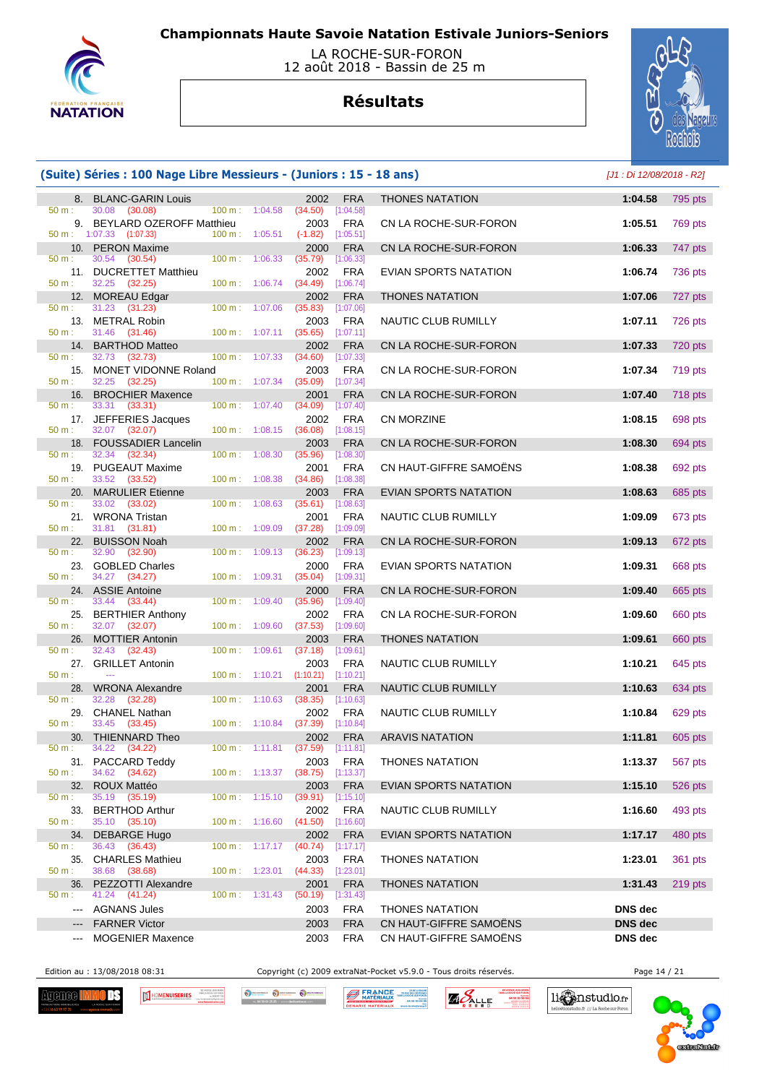

#### LA ROCHE-SUR-FORON 12 août 2018 - Bassin de 25 m

# **Résultats**



## **(Suite) Séries : 100 Nage Libre Messieurs - (Juniors : 15 - 18 ans)** [J1 : Di 12/08/2018 - R2]

|              | 8. BLANC-GARIN Louis                                  |                   |                           | 2002                             | <b>FRA</b>              | <b>THONES NATATION</b> | 1:04.58        | 795 pts   |
|--------------|-------------------------------------------------------|-------------------|---------------------------|----------------------------------|-------------------------|------------------------|----------------|-----------|
| 50 m:<br>9.  | 30.08 (30.08)<br>BEYLARD OZEROFF Matthieu             | $100 \text{ m}$ : | 1:04.58                   | (34.50)<br>2003                  | [1:04.58]<br><b>FRA</b> | CN LA ROCHE-SUR-FORON  | 1:05.51        | 769 pts   |
|              | $50 \text{ m}: 1:07.33$ $(1:07.33)$                   |                   | 100 m: 1:05.51            | $(-1.82)$ [1:05.51]              |                         |                        |                |           |
| 50 m:        | 10. PERON Maxime<br>30.54<br>(30.54)                  |                   | $100 \text{ m}$ : 1:06.33 | 2000<br>(35.79)                  | <b>FRA</b><br>[1:06.33] | CN LA ROCHE-SUR-FORON  | 1:06.33        | 747 pts   |
| 50 m:        | 11. DUCRETTET Matthieu<br>32.25 (32.25)               |                   | 100 m: 1:06.74            | 2002<br>(34.49)                  | <b>FRA</b><br>[1:06.74] | EVIAN SPORTS NATATION  | 1:06.74        | 736 pts   |
|              | 12. MOREAU Edgar                                      |                   |                           | 2002                             | <b>FRA</b>              | <b>THONES NATATION</b> | 1:07.06        | 727 pts   |
| 50 m:        | 31.23 (31.23)<br>13. METRAL Robin                     | 100 m:            | 1:07.06                   | (35.83)<br>2003                  | [1:07.06]<br><b>FRA</b> | NAUTIC CLUB RUMILLY    | 1:07.11        | 726 pts   |
| 50 m:        | 31.46 (31.46)                                         |                   | 100 m: 1:07.11            | (35.65)                          | [1:07.11]               |                        |                |           |
| 50 m:        | 14. BARTHOD Matteo<br>32.73 (32.73)                   | 100 m:            | 1:07.33                   | 2002<br>(34.60)                  | <b>FRA</b><br>[1:07.33] | CN LA ROCHE-SUR-FORON  | 1:07.33        | 720 pts   |
| 15.          | MONET VIDONNE Roland                                  |                   |                           | 2003                             | <b>FRA</b>              | CN LA ROCHE-SUR-FORON  | 1:07.34        | 719 pts   |
| 50 m:        | 32.25 (32.25)                                         |                   | $100 \text{ m}: 1:07.34$  | (35.09)                          | [1:07.34]               |                        |                |           |
| 16.<br>50 m: | <b>BROCHIER Maxence</b><br>33.31<br>(33.31)           | 100 m:            | 1:07.40                   | 2001<br>(34.09)                  | <b>FRA</b><br>[1:07.40] | CN LA ROCHE-SUR-FORON  | 1:07.40        | 718 pts   |
|              | 17. JEFFERIES Jacques                                 |                   |                           | 2002                             | <b>FRA</b>              | <b>CN MORZINE</b>      | 1:08.15        | 698 pts   |
| 50 m:        | 32.07 (32.07)<br>18. FOUSSADIER Lancelin              |                   | $100 \text{ m}: 1:08.15$  | (36.08)<br>2003                  | [1:08.15]<br><b>FRA</b> | CN LA ROCHE-SUR-FORON  | 1:08.30        | 694 pts   |
| 50 m:        | 32.34 (32.34)                                         | $100 \text{ m}$ : | 1:08.30                   | (35.96)                          | [1:08.30]               |                        |                |           |
| 50 m:        | 19. PUGEAUT Maxime<br>33.52 (33.52)                   | $100 \text{ m}$ : | 1:08.38                   | 2001<br>(34.86)                  | <b>FRA</b><br>[1:08.38] | CN HAUT-GIFFRE SAMOËNS | 1:08.38        | 692 pts   |
|              | 20. MARULIER Etienne                                  |                   |                           | 2003                             | <b>FRA</b>              | EVIAN SPORTS NATATION  | 1:08.63        | 685 pts   |
| 50 m:        | 33.02 (33.02)                                         | $100 m$ :         | 1:08.63                   | (35.61)                          | [1:08.63]               |                        |                |           |
| $50 m$ :     | 21. WRONA Tristan<br>31.81 (31.81)                    |                   | 100 m: 1:09.09            | 2001<br>(37.28)                  | <b>FRA</b><br>[1:09.09] | NAUTIC CLUB RUMILLY    | 1:09.09        | 673 pts   |
| 22.          | <b>BUISSON Noah</b>                                   |                   |                           | 2002                             | <b>FRA</b>              | CN LA ROCHE-SUR-FORON  | 1:09.13        | 672 pts   |
| 50 m:        | 32.90<br>(32.90)<br>23. GOBLED Charles                | 100 m:            | 1:09.13                   | (36.23)<br>2000                  | [1:09.13]<br><b>FRA</b> | EVIAN SPORTS NATATION  | 1:09.31        | 668 pts   |
| 50 m:        | 34.27 (34.27)                                         |                   | 100 m: 1:09.31            | (35.04)                          | [1:09.31]               |                        |                |           |
| 50 m:        | 24. ASSIE Antoine<br>33.44 (33.44)                    | 100 m:            | 1:09.40                   | 2000<br>(35.96)                  | <b>FRA</b><br>[1:09.40] | CN LA ROCHE-SUR-FORON  | 1:09.40        | 665 pts   |
| 25.          | <b>BERTHIER Anthony</b>                               |                   |                           | 2002                             | FRA                     | CN LA ROCHE-SUR-FORON  | 1:09.60        | 660 pts   |
| 50 m:<br>26. | 32.07 (32.07)<br><b>MOTTIER Antonin</b>               |                   | $100 \text{ m}: 1:09.60$  | $(37.53)$ $[1:09.60]$<br>2003    | <b>FRA</b>              | <b>THONES NATATION</b> | 1:09.61        | 660 pts   |
| 50 m:        | 32.43 (32.43)                                         | 100 m:            | 1:09.61                   | (37.18)                          | [1:09.61]               |                        |                |           |
| 27.<br>50 m: | <b>GRILLET Antonin</b><br>$\mathbb{Z} \to \mathbb{Z}$ |                   | $100 \text{ m}: 1:10.21$  | 2003<br>(1:10.21)                | <b>FRA</b><br>[1:10.21] | NAUTIC CLUB RUMILLY    | 1:10.21        | 645 pts   |
| 28.          | <b>WRONA Alexandre</b>                                |                   |                           | 2001                             | <b>FRA</b>              | NAUTIC CLUB RUMILLY    | 1:10.63        | 634 pts   |
| $50 m$ :     | 32.28<br>(32.28)                                      |                   | $100 \text{ m}: 1:10.63$  | (38.35)                          | [1:10.63]               |                        |                |           |
| 29.<br>50 m: | CHANEL Nathan<br>33.45 (33.45)                        |                   | $100 \text{ m}: 1:10.84$  | 2002<br>$(37.39)$ [1:10.84]      | <b>FRA</b>              | NAUTIC CLUB RUMILLY    | 1:10.84        | 629 pts   |
| 30.          | THIENNARD Theo                                        |                   |                           | 2002                             | <b>FRA</b>              | <b>ARAVIS NATATION</b> | 1:11.81        | 605 pts   |
| 50 m:        | 34.22 (34.22)<br>31. PACCARD Teddy                    |                   | $100 \text{ m}: 1:11.81$  | $(37.59)$ [1:11.81]              | 2003 FRA                | THONES NATATION        | 1:13.37        | 567 pts   |
| 50 m:        | 34.62 (34.62)                                         |                   |                           | 100 m: 1:13.37 (38.75) [1:13.37] |                         |                        |                |           |
|              | 32. ROUX Mattéo                                       |                   |                           | 2003                             | <b>FRA</b>              | EVIAN SPORTS NATATION  | 1:15.10        | 526 pts   |
| $50 m$ :     | 35.19 (35.19)<br>33. BERTHOD Arthur                   |                   | 100 m: 1:15.10            | $(39.91)$ $[1:15.10]$<br>2002    | FRA                     | NAUTIC CLUB RUMILLY    | 1:16.60        | 493 pts   |
| 50 m:        | 35.10 (35.10)                                         |                   |                           | 100 m: 1:16.60 (41.50) [1:16.60] |                         |                        |                |           |
| $50 m$ :     | 34. DEBARGE Hugo<br>36.43 (36.43)                     |                   | $100 \text{ m}: 1:17.17$  | 2002<br>(40.74)                  | <b>FRA</b><br>[1:17.17] | EVIAN SPORTS NATATION  | 1:17.17        | 480 pts   |
|              | 35. CHARLES Mathieu                                   |                   |                           | 2003                             | <b>FRA</b>              | <b>THONES NATATION</b> | 1:23.01        | 361 pts   |
| $50 m$ :     | 38.68 (38.68)                                         |                   |                           | 100 m: 1:23.01 (44.33) [1:23.01] |                         |                        |                |           |
| $50 m$ :     | 36. PEZZOTTI Alexandre<br>41.24 (41.24)               |                   | $100 m$ : 1:31.43         | 2001<br>(50.19)                  | <b>FRA</b><br>[1:31.43] | <b>THONES NATATION</b> | 1:31.43        | $219$ pts |
|              | --- AGNANS Jules                                      |                   |                           | 2003                             | <b>FRA</b>              | <b>THONES NATATION</b> | DNS dec        |           |
|              | <b>FARNER Victor</b>                                  |                   |                           | 2003                             | <b>FRA</b>              | CN HAUT-GIFFRE SAMOËNS | DNS dec        |           |
| ---          | <b>MOGENIER Maxence</b>                               |                   |                           | 2003                             | <b>FRA</b>              | CN HAUT-GIFFRE SAMOENS | <b>DNS</b> dec |           |

Edition au : 13/08/2018 08:31 Copyright (c) 2009 extraNat-Pocket v5.9.0 - Tous droits réservés. Page 14 / 21

Agenee <mark>H</mark> mr HOMENUISERIES  $\mathfrak{m}$  O DECHANGER O DECHANGER O DECHA **BERANGE** 

**ZA DE LA BALA<br>129 RUE DES GENTIARE<br>74880 LA ROCHE SUR FORD<br>04 SO 03 04 8 ZAPALLE**  li Canstudio.fr

io.fr /// La Roche sur Foron

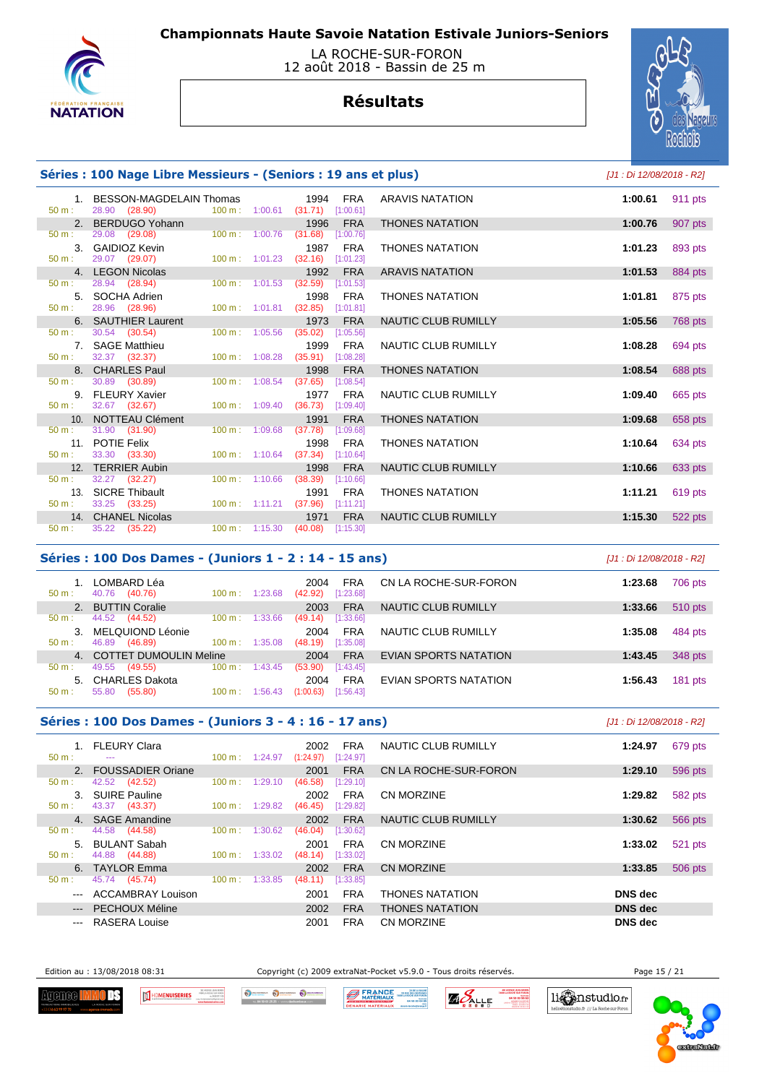



# **Résultats**



## **Séries : 100 Nage Libre Messieurs - (Seniors : 19 ans et plus)** [J1 : Di 12/08/2018 - R2]

| 50 m:    | 1. BESSON-MAGDELAIN Thomas<br>28.90 (28.90) |                           | 1994<br>FRA<br>$100 \text{ m}: 1:00.61$ $(31.71)$ $[1:00.61]$ | <b>ARAVIS NATATION</b> | 1:00.61 | 911 pts |
|----------|---------------------------------------------|---------------------------|---------------------------------------------------------------|------------------------|---------|---------|
|          | 2. BERDUGO Yohann                           |                           | 1996 FRA                                                      | <b>THONES NATATION</b> | 1:00.76 | 907 pts |
| 50 m:    | 29.08 (29.08) 100 m : 1:00.76               |                           | (31.68)<br>[1:00.76]                                          |                        |         |         |
|          | 3. GAIDIOZ Kevin                            |                           | 1987 FRA                                                      | <b>THONES NATATION</b> | 1:01.23 | 893 pts |
| 50 m:    | 29.07 (29.07)                               | $100 \text{ m}$ : 1:01.23 | $(32.16)$ [1:01.23]                                           |                        |         |         |
|          | 4. LEGON Nicolas                            |                           | <b>FRA</b><br>1992                                            | <b>ARAVIS NATATION</b> | 1:01.53 | 884 pts |
| 50 m:    | 28.94 (28.94)                               | $100 \text{ m}: 1:01.53$  | $(32.59)$ [1:01.53]                                           |                        |         |         |
|          | 5. SOCHA Adrien                             |                           | 1998<br>FRA                                                   | <b>THONES NATATION</b> | 1:01.81 | 875 pts |
| $50 m$ : | 28.96 (28.96)                               |                           | 100 m: 1:01.81 (32.85) [1:01.81]                              |                        |         |         |
|          | 6. SAUTHIER Laurent                         |                           | 1973 FRA                                                      | NAUTIC CLUB RUMILLY    | 1:05.56 | 768 pts |
|          | $50 \text{ m}: 30.54 (30.54)$               | $100 \text{ m}$ : 1:05.56 | $(35.02)$ [1:05.56]                                           |                        |         |         |
|          | 7. SAGE Matthieu                            |                           | FRA<br>1999                                                   | NAUTIC CLUB RUMILLY    | 1:08.28 | 694 pts |
| 50 m:    | 32.37 (32.37)                               | $100 \text{ m}: 1:08.28$  | $(35.91)$ [1:08.28]                                           |                        |         |         |
|          | 8. CHARLES Paul                             |                           | 1998<br><b>FRA</b>                                            | <b>THONES NATATION</b> | 1:08.54 | 688 pts |
| 50 m:    | 30.89 (30.89)                               | $100 \text{ m}: 1:08.54$  | (37.65)<br>[1:08.54]                                          |                        |         |         |
|          | 9. FLEURY Xavier                            |                           | 1977<br><b>FRA</b>                                            | NAUTIC CLUB RUMILLY    | 1:09.40 | 665 pts |
|          | $50 \text{ m}: 32.67 (32.67)$               | 100 m: 1:09.40            | $(36.73)$ [1:09.40]                                           |                        |         |         |
|          | 10. NOTTEAU Clément                         |                           | 1991<br><b>FRA</b>                                            | <b>THONES NATATION</b> | 1:09.68 | 658 pts |
| 50 m:    | 31.90 (31.90)                               | 100 m: 1:09.68            | (37.78)<br>[1:09.68]                                          |                        |         |         |
|          | 11. POTIE Felix                             |                           | FRA<br>1998                                                   | <b>THONES NATATION</b> | 1:10.64 | 634 pts |
| 50 m:    | 33.30 ( <b>33.30</b> )                      | $100 \text{ m}$ : 1:10.64 | $(37.34)$ [1:10.64]                                           |                        |         |         |
|          | 12. TERRIER Aubin                           |                           | <b>FRA</b><br>1998                                            | NAUTIC CLUB RUMILLY    | 1:10.66 | 633 pts |
| 50 m:    | 32.27 (32.27)                               | $100 \text{ m}: 1:10.66$  | $(38.39)$ [1:10.66]                                           |                        |         |         |
|          | 13. SICRE Thibault                          |                           | 1991<br><b>FRA</b>                                            | <b>THONES NATATION</b> | 1:11.21 | 619 pts |
| 50 m:    | 33.25 ( <b>33.25</b> )                      |                           | 100 m: 1:11.21 (37.96) [1:11.21]                              |                        |         |         |
|          | 14. CHANEL Nicolas                          |                           | 1971<br><b>FRA</b>                                            | NAUTIC CLUB RUMILLY    | 1:15.30 | 522 pts |
| 50 m:    | 35.22 (35.22)                               |                           | 100 m: 1:15.30 (40.08) [1:15.30]                              |                        |         |         |

#### **Séries : 100 Dos Dames - (Juniors 1 - 2 : 14 - 15 ans)** [J1 : Di 12/08/2018 - R2]

| $50 m$ :       | LOMBARD Léa<br>40.76<br>(40.76) | 1:23.68<br>$100 \text{ m}$ : | <b>FRA</b><br>2004<br>[1:23.68]<br>(42.92) | CN LA ROCHE-SUR-FORON | 706 pts<br>1:23.68   |
|----------------|---------------------------------|------------------------------|--------------------------------------------|-----------------------|----------------------|
|                | 2. BUTTIN Coralie               |                              | <b>FRA</b><br>2003                         | NAUTIC CLUB RUMILLY   | 510 pts<br>1:33.66   |
| $50 m$ :       | 44.52<br>(44.52)                | 1:33.66<br>$100 \text{ m}$ : | [1:33.66]<br>(49.14)                       |                       |                      |
|                | MELQUIOND Léonie                |                              | <b>FRA</b><br>2004                         | NAUTIC CLUB RUMILLY   | 1:35.08<br>484 pts   |
| $50 m$ :       | 46.89<br>(46.89)                | 1:35.08<br>$100 \text{ m}$ : | [1:35.08]<br>(48.19)                       |                       |                      |
| 4 <sup>1</sup> | <b>COTTET DUMOULIN Meline</b>   |                              | <b>FRA</b><br>2004                         | EVIAN SPORTS NATATION | 348 pts<br>1:43.45   |
| 50 m:          | 49.55<br>(49.55)                | $100 \text{ m}$ :<br>1:43.45 | [1:43.45]<br>(53.90)                       |                       |                      |
| 5.             | <b>CHARLES Dakota</b>           |                              | <b>FRA</b><br>2004                         | EVIAN SPORTS NATATION | $181$ pts<br>1:56.43 |
| 50 m:          | (55.80)<br>55.80                | $100 \text{ m}$ :<br>1:56.43 | [1:56.43]<br>(1:00.63)                     |                       |                      |
|                |                                 |                              |                                            |                       |                      |

#### **Séries : 100 Dos Dames - (Juniors 3 - 4 : 16 - 17 ans)** [J1 : Di 12/08/2018 - R2]

| $50 m$ :               | <b>FLEURY Clara</b><br>$- - -$        | $100 \text{ m}$ : | 1:24.97 | 2002<br>(1:24.97) | FRA<br>[1:24.97]        | NAUTIC CLUB RUMILLY    | 1:24.97        | 679 pts |
|------------------------|---------------------------------------|-------------------|---------|-------------------|-------------------------|------------------------|----------------|---------|
| 2.                     | <b>FOUSSADIER Oriane</b>              |                   |         | 2001              | <b>FRA</b>              | CN LA ROCHE-SUR-FORON  | 1:29.10        | 596 pts |
| 50 m:                  | (42.52)<br>42.52                      | 100 m:            | 1:29.10 | (46.58)           | [1:29.10]               |                        |                |         |
| 3.<br>$50 m$ :         | <b>SUIRE Pauline</b><br>43.37 (43.37) | 100 m:            | 1:29.82 | 2002<br>(46.45)   | <b>FRA</b><br>[1:29.82] | CN MORZINE             | 1:29.82        | 582 pts |
|                        | 4. SAGE Amandine                      |                   |         | 2002              | <b>FRA</b>              | NAUTIC CLUB RUMILLY    | 1:30.62        | 566 pts |
| 50 m:                  | 44.58<br>(44.58)                      | $100 \text{ m}$ : | 1:30.62 | (46.04)           | [1:30.62]               |                        |                |         |
| 5 <sub>1</sub>         | <b>BULANT Sabah</b>                   |                   |         | 2001              | <b>FRA</b>              | CN MORZINE             | 1:33.02        | 521 pts |
| $50 m$ :               | 44.88 (44.88)                         | $100 \text{ m}$ : | 1:33.02 | (48.14)           | [1:33.02]               |                        |                |         |
|                        | 6. TAYLOR Emma                        |                   |         | 2002              | <b>FRA</b>              | CN MORZINE             | 1:33.85        | 506 pts |
| 50 m:                  | 45.74<br>(45.74)                      | $100 \text{ m}$ : | 1:33.85 | (48.11)           | [1:33.85]               |                        |                |         |
| $\qquad \qquad -$      | <b>ACCAMBRAY Louison</b>              |                   |         | 2001              | <b>FRA</b>              | <b>THONES NATATION</b> | DNS dec        |         |
| $\qquad \qquad \cdots$ | <b>PECHOUX Méline</b>                 |                   |         | 2002              | <b>FRA</b>              | <b>THONES NATATION</b> | <b>DNS</b> dec |         |
| $---$                  | RASERA Louise                         |                   |         | 2001              | <b>FRA</b>              | <b>CN MORZINE</b>      | <b>DNS</b> dec |         |

Edition au : 13/08/2018 08:31 Copyright (c) 2009 extraNat-Pocket v5.9.0 - Tous droits réservés. Page 15 / 21



HOMENUISERIES

O SCHANDOLK O DECHANGER O DECH **BERANGE** 

ZA DE LA BA **ZAPALLE**  11 mmstudio.fr

o.fr /// La Roche sur Foro

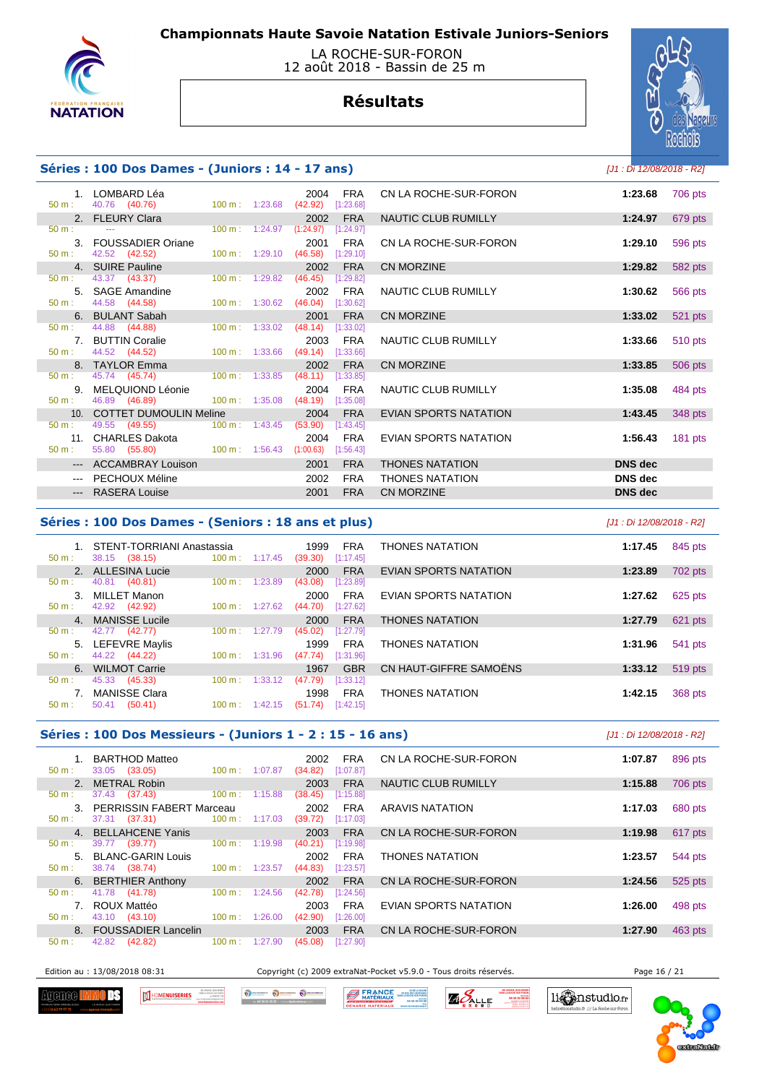

### LA ROCHE-SUR-FORON 12 août 2018 - Bassin de 25 m



# **Résultats**

#### **Séries : 100 Dos Dames - (Juniors : 14 - 17 ans)**

| [J1 : Di 12/08/2018 - R2] |  |
|---------------------------|--|
| 1:23.68 706 pts           |  |
| 1:24.97 679 pts           |  |

|                  | 50 m : 40.76 (40.76)                                   |  | 100 m: 1:23.68 (42.92) [1:23.68]   |            |                        |                |
|------------------|--------------------------------------------------------|--|------------------------------------|------------|------------------------|----------------|
|                  | 2. FLEURY Clara                                        |  |                                    | 2002 FRA   | NAUTIC CLUB RUMILLY    | 1:24.97        |
|                  | $50 \text{ m}$ : $-$                                   |  | 100 m: 1:24.97 (1:24.97) [1:24.97] |            |                        |                |
|                  | 3. FOUSSADIER Oriane                                   |  | 2001                               | FRA        | CN LA ROCHE-SUR-FORON  | 1:29.10        |
|                  | $50 \text{ m}: 42.52 (42.52)$                          |  | 100 m: 1:29.10 (46.58) [1:29.10]   |            |                        |                |
|                  | 4. SUIRE Pauline                                       |  | 2002                               | <b>FRA</b> | CN MORZINE             | 1:29.82        |
|                  | 50 m : 43.37 (43.37) 100 m : 1:29.82 (46.45) [1:29.82] |  |                                    |            |                        |                |
|                  | 5. SAGE Amandine                                       |  |                                    | 2002 FRA   | NAUTIC CLUB RUMILLY    | 1:30.62        |
|                  | 50 m : 44.58 (44.58) 100 m : 1:30.62 (46.04) [1:30.62] |  |                                    |            |                        |                |
|                  | 6. BULANT Sabah                                        |  |                                    | 2001 FRA   | CN MORZINE             | 1:33.02        |
|                  | 50 m : 44.88 (44.88) 100 m : 1:33.02 (48.14) [1:33.02] |  |                                    |            |                        |                |
|                  | 7. BUTTIN Coralie                                      |  |                                    | 2003 FRA   | NAUTIC CLUB RUMILLY    | 1:33.66        |
|                  | 50 m : 44.52 (44.52) 100 m : 1:33.66 (49.14) [1:33.66] |  |                                    |            |                        |                |
|                  | 8. TAYLOR Emma <b>Andrew Strategies</b>                |  |                                    | 2002 FRA   | CN MORZINE             | 1:33.85        |
|                  | 50 m : 45.74 (45.74) 100 m : 1:33.85 (48.11) [1:33.85] |  |                                    |            |                        |                |
|                  | 9. MELQUIOND Léonie                                    |  |                                    | 2004 FRA   | NAUTIC CLUB RUMILLY    | 1:35.08        |
| $50 \text{ m}$ : | 46.89 (46.89) 100 m : 1:35.08 (48.19) [1:35.08]        |  |                                    |            |                        |                |
|                  | 10. COTTET DUMOULIN Meline 2004 FRA                    |  |                                    |            | EVIAN SPORTS NATATION  | 1:43.45        |
| $50 m$ :         | 49.55 (49.55) 100 m : 1:43.45 (53.90) [1:43.45]        |  |                                    |            |                        |                |
|                  | 11. CHARLES Dakota                                     |  |                                    | 2004 FRA   | EVIAN SPORTS NATATION  | 1:56.43        |
| $50 \text{ m}$ : | 55.80 (55.80) 100 m : 1:56.43 (1:00.63) [1:56.43]      |  |                                    |            |                        |                |
|                  | --- ACCAMBRAY Louison                                  |  | 2001                               | <b>FRA</b> | <b>THONES NATATION</b> | <b>DNS</b> dec |
|                  | --- PECHOUX Méline                                     |  | 2002                               | FRA        | <b>THONES NATATION</b> | <b>DNS</b> dec |
|                  | --- RASERA Louise                                      |  | 2001                               | <b>FRA</b> | CN MORZINE             | <b>DNS</b> dec |
|                  |                                                        |  |                                    |            |                        |                |

|                                                                                                                                                                                                                                                                                                                                                                                                                                                                            | LOMBARD Léa<br>40.76 (40.76)                                                                   | 100 m: 1:23.68            | 2004<br>(42.92) | <b>FRA</b><br>[1:23.68] | CN LA ROCHE-SUR-FORON  | 1:23.68        | 706 pts   |
|----------------------------------------------------------------------------------------------------------------------------------------------------------------------------------------------------------------------------------------------------------------------------------------------------------------------------------------------------------------------------------------------------------------------------------------------------------------------------|------------------------------------------------------------------------------------------------|---------------------------|-----------------|-------------------------|------------------------|----------------|-----------|
|                                                                                                                                                                                                                                                                                                                                                                                                                                                                            | 2. FLEURY Clara                                                                                |                           | 2002            | <b>FRA</b>              | NAUTIC CLUB RUMILLY    | 1:24.97        | 679 pts   |
|                                                                                                                                                                                                                                                                                                                                                                                                                                                                            | $\frac{1}{2} \left( \frac{1}{2} \right) \left( \frac{1}{2} \right) \left( \frac{1}{2} \right)$ | $100 \text{ m}$ : 1:24.97 | (1:24.97)       | [1:24.97]               |                        |                |           |
|                                                                                                                                                                                                                                                                                                                                                                                                                                                                            | 3. FOUSSADIER Oriane<br>42.52 (42.52)                                                          | $100 \text{ m}: 1:29.10$  | 2001<br>(46.58) | <b>FRA</b><br>[1:29.10] | CN LA ROCHE-SUR-FORON  | 1:29.10        | 596 pts   |
|                                                                                                                                                                                                                                                                                                                                                                                                                                                                            | 4. SUIRE Pauline                                                                               |                           | 2002            | <b>FRA</b>              | CN MORZINE             | 1:29.82        | 582 pts   |
|                                                                                                                                                                                                                                                                                                                                                                                                                                                                            | 43.37 (43.37)                                                                                  | $100 \text{ m}: 1:29.82$  | (46.45)         | [1:29.82]               |                        |                |           |
|                                                                                                                                                                                                                                                                                                                                                                                                                                                                            | 5. SAGE Amandine                                                                               |                           | 2002            | <b>FRA</b>              | NAUTIC CLUB RUMILLY    | 1:30.62        | 566 pts   |
|                                                                                                                                                                                                                                                                                                                                                                                                                                                                            | 44.58 (44.58)                                                                                  | $100 \text{ m}: 1:30.62$  | (46.04)         | [1:30.62]               |                        |                |           |
|                                                                                                                                                                                                                                                                                                                                                                                                                                                                            | 6. BULANT Sabah                                                                                |                           | 2001            | <b>FRA</b>              | CN MORZINE             | 1:33.02        | 521 pts   |
|                                                                                                                                                                                                                                                                                                                                                                                                                                                                            | 44.88 (44.88)                                                                                  | $100 \text{ m}$ : 1:33.02 | (48.14)         | [1:33.02]               |                        |                |           |
|                                                                                                                                                                                                                                                                                                                                                                                                                                                                            | 7. BUTTIN Coralie                                                                              |                           | 2003            | <b>FRA</b>              | NAUTIC CLUB RUMILLY    | 1:33.66        | 510 pts   |
|                                                                                                                                                                                                                                                                                                                                                                                                                                                                            | 44.52 (44.52)                                                                                  | $100 \text{ m}: 1:33.66$  | (49.14)         | [1:33.66]               |                        |                |           |
|                                                                                                                                                                                                                                                                                                                                                                                                                                                                            | 8. TAYLOR Emma                                                                                 |                           | 2002            | <b>FRA</b>              | CN MORZINE             | 1:33.85        | 506 pts   |
|                                                                                                                                                                                                                                                                                                                                                                                                                                                                            | 45.74 (45.74)                                                                                  | $100 \text{ m}: 1:33.85$  | (48.11)         | [1:33.85]               |                        |                |           |
| 9.                                                                                                                                                                                                                                                                                                                                                                                                                                                                         | MELQUIOND Léonie                                                                               |                           | 2004            | <b>FRA</b>              | NAUTIC CLUB RUMILLY    | 1:35.08        | 484 pts   |
| ÷.                                                                                                                                                                                                                                                                                                                                                                                                                                                                         | 46.89 (46.89)                                                                                  | $100 \text{ m}: 1:35.08$  | (48.19)         | [1:35.08]               |                        |                |           |
| 10 <sub>1</sub>                                                                                                                                                                                                                                                                                                                                                                                                                                                            | <b>COTTET DUMOULIN Meline</b>                                                                  |                           | 2004            | <b>FRA</b>              | EVIAN SPORTS NATATION  | 1:43.45        | 348 pts   |
|                                                                                                                                                                                                                                                                                                                                                                                                                                                                            | 49.55 (49.55)                                                                                  | $100 \text{ m}: 1:43.45$  | (53.90)         | [1:43.45]               |                        |                |           |
| 11.                                                                                                                                                                                                                                                                                                                                                                                                                                                                        | <b>CHARLES Dakota</b>                                                                          |                           | 2004            | <b>FRA</b>              | EVIAN SPORTS NATATION  | 1:56.43        | $181$ pts |
|                                                                                                                                                                                                                                                                                                                                                                                                                                                                            | 55.80 (55.80)                                                                                  | $100 \text{ m}: 1:56.43$  | (1:00.63)       | [1:56.43]               |                        |                |           |
| $---$                                                                                                                                                                                                                                                                                                                                                                                                                                                                      | <b>ACCAMBRAY Louison</b>                                                                       |                           | 2001            | <b>FRA</b>              | <b>THONES NATATION</b> | DNS dec        |           |
| $\cdots$                                                                                                                                                                                                                                                                                                                                                                                                                                                                   | PECHOUX Méline                                                                                 |                           | 2002            | <b>FRA</b>              | <b>THONES NATATION</b> | <b>DNS</b> dec |           |
| $\frac{1}{2} \left( \frac{1}{2} \right) \left( \frac{1}{2} \right) \left( \frac{1}{2} \right) \left( \frac{1}{2} \right) \left( \frac{1}{2} \right) \left( \frac{1}{2} \right) \left( \frac{1}{2} \right) \left( \frac{1}{2} \right) \left( \frac{1}{2} \right) \left( \frac{1}{2} \right) \left( \frac{1}{2} \right) \left( \frac{1}{2} \right) \left( \frac{1}{2} \right) \left( \frac{1}{2} \right) \left( \frac{1}{2} \right) \left( \frac{1}{2} \right) \left( \frac$ | <b>RASERA Louise</b>                                                                           |                           | 2001            | <b>FRA</b>              | CN MORZINE             | <b>DNS</b> dec |           |
|                                                                                                                                                                                                                                                                                                                                                                                                                                                                            |                                                                                                |                           |                 |                         |                        |                |           |

### **Séries : 100 Dos Dames - (Seniors : 18 ans et plus)** [J1 : Di 12/08/2018 - R2]

|              | STENT-TORRIANI Anastassia |                              | 1999<br><b>FRA</b>   | <b>THONES NATATION</b> | 1:17.45 | 845 pts |
|--------------|---------------------------|------------------------------|----------------------|------------------------|---------|---------|
| $50 m$ :     | 38.15 (38.15)             | $100 \text{ m}$ : 1:17.45    | (39.30)<br>[1:17.45] |                        |         |         |
|              | 2. ALLESINA Lucie         |                              | <b>FRA</b><br>2000   | EVIAN SPORTS NATATION  | 1:23.89 | 702 pts |
| $50 m$ :     | 40.81<br>(40.81)          | 1:23.89<br>$100 \text{ m}$ : | [1:23.89]<br>(43.08) |                        |         |         |
| $\mathbf{3}$ | MILLET Manon              |                              | 2000<br><b>FRA</b>   | EVIAN SPORTS NATATION  | 1:27.62 | 625 pts |
| $50 m$ :     | 42.92 (42.92)             | $100 \text{ m}: 1:27.62$     | [1:27.62]<br>(44.70) |                        |         |         |
|              | 4. MANISSE Lucile         |                              | <b>FRA</b><br>2000   | <b>THONES NATATION</b> | 1:27.79 | 621 pts |
| $50 m$ :     | 42.77 (42.77)             | 1:27.79<br>$100 \text{ m}$ : | (45.02)<br>[1:27.79] |                        |         |         |
|              | 5. LEFEVRE Maylis         |                              | <b>FRA</b><br>1999   | <b>THONES NATATION</b> | 1:31.96 | 541 pts |
| $50 m$ :     | 44.22 (44.22)             | $100 \text{ m}$ : 1:31.96    | [1:31.96]<br>(47.74) |                        |         |         |
|              | 6. WILMOT Carrie          |                              | <b>GBR</b><br>1967   | CN HAUT-GIFFRE SAMOËNS | 1:33.12 | 519 pts |
| $50 m$ :     | 45.33<br>(45.33)          | 1:33.12<br>$100 \text{ m}$ : | (47.79)<br>[1:33.12] |                        |         |         |
|              | <b>MANISSE Clara</b>      |                              | 1998<br><b>FRA</b>   | <b>THONES NATATION</b> | 1:42.15 | 368 pts |
| $50 m$ :     | 50.41 (50.41)             | 1:42.15<br>$100 \text{ m}$ : | (51.74)<br>[1:42.15] |                        |         |         |

| <b>THONES NATATION</b> | 1:17.45 | 845 pts |
|------------------------|---------|---------|
| EVIAN SPORTS NATATION  | 1:23.89 | 702 pts |
| EVIAN SPORTS NATATION  | 1:27.62 | 625 pts |
| <b>THONES NATATION</b> | 1:27.79 | 621 pts |
| <b>THONES NATATION</b> | 1:31.96 | 541 pts |
| CN HAUT-GIFFRE SAMOËNS | 1:33.12 | 519 pts |
| <b>THONES NATATION</b> | 1:42.15 | 368 pts |

#### **Séries : 100 Dos Messieurs - (Juniors 1 - 2 : 15 - 16 ans)** [J1 : Di 12/08/2018 - R2]

| $50 \text{ m}$ :          | 1. BARTHOD Matteo<br>33.05 (33.05)              | $100 \text{ m}$ :<br>1:07.87 | 2002<br>(34.82) | <b>FRA</b><br>[1:07.87] | CN LA ROCHE-SUR-FORON  | 1:07.87 | 896 pts |
|---------------------------|-------------------------------------------------|------------------------------|-----------------|-------------------------|------------------------|---------|---------|
|                           | 2. METRAL Robin                                 |                              | 2003            | <b>FRA</b>              | NAUTIC CLUB RUMILLY    | 1:15.88 | 706 pts |
| $50 m$ :                  | 37.43 (37.43)                                   | 100 m:<br>1:15.88            | (38.45)         | [1:15.88]               |                        |         |         |
| 50 m:                     | 3. PERRISSIN FABERT Marceau<br>37.31<br>(37.31) | $100 \text{ m}$ :<br>1:17.03 | 2002<br>(39.72) | <b>FRA</b><br>[1:17.03] | ARAVIS NATATION        | 1:17.03 | 680 pts |
|                           | 4. BELLAHCENE Yanis                             |                              | 2003            | <b>FRA</b>              | CN LA ROCHE-SUR-FORON  | 1:19.98 | 617 pts |
| $50 m$ :                  | 39.77 (39.77)                                   | 1:19.98<br>$100 \text{ m}$ : | (40.21)         | [1:19.98]               |                        |         |         |
| $5 -$<br>$50 \text{ m}$ : | <b>BLANC-GARIN Louis</b><br>38.74 (38.74)       | $100 \text{ m}$ :<br>1:23.57 | 2002<br>(44.83) | <b>FRA</b><br>[1:23.57] | <b>THONES NATATION</b> | 1:23.57 | 544 pts |
|                           | 6. BERTHIER Anthony                             |                              | 2002            | <b>FRA</b>              | CN LA ROCHE-SUR-FORON  | 1:24.56 | 525 pts |
| $50 m$ :                  | 41.78<br>(41.78)                                | 1:24.56<br>100 m:            | (42.78)         | [1:24.56]               |                        |         |         |
| 50 m:                     | 7. ROUX Mattéo<br>43.10 (43.10)                 | 1:26.00<br>$100 \text{ m}$ : | 2003<br>(42.90) | <b>FRA</b><br>[1:26.00] | EVIAN SPORTS NATATION  | 1:26.00 | 498 pts |
|                           | 8. FOUSSADIER Lancelin                          |                              | 2003            | <b>FRA</b>              | CN LA ROCHE-SUR-FORON  | 1:27.90 | 463 pts |
| 50 m:                     | 42.82<br>(42.82)                                | 100 m:<br>1:27.90            | (45.08)         | [1:27.90]               |                        |         |         |

Edition au : 13/08/2018 08:31 Copyright (c) 2009 extraNat-Pocket v5.9.0 - Tous droits réservés. Page 16 / 21

11 mmstudio.fr

.<br>b.fr /// La Roche sur Fo



HOMENUISERIES

O SCHANDON O SCHANDON O BEC **BERANCE** 

**ZA**CALLE

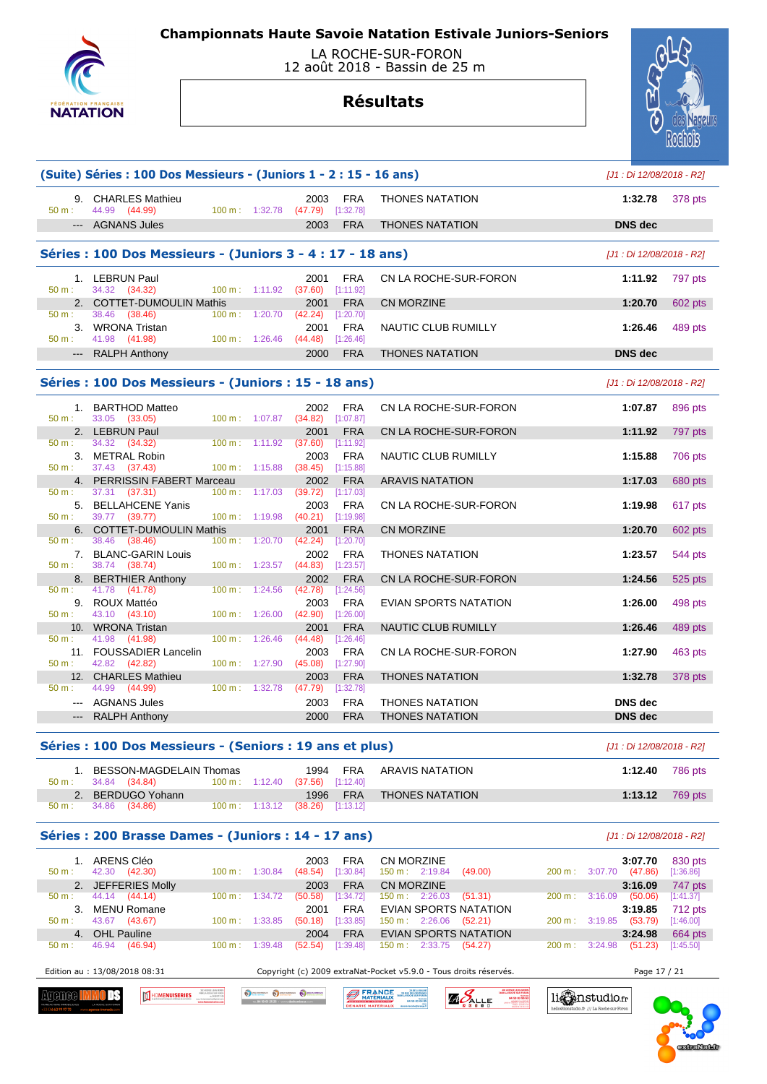

 LA ROCHE-SUR-FORON 12 août 2018 - Bassin de 25 m

# **Résultats**



| 50 m:<br>50 m:<br>50 m:<br>50 m: | 9. CHARLES Mathieu<br>44.99 (44.99)<br>--- AGNANS Jules<br>Séries : 100 Dos Messieurs - (Juniors 3 - 4 : 17 - 18 ans)<br>1. LEBRUN Paul<br>34.32 (34.32)<br>2. COTTET-DUMOULIN Mathis<br>38.46 (38.46)<br>3. WRONA Tristan<br>41.98 (41.98)<br>--- RALPH Anthony | 100 m: 1:20.70           | $100 m$ : 1:32.78<br>$100 \text{ m}: 1:11.92$ | 2003<br>(47.79)<br>2003<br>2001<br>(37.60) | FRA<br>[1:32.78]<br><b>FRA</b><br><b>FRA</b> | <b>THONES NATATION</b><br><b>THONES NATATION</b>                                          |                                                             | 1:32.78<br><b>DNS</b> dec            | 378 pts              |
|----------------------------------|------------------------------------------------------------------------------------------------------------------------------------------------------------------------------------------------------------------------------------------------------------------|--------------------------|-----------------------------------------------|--------------------------------------------|----------------------------------------------|-------------------------------------------------------------------------------------------|-------------------------------------------------------------|--------------------------------------|----------------------|
|                                  |                                                                                                                                                                                                                                                                  |                          |                                               |                                            |                                              |                                                                                           |                                                             |                                      |                      |
|                                  |                                                                                                                                                                                                                                                                  |                          |                                               |                                            |                                              |                                                                                           |                                                             |                                      |                      |
|                                  |                                                                                                                                                                                                                                                                  |                          |                                               |                                            |                                              |                                                                                           |                                                             | [J1 : Di 12/08/2018 - R2]            |                      |
|                                  |                                                                                                                                                                                                                                                                  |                          |                                               |                                            | [1:11.92]                                    | CN LA ROCHE-SUR-FORON                                                                     |                                                             | 1:11.92                              | 797 pts              |
|                                  |                                                                                                                                                                                                                                                                  |                          |                                               | 2001<br>(42.24)                            | <b>FRA</b><br>[1:20.70]                      | <b>CN MORZINE</b>                                                                         |                                                             | 1:20.70                              | 602 pts              |
|                                  |                                                                                                                                                                                                                                                                  |                          | 100 m: 1:26.46                                | 2001<br>(44.48)                            | <b>FRA</b><br>[1:26.46]                      | NAUTIC CLUB RUMILLY                                                                       |                                                             | 1:26.46                              | 489 pts              |
|                                  |                                                                                                                                                                                                                                                                  |                          |                                               | 2000                                       | <b>FRA</b>                                   | <b>THONES NATATION</b>                                                                    |                                                             | <b>DNS</b> dec                       |                      |
|                                  | Séries : 100 Dos Messieurs - (Juniors : 15 - 18 ans)                                                                                                                                                                                                             |                          |                                               |                                            |                                              |                                                                                           |                                                             | [J1 : Di 12/08/2018 - R2]            |                      |
| 50 m:                            | 1. BARTHOD Matteo<br>33.05 (33.05)                                                                                                                                                                                                                               |                          | 100 m: 1:07.87                                | 2002<br>(34.82)                            | <b>FRA</b><br>$[1:07.87]$                    | CN LA ROCHE-SUR-FORON                                                                     |                                                             | 1:07.87                              | 896 pts              |
| 50 m:                            | 2. LEBRUN Paul<br>34.32 (34.32)                                                                                                                                                                                                                                  |                          | $100 \text{ m}: 1:11.92$                      | 2001<br>(37.60)                            | <b>FRA</b><br>[1:11.92]                      | CN LA ROCHE-SUR-FORON                                                                     |                                                             | 1:11.92                              | 797 pts              |
| 50 m:                            | 3. METRAL Robin<br>37.43 (37.43)                                                                                                                                                                                                                                 |                          | 100 m: 1:15.88                                | 2003<br>(38.45)                            | <b>FRA</b><br>[1:15.88]                      | NAUTIC CLUB RUMILLY                                                                       |                                                             | 1:15.88                              | 706 pts              |
| 50 m:                            | 4. PERRISSIN FABERT Marceau<br>37.31 (37.31)                                                                                                                                                                                                                     |                          | 100 m: 1:17.03                                | 2002<br>(39.72)                            | <b>FRA</b><br>[1:17.03]                      | <b>ARAVIS NATATION</b>                                                                    |                                                             | 1:17.03                              | 680 pts              |
| $50 m$ :                         | 5. BELLAHCENE Yanis<br>39.77 (39.77)                                                                                                                                                                                                                             | $100 \text{ m}: 1:19.98$ |                                               | 2003<br>(40.21)                            | FRA<br>[1:19.98]                             | CN LA ROCHE-SUR-FORON                                                                     |                                                             | 1:19.98                              | 617 pts              |
| 6.<br>50 m:                      | <b>COTTET-DUMOULIN Mathis</b><br>38.46<br>(38.46)                                                                                                                                                                                                                | $100 \text{ m}$ :        | 1:20.70                                       | 2001<br>(42.24)                            | <b>FRA</b><br>[1:20.70]                      | <b>CN MORZINE</b>                                                                         |                                                             | 1:20.70                              | 602 pts              |
| 50 m:                            | 7. BLANC-GARIN Louis<br>38.74 (38.74)                                                                                                                                                                                                                            |                          | 100 m: 1:23.57                                | 2002<br>(44.83)                            | FRA<br>[1:23.57]                             | <b>THONES NATATION</b>                                                                    |                                                             | 1:23.57                              | 544 pts              |
| 50 m:                            | 8. BERTHIER Anthony<br>41.78 (41.78)                                                                                                                                                                                                                             | $100 \text{ m}$ :        | 1:24.56                                       | 2002<br>(42.78)                            | <b>FRA</b><br>[1:24.56]                      | CN LA ROCHE-SUR-FORON                                                                     |                                                             | 1:24.56                              | 525 pts              |
| 50 m:                            | 9. ROUX Mattéo<br>43.10 (43.10)                                                                                                                                                                                                                                  |                          | 100 m: 1:26.00                                | 2003<br>(42.90)                            | <b>FRA</b><br>[1:26.00]                      | EVIAN SPORTS NATATION                                                                     |                                                             | 1:26.00                              | 498 pts              |
| 50 m:                            | 10. WRONA Tristan<br>41.98 (41.98)                                                                                                                                                                                                                               |                          | $100 \text{ m}: 1:26.46$                      | 2001<br>(44.48)                            | <b>FRA</b><br>[1:26.46]                      | NAUTIC CLUB RUMILLY                                                                       |                                                             | 1:26.46                              | 489 pts              |
| 50 m:                            | 11. FOUSSADIER Lancelin<br>42.82 (42.82)                                                                                                                                                                                                                         |                          | 100 m: 1:27.90                                | 2003<br>(45.08)                            | <b>FRA</b><br>[1:27.90]                      | CN LA ROCHE-SUR-FORON                                                                     |                                                             | 1:27.90                              | 463 pts              |
| 12.<br>$50 m$ :                  | <b>CHARLES Mathieu</b><br>44.99 (44.99)                                                                                                                                                                                                                          |                          | 100 m: 1:32.78                                | 2003<br>(47.79)                            | <b>FRA</b><br>[1:32.78]                      | <b>THONES NATATION</b>                                                                    |                                                             | 1:32.78                              | 378 pts              |
|                                  | --- AGNANS Jules<br>--- RALPH Anthony                                                                                                                                                                                                                            |                          |                                               | 2003<br>2000                               | <b>FRA</b><br><b>FRA</b>                     | <b>THONES NATATION</b><br><b>THONES NATATION</b>                                          |                                                             | <b>DNS</b> dec<br><b>DNS</b> dec     |                      |
|                                  | Séries : 100 Dos Messieurs - (Seniors : 19 ans et plus)                                                                                                                                                                                                          |                          |                                               |                                            |                                              |                                                                                           |                                                             | [J1 : Di 12/08/2018 - R2]            |                      |
|                                  | 1. BESSON-MAGDELAIN Thomas                                                                                                                                                                                                                                       |                          |                                               | 1994                                       | FRA                                          | <b>ARAVIS NATATION</b>                                                                    |                                                             | 1:12.40                              | 786 pts              |
| 50 m:<br>2.<br>$50 m$ :          | 34.84 (34.84)<br><b>BERDUGO Yohann</b><br>34.86 (34.86)                                                                                                                                                                                                          | 100 m: 1:12.40           | $100 \text{ m}: 1:13.12$                      | (37.56)<br>1996<br>$(38.26)$ [1:13.12]     | [1:12.40]<br><b>FRA</b>                      | <b>THONES NATATION</b>                                                                    |                                                             | 1:13.12                              | 769 pts              |
|                                  | Séries : 200 Brasse Dames - (Juniors : 14 - 17 ans)                                                                                                                                                                                                              |                          |                                               |                                            |                                              |                                                                                           |                                                             |                                      |                      |
|                                  | 1. ARENS Cléo                                                                                                                                                                                                                                                    |                          |                                               | 2003                                       | <b>FRA</b>                                   | <b>CN MORZINE</b>                                                                         |                                                             | [J1 : Di 12/08/2018 - R2]<br>3:07.70 | 830 pts              |
| $50 m$ :                         | 42.30 (42.30)<br>2. JEFFERIES Molly                                                                                                                                                                                                                              |                          | 100 m: 1:30.84                                | (48.54)<br>2003                            | [1:30.84]<br><b>FRA</b>                      | $150 \text{ m}: 2:19.84$<br>(49.00)<br><b>CN MORZINE</b>                                  | 200 m:                                                      | $3:07.70$ (47.86)<br>3:16.09         | [1:36.86]<br>747 pts |
| 50 m:                            | 44.14 (44.14)<br>3. MENU Romane                                                                                                                                                                                                                                  | $100 \text{ m}$ :        | 1:34.72                                       | (50.58)<br>2001                            | [1:34.72]<br><b>FRA</b>                      | 150 m: 2:26.03<br>(51.31)<br>EVIAN SPORTS NATATION                                        | 200 m:                                                      | $3:16.09$ (50.06)<br>3:19.85         | [1:41.37]<br>712 pts |
| 50 m:                            | 43.67 (43.67)<br>4. OHL Pauline                                                                                                                                                                                                                                  | $100 m$ :                | 1:33.85                                       | (50.18)<br>2004                            | [1:33.85]<br><b>FRA</b>                      | 150 m: 2:26.06<br>(52.21)<br>EVIAN SPORTS NATATION                                        | 200 m:                                                      | $3:19.85$ (53.79)<br>3:24.98         | [1:46.00]<br>664 pts |
| 50 m:                            | 46.94 (46.94)                                                                                                                                                                                                                                                    | $100 \text{ m}$ :        | 1:39.48                                       | $(52.54)$ [1:39.48]                        |                                              | 150 m: 2:33.75<br>(54.27)                                                                 | 200 m: 3:24.98                                              | (51.23)                              | [1:45.50]            |
|                                  | Edition au : 13/08/2018 08:31                                                                                                                                                                                                                                    |                          |                                               |                                            |                                              | Copyright (c) 2009 extraNat-Pocket v5.9.0 - Tous droits réservés.                         |                                                             | Page 17 / 21                         |                      |
| :THURF                           | HOMENUISERIES                                                                                                                                                                                                                                                    |                          | O DECHARGERY COLORADOUX CO DECHARGE           |                                            | <b>BERANCE</b><br><b>ENARIE MATERIAUX</b>    | ZA DE LA BALA<br>129 RUE DES GENTIANS<br><b>AO</b> ALLE<br>04 50 03 96 6<br>04 50 03 04 8 | li∰nstudio.fr<br>hello@lionstudio.fr /// La Roche sur Foroz |                                      |                      |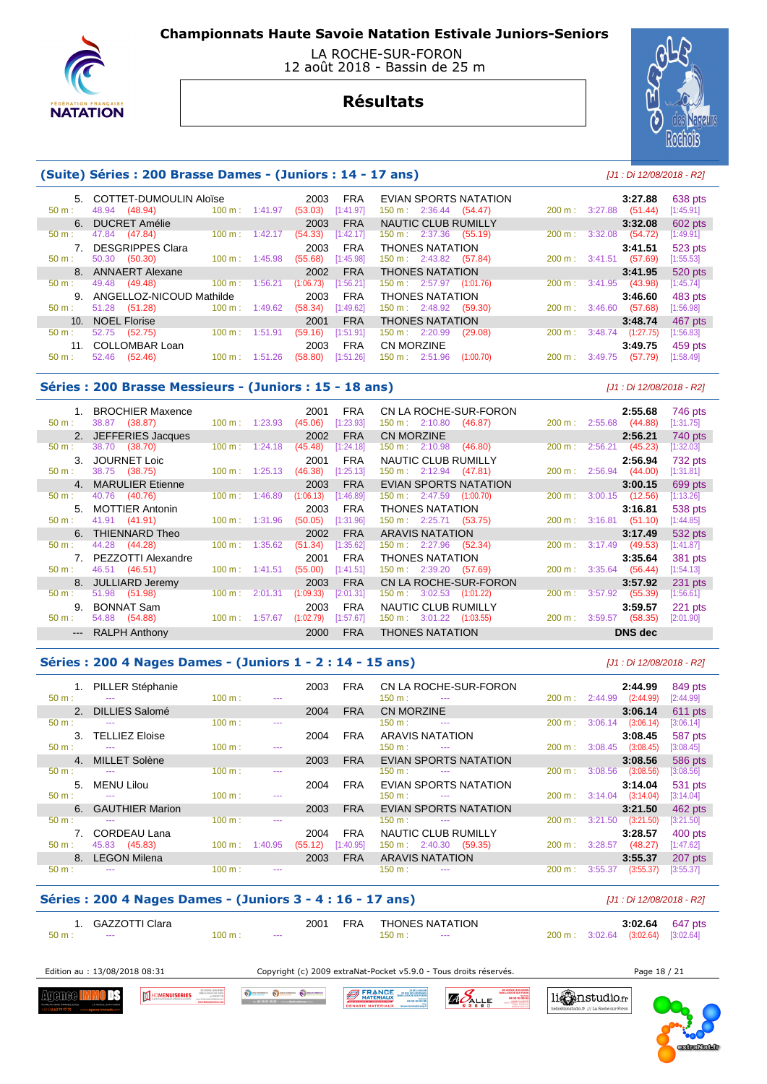

 LA ROCHE-SUR-FORON 12 août 2018 - Bassin de 25 m

# **Résultats**



## **(Suite) Séries : 200 Brasse Dames - (Juniors : 14 - 17 ans)** [J1 : Di 12/08/2018 - R2]

| 50 m:           | 5. COTTET-DUMOULIN Aloise<br>(48.94)<br>48.94 | $100 \text{ m}: 1:41.97$     | 2003<br>(53.03) | <b>FRA</b><br>[1:41.97] | EVIAN SPORTS NATATION<br>$150 \text{ m}: 2:36.44$<br>(54.47) | 200 m:            | 3:27.88<br>3:27.88<br>(51.44) | 638 pts<br>[1:45.91] |
|-----------------|-----------------------------------------------|------------------------------|-----------------|-------------------------|--------------------------------------------------------------|-------------------|-------------------------------|----------------------|
|                 | 6. DUCRET Amélie                              |                              | 2003            | <b>FRA</b>              | <b>NAUTIC CLUB RUMILLY</b>                                   |                   | 3:32.08                       | 602 pts              |
| 50 m:           | 47.84 (47.84)                                 | $100 \text{ m}$ :<br>1:42.17 | (54.33)         | [1:42.17]               | $150 \text{ m}: 2:37.36$<br>(55.19)                          | 200 m:            | 3:32.08<br>(54.72)            | [1:49.91]            |
|                 | <b>DESGRIPPES Clara</b>                       |                              | 2003            | <b>FRA</b>              | <b>THONES NATATION</b>                                       |                   | 3:41.51                       | 523 pts              |
| 50 m:           | (50.30)<br>50.30                              | $100 \text{ m}$ :<br>1:45.98 | (55.68)         | [1:45.98]               | $150 \text{ m}: 2:43.82$<br>(57.84)                          | $200 m$ :         | 3:41.51<br>(57.69)            | [1:55.53]            |
|                 | 8. ANNAERT Alexane                            |                              | 2002            | <b>FRA</b>              | <b>THONES NATATION</b>                                       |                   | 3:41.95                       | 520 pts              |
| $50 m$ :        | (49.48)<br>49.48                              | 100 m:<br>1:56.21            | (1:06.73)       | [1:56.21]               | 150 m: 2:57.97<br>(1:01.76)                                  | 200 m:            | 3:41.95<br>(43.98)            | [1:45.74]            |
| 9 <sub>1</sub>  | ANGELLOZ-NICOUD Mathilde                      |                              | 2003            | <b>FRA</b>              | <b>THONES NATATION</b>                                       |                   | 3:46.60                       | 483 pts              |
| $50 m$ :        | 51.28<br>(51.28)                              | $100 \text{ m}$ :<br>1:49.62 | (58.34)         | [1:49.62]               | 150 m: 2:48.92<br>(59.30)                                    | $200 \text{ m}$ : | (57.68)<br>3:46.60            | [1:56.98]            |
| 10 <sub>1</sub> | <b>NOEL Florise</b>                           |                              | 2001            | <b>FRA</b>              | <b>THONES NATATION</b>                                       |                   | 3:48.74                       | 467 pts              |
| $50 m$ :        | 52.75<br>(52.75)                              | $100 \text{ m}$ :<br>1:51.91 | (59.16)         | [1:51.91]               | $150 \text{ m}: 2:20.99$<br>(29.08)                          | $200 \text{ m}$ : | 3:48.74<br>(1:27.75)          | [1:56.83]            |
| 11.             | <b>COLLOMBAR Loan</b>                         |                              | 2003            | <b>FRA</b>              | CN MORZINE                                                   |                   | 3:49.75                       | 459 pts              |
| $50 m$ :        | 52.46<br>(52.46)                              | $100 \text{ m}$ :<br>1:51.26 | (58.80)         | [1:51.26]               | 150 m: 2:51.96<br>(1:00.70)                                  | 200 m:            | (57.79)<br>3:49.75            | [1:58.49]            |

#### **Séries : 200 Brasse Messieurs - (Juniors : 15 - 18 ans)** [J1 : Di 12/08/2018 - R2]

| 1. BROCHIER Maxence                  |                              | 2001<br><b>FRA</b>     | CN LA ROCHE-SUR-FORON                 | 2:55.68<br>746 pts                                   |
|--------------------------------------|------------------------------|------------------------|---------------------------------------|------------------------------------------------------|
| 38.87 (38.87)<br>50 m:               | $100 \text{ m}$ : 1:23.93    | [1:23.93]<br>(45.06)   | (46.87)<br>$150 \text{ m}: 2:10.80$   | 2:55.68<br>(44.88)<br>[1:31.75]<br>$200 \text{ m}$ : |
| 2. JEFFERIES Jacques                 |                              | <b>FRA</b><br>2002     | <b>CN MORZINE</b>                     | 2:56.21<br>740 pts                                   |
| 38.70<br>(38.70)<br>$50 m$ :         | 1:24.18<br>$100 \text{ m}$ : | (45.48)<br>1:24.18     | $150 \text{ m}: 2:10.98$<br>(46.80)   | [1:32.03]<br>2:56.21<br>(45.23)<br>$200 \text{ m}$ : |
| JOURNET Loic<br>3.                   |                              | <b>FRA</b><br>2001     | NAUTIC CLUB RUMILLY                   | 732 pts<br>2:56.94                                   |
| 38.75 (38.75)<br>$50 m$ :            | $100 \text{ m}: 1:25.13$     | [1:25.13]<br>(46.38)   | $150 \text{ m}: 2:12.94$<br>(47.81)   | 200 m: 2:56.94<br>(44.00)<br>[1:31.81]               |
| 4. MARULIER Etienne                  |                              | <b>FRA</b><br>2003     | EVIAN SPORTS NATATION                 | 3:00.15<br>699 pts                                   |
| 40.76<br>(40.76)<br>$50 \text{ m}$ : | 1:46.89<br>$100 \text{ m}$ : | (1:06.13)<br>[1:46.89] | $150 \text{ m}: 2:47.59$<br>(1:00.70) | 3:00.15<br>(12.56)<br>200 m:<br>[1:13.26]            |
| 5. MOTTIER Antonin                   |                              | 2003<br>FRA            | <b>THONES NATATION</b>                | 3:16.81<br>538 pts                                   |
| 41.91 (41.91)<br>$50 \text{ m}$ :    | $100 \text{ m}: 1:31.96$     | (50.05)<br>[1:31.96]   | $150 \text{ m}: 2:25.71$ (53.75)      | (51.10)<br>200 m: 3:16.81<br>[1:44.85]               |
| THIENNARD Theo<br>6.                 |                              | <b>FRA</b><br>2002     | <b>ARAVIS NATATION</b>                | 3:17.49<br>532 pts                                   |
| 44.28<br>(44.28)<br>$50 m$ :         | $100 \text{ m}$ :<br>1:35.62 | (51.34)<br>1:35.62]    | 150 m : 2:27.96<br>(52.34)            | (49.53)<br>$200 \text{ m}$ :<br>3:17.49<br>[1:41.87] |
| PEZZOTTI Alexandre                   |                              | <b>FRA</b><br>2001     | <b>THONES NATATION</b>                | 3:35.64<br>381 pts                                   |
| 46.51 (46.51)<br>$50 m$ :            | $100 \text{ m}: 1:41.51$     | [1:41.51]<br>(55.00)   | 150 m : 2:39.20<br>(57.69)            | 3:35.64<br>(56.44)<br>$200 \text{ m}$ :<br>[1:54.13] |
| JULLIARD Jeremy<br>8.                |                              | <b>FRA</b><br>2003     | CN LA ROCHE-SUR-FORON                 | 3:57.92<br>231 pts                                   |
| (51.98)<br>51.98<br>$50 m$ :         | 100 m:<br>2:01.31            | (1:09.33)<br>[2:01.31] | 3:02.53<br>150 m :<br>(1:01.22)       | 3:57.92<br>200 m:<br>(55.39)<br>[1:56.61]            |
| <b>BONNAT Sam</b><br>9.              |                              | <b>FRA</b><br>2003     | NAUTIC CLUB RUMILLY                   | 3:59.57<br>221 pts                                   |
| 54.88<br>(54.88)<br>$50 m$ :         | $100 \text{ m}$ : 1:57.67    | (1:02.79)<br>[1:57.67] | $150 \text{ m}: 3:01.22$<br>(1:03.55) | (58.35)<br>3:59.57<br>200 m :<br>[2:01.90]           |
| --- RALPH Anthony                    |                              | 2000<br><b>FRA</b>     | <b>THONES NATATION</b>                | <b>DNS</b> dec                                       |

### **Séries : 200 4 Nages Dames - (Juniors 1 - 2 : 14 - 15 ans)** [J1 : Di 12/08/2018 - R2]

 1. PILLER Stéphanie 2003 FRA CN LA ROCHE-SUR-FORON **2:44.99** 849 pts 50 m : --- 100 m : --- 100 m : --- 150 m : --- 200 m : 2:44.99 (2:44.99) [2:44.99] 2. DILLIES Salomé 2004 FRA CN MORZINE **3:06.14** 611 pts 50 m : --- 100 m : --- 100 m : --- 150 m : --- 200 m : 3:06.14 (3:06.14) [3:06.14] 3. TELLIEZ Eloise 2004 FRA ARAVIS NATATION **3:08.45** 587 pts 50 m : --- 100 m : --- 100 m : --- 150 m : --- 200 m : 3:08.45 (3:08.45) [3:08.45] 4. MILLET Solène 2003 FRA EVIAN SPORTS NATATION **3:08.56** 586 pts 50 m : --- 100 m : --- 100 m : --- 150 m : --- 200 m : 3:08.56 (3:08.56) [3:08.56] 5. MENU Lilou 2004 FRA EVIAN SPORTS NATATION **3:14.04** 531 pts 50 m : --- 100 m : --- 100 m : --- 150 m : --- 200 m : 3:14.04 (3:14.04) [3:14.04] 6. GAUTHIER Marion 2003 FRA EVIAN SPORTS NATATION **3:21.50** 462 pts 50 m : --- 100 m : --- 100 m : --- 150 m : --- 200 m : 3:21.50 (3:21.50) [3:21.50] 7. CORDEAU Lana 2004 FRA NAUTIC CLUB RUMILLY **3:28.57** 400 pts 50 m : 45.83 (45.83) 100 m : 1:40.95 (55.12) [1:40.95] 150 m : 2:40.30 (59.35) 8. LEGON Milena 2003 FRA ARAVIS NATATION **3:55.37** 207 pts 50 m : --- 100 m : --- 100 m : --- 150 m : --- 200 m : 3:55.37 (3:55.37) [3:55.37]

## **Séries : 200 4 Nages Dames - (Juniors 3 - 4 : 16 - 17 ans)** [J1 : Di 12/08/2018 - R2]

Oscarso Oscarso Osc

|        | GAZZOTTI Clara |        |               |  | 2001 FRA THONES NATATION |                                    | <b>3:02.64</b> 647 pts |
|--------|----------------|--------|---------------|--|--------------------------|------------------------------------|------------------------|
| 50 m : | <b>Service</b> | 100 m: | $\sim$ $\sim$ |  | 150 m:<br>$\sim$ $\sim$  | 200 m: 3:02.64 (3:02.64) [3:02.64] |                        |

**BERANCE** 

**MENUISERIES** 

Edition au : 13/08/2018 08:31 Copyright (c) 2009 extraNat-Pocket v5.9.0 - Tous droits réservés. Page 18 / 21

 $0.\mathsf{fr}$  /// La Ros

Agenee l ПE



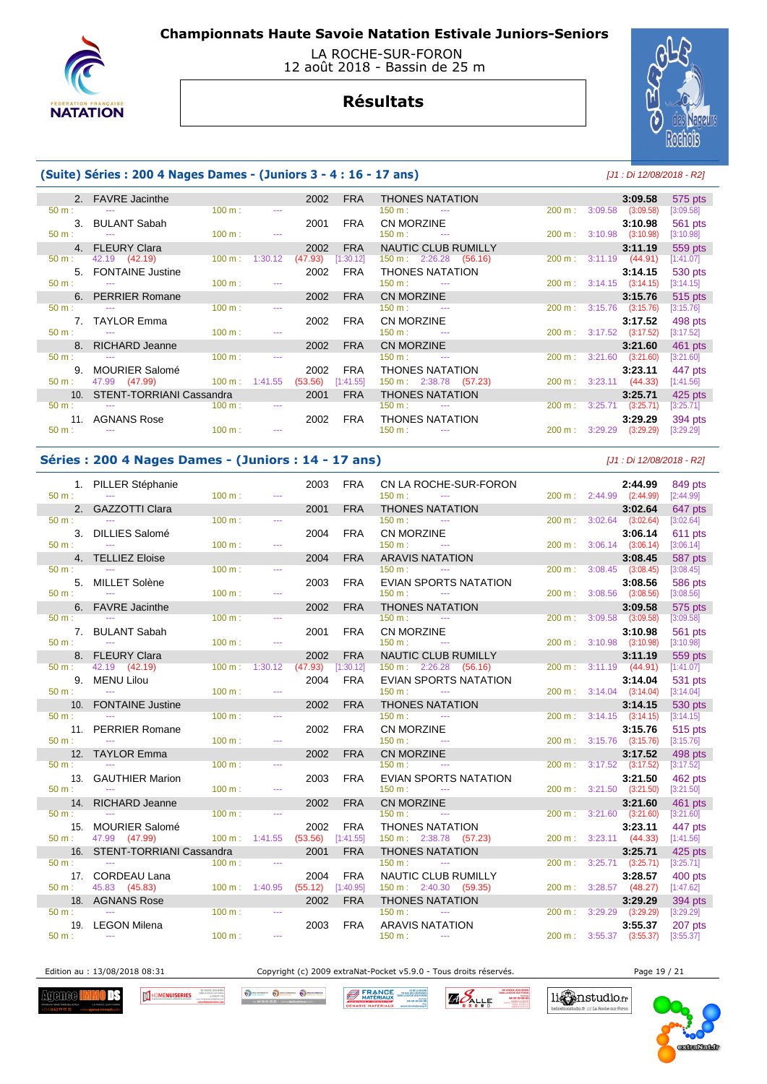

### LA ROCHE-SUR-FORON 12 août 2018 - Bassin de 25 m

# **Résultats**



## **(Suite) Séries : 200 4 Nages Dames - (Juniors 3 - 4 : 16 - 17 ans)** [J1 : Di 12/08/2018 - R2]

|                      | 2. FAVRE Jacinthe            |                           |                 | 2002    | <b>FRA</b> | <b>THONES NATATION</b>                  |                              | 3:09.58   | 575 pts   |
|----------------------|------------------------------|---------------------------|-----------------|---------|------------|-----------------------------------------|------------------------------|-----------|-----------|
|                      | $50 \text{ m}$ : $-$         | 100 m:                    |                 |         |            | $150 \text{ m}$ :                       | 200 m: 3:09.58 (3:09.58)     |           | [3:09.58] |
|                      | 3. BULANT Sabah              |                           |                 | 2001    | <b>FRA</b> | CN MORZINE                              |                              | 3:10.98   | 561 pts   |
| $50 m$ :             | <b>Service State</b>         | $100 \text{ m}$ :         |                 |         |            | $150 \text{ m}$ : $-$                   | 200 m: 3:10.98 (3:10.98)     |           | [3:10.98] |
|                      | 4. FLEURY Clara              |                           |                 | 2002    | <b>FRA</b> | NAUTIC CLUB RUMILLY                     |                              | 3:11.19   | 559 pts   |
| 50 m:                | 42.19 (42.19)                | $100 \text{ m}$ :         | 1:30.12         | (47.93) | [1:30.12]  | $150 \text{ m}: 2:26.28$<br>(56.16)     | 200 m: 3:11.19 (44.91)       |           | [1:41.07] |
|                      | 5. FONTAINE Justine          |                           |                 | 2002    | <b>FRA</b> | <b>THONES NATATION</b>                  |                              | 3:14.15   | 530 pts   |
|                      | $50 \text{ m}$ : $-$         | $100 \text{ m}$ :         |                 |         |            | $150 \text{ m}$ : ---                   | 200 m: 3:14.15 (3:14.15)     |           | [3:14.15] |
|                      | 6. PERRIER Romane            |                           |                 | 2002    | <b>FRA</b> | CN MORZINE                              |                              | 3:15.76   | 515 pts   |
| $50 m$ :             | <b>Contract Contract</b>     | 100 m:                    |                 |         |            | $150 \text{ m}$ :<br><b>State State</b> | 200 m: 3:15.76               | (3:15.76) | [3:15.76] |
|                      | 7. TAYLOR Emma               |                           |                 | 2002    | FRA        | <b>CN MORZINE</b>                       |                              | 3:17.52   | 498 pts   |
| $50 m:$ $---$        |                              | 100 m:                    |                 |         |            | $150 \text{ m}$ : $---$                 | 200 m : 3:17.52 (3:17.52)    |           | [3:17.52] |
|                      | 8. RICHARD Jeanne            |                           |                 | 2002    | <b>FRA</b> | <b>CN MORZINE</b>                       |                              | 3:21.60   | 461 pts   |
| $50 \text{ m}$ : $-$ |                              | $100 \text{ m}$ :         | $\sim$ $\sim$   |         |            | $150 \text{ m}$ : $-$                   | $200 \text{ m}: 3:21.60$     | (3:21.60) | [3:21.60] |
|                      | 9. MOURIER Salomé            |                           |                 | 2002    | <b>FRA</b> | <b>THONES NATATION</b>                  |                              | 3:23.11   | 447 pts   |
| 50 m:                | 47.99 (47.99)                | $100 \text{ m}$ : 1:41.55 |                 | (53.56) | [1:41.55]  | $150 \text{ m}: 2:38.78$ (57.23)        | 200 m: 3:23.11 (44.33)       |           | [1:41.56] |
|                      | 10. STENT-TORRIANI Cassandra |                           |                 | 2001    | <b>FRA</b> | <b>THONES NATATION</b>                  |                              | 3:25.71   | $425$ pts |
|                      |                              | $100 \text{ m}$ :         | <b>Security</b> |         |            | $150 \text{ m}$ : $-$                   | 3:25.71<br>$200 \text{ m}$ : | (3:25.71) | [3:25.71] |
|                      | 11. AGNANS Rose              |                           |                 | 2002    | FRA        | <b>THONES NATATION</b>                  |                              | 3:29.29   | 394 pts   |
| $50 m$ :             | $\sim$                       | $100 \text{ m}$ :         | $\sim$ $\sim$   |         |            | $150 \text{ m}$ :                       | $200 \text{ m}: 3:29.29$     | (3:29.29) | [3:29.29] |

## **Séries : 200 4 Nages Dames - (Juniors : 14 - 17 ans)** [J1 : Di 12/08/2018 - R2]

|                  | 1. PILLER Stéphanie          |                   |                | 2003    | <b>FRA</b> | CN LA ROCHE-SUR-FORON                                |                   |                          | 2:44.99   | 849 pts              |
|------------------|------------------------------|-------------------|----------------|---------|------------|------------------------------------------------------|-------------------|--------------------------|-----------|----------------------|
| $50 m$ :         | $\mathbb{Z} \to \mathbb{Z}$  | 100 m:            | $\sim$         |         |            | 150 m:<br>$\sim$ $\sim$                              |                   | 200 m: 2:44.99 (2:44.99) |           | [2:44.99]            |
|                  | 2. GAZZOTTI Clara            |                   |                | 2001    | <b>FRA</b> | <b>THONES NATATION</b>                               |                   |                          | 3:02.64   | 647 pts              |
| $50 m$ :         | $\sim$ $\sim$                | 100 m:            | $\cdots$       |         |            | 150 m:<br>$\sim$ $\sim$ $\sim$                       | 200 m:            | $3:02.64$ $(3:02.64)$    |           | [3:02.64]            |
|                  | 3. DILLIES Salomé            |                   |                | 2004    | <b>FRA</b> | <b>CN MORZINE</b>                                    |                   |                          | 3:06.14   | 611 pts              |
| $50 m$ :         | $\sim$                       | 100 m:            | $\sim$ $\sim$  |         |            | $150 m$ :<br>$\sim$                                  |                   | 200 m: 3:06.14 (3:06.14) |           | [3:06.14]            |
|                  | 4. TELLIEZ Eloise            |                   |                | 2004    | <b>FRA</b> | <b>ARAVIS NATATION</b>                               |                   |                          | 3:08.45   | 587 pts              |
| $50 m$ :         |                              | 100 m:            | $\sim$         |         |            | $150 m$ :<br>$\sim$ $\sim$                           |                   | 200 m: 3:08.45 (3:08.45) |           | [3:08.45]            |
|                  |                              |                   |                |         |            |                                                      |                   |                          |           |                      |
|                  | 5. MILLET Solène             |                   |                | 2003    | <b>FRA</b> | <b>EVIAN SPORTS NATATION</b>                         |                   |                          | 3:08.56   | 586 pts              |
| $50 \text{ m}$ : | $\sim$ $\sim$                | 100 m:            | $\overline{a}$ |         |            | $150 m$ :<br>$\sim$ $\sim$                           |                   | 200 m: 3:08.56 (3:08.56) |           | [3:08.56]            |
|                  | 6. FAVRE Jacinthe            |                   |                | 2002    | <b>FRA</b> | <b>THONES NATATION</b>                               |                   |                          | 3:09.58   | 575 pts              |
| $50 m$ :         | $\sim$ $\sim$                | 100 m:            | $- - -$        |         |            | $150 m$ :                                            | 200 m:            | $3:09.58$ $(3:09.58)$    |           | [3:09.58]            |
| 7.               | <b>BULANT Sabah</b>          |                   |                | 2001    | <b>FRA</b> | <b>CN MORZINE</b>                                    |                   |                          | 3:10.98   | 561 pts              |
| $50 \text{ m}$ : | $\sim$ $\sim$                | 100 m:            | $\sim$         |         |            | 150 m:<br>$\sim$                                     |                   | 200 m: 3:10.98 (3:10.98) |           | [3:10.98]            |
|                  | 8. FLEURY Clara              |                   |                | 2002    | <b>FRA</b> | <b>NAUTIC CLUB RUMILLY</b>                           |                   |                          | 3:11.19   | 559 pts              |
| $50 m$ :         | 42.19 (42.19)                | $100 \text{ m}$ : | 1:30.12        | (47.93) | [1:30.12]  | $150 \text{ m}: 2:26.28$ (56.16)                     |                   | 200 m: 3:11.19 (44.91)   |           | [1:41.07]            |
| 9.               | <b>MENU Lilou</b>            |                   |                | 2004    | <b>FRA</b> | EVIAN SPORTS NATATION                                |                   |                          | 3:14.04   | 531 pts              |
| $50 m$ :         | $\sim$                       | 100 m:            | $\cdots$       |         |            | 150 m:<br>$\sim$ $\sim$ $\sim$                       |                   | 200 m: 3:14.04 (3:14.04) |           | [3:14.04]            |
|                  | 10. FONTAINE Justine         |                   |                | 2002    | <b>FRA</b> | <b>THONES NATATION</b>                               |                   |                          | 3:14.15   | 530 pts              |
| $50 m$ :         | $\sim$ $\sim$                | 100 m:            | ---            |         |            | $150 m$ :<br><b>State State</b>                      |                   | 200 m: 3:14.15 (3:14.15) |           | [3:14.15]            |
|                  | 11. PERRIER Romane           |                   |                | 2002    | <b>FRA</b> | <b>CN MORZINE</b>                                    |                   |                          |           |                      |
| $50 m$ :         | $\sim$ $\sim$                | 100 m:            |                |         |            | 150 m:                                               |                   | 200 m: 3:15.76 (3:15.76) | 3:15.76   | 515 pts              |
|                  |                              |                   | ---            |         |            |                                                      |                   |                          |           | [3:15.76]            |
| 12.              | <b>TAYLOR Emma</b>           |                   |                | 2002    | <b>FRA</b> | <b>CN MORZINE</b>                                    |                   |                          | 3:17.52   | 498 pts              |
| $50 m$ :         | <b>Service</b>               | 100 m:            | $\cdots$       |         |            | 150 m:<br>$\sim$ $-$                                 | 200 m:            | $3:17.52$ $(3:17.52)$    |           | [3:17.52]            |
|                  | 13. GAUTHIER Marion          |                   |                | 2003    | <b>FRA</b> | <b>EVIAN SPORTS NATATION</b>                         |                   |                          | 3:21.50   | 462 pts              |
| $50 m$ :         | $\sim$                       | 100 m:            | ---            |         |            | $150 m$ :<br>$\sim$                                  | 200 m:            | $3:21.50$ $(3:21.50)$    |           | [3:21.50]            |
| 14.              | <b>RICHARD Jeanne</b>        |                   |                | 2002    | <b>FRA</b> | CN MORZINE                                           |                   |                          | 3:21.60   | <b>461 pts</b>       |
| $50 m$ :         | $\sim$                       | 100 m:            | $\sim$         |         |            | $150 m$ :<br>$\sim$                                  | 200 m:            | $3:21.60$ $(3:21.60)$    |           | [3:21.60]            |
| 15.              | <b>MOURIER Salomé</b>        |                   |                | 2002    | <b>FRA</b> | <b>THONES NATATION</b>                               |                   |                          | 3:23.11   | 447 pts              |
| $50 m$ :         | 47.99 (47.99)                | 100 m: 1:41.55    |                | (53.56) | [1:41.55]  | 150 m: 2:38.78 (57.23)                               |                   | 200 m: 3:23.11 (44.33)   |           | [1:41.56]            |
|                  | 16. STENT-TORRIANI Cassandra |                   |                | 2001    | <b>FRA</b> | <b>THONES NATATION</b>                               |                   |                          | 3:25.71   | 425 pts              |
| 50 m:            | $\sim$                       | 100 m:            | $\sim$         |         |            | 150 m:<br>$- - -$                                    | 200 m:            | $3:25.71$ $(3:25.71)$    |           | [3:25.71]            |
|                  | 17. CORDEAU Lana             |                   |                | 2004    | <b>FRA</b> | <b>NAUTIC CLUB RUMILLY</b>                           |                   |                          | 3:28.57   | 400 pts              |
| 50 m:            | 45.83 (45.83)                | 100 m: 1:40.95    |                | (55.12) | [1:40.95]  | 150 m: 2:40.30 (59.35)                               | $200 \text{ m}$ : | $3:28.57$ (48.27)        |           | [1:47.62]            |
|                  | 18. AGNANS Rose              |                   |                | 2002    | <b>FRA</b> | <b>THONES NATATION</b>                               |                   |                          | 3:29.29   | 394 pts              |
| $50 m$ :         | $\sim$ $\sim$                | 100 m:            | $\sim$         |         |            | 150 m:<br>$\sim$ $\sim$                              | 200 m:            | 3:29.29                  | (3:29.29) | [3:29.29]            |
|                  | <b>LEGON Milena</b>          |                   |                | 2003    |            |                                                      |                   |                          | 3:55.37   |                      |
| 19.<br>$50 m$ :  | $\sim$ $\sim$                | 100 m:            | $\sim$         |         | <b>FRA</b> | <b>ARAVIS NATATION</b><br>$150 m$ :<br>$\sim$ $\sim$ |                   | 200 m: 3:55.37 (3:55.37) |           | 207 pts<br>[3:55.37] |
|                  |                              |                   |                |         |            |                                                      |                   |                          |           |                      |

Edition au : 13/08/2018 08:31 Copyright (c) 2009 extraNat-Pocket v5.9.0 - Tous droits réservés. Page 19 / 21

Agenee <mark>I</mark> ΠK HOMENUISERIES

O SCHANDOLK O DECHANGER O DECH **BERANCE** 

ZA DE LA BA **ZAPALLE** 



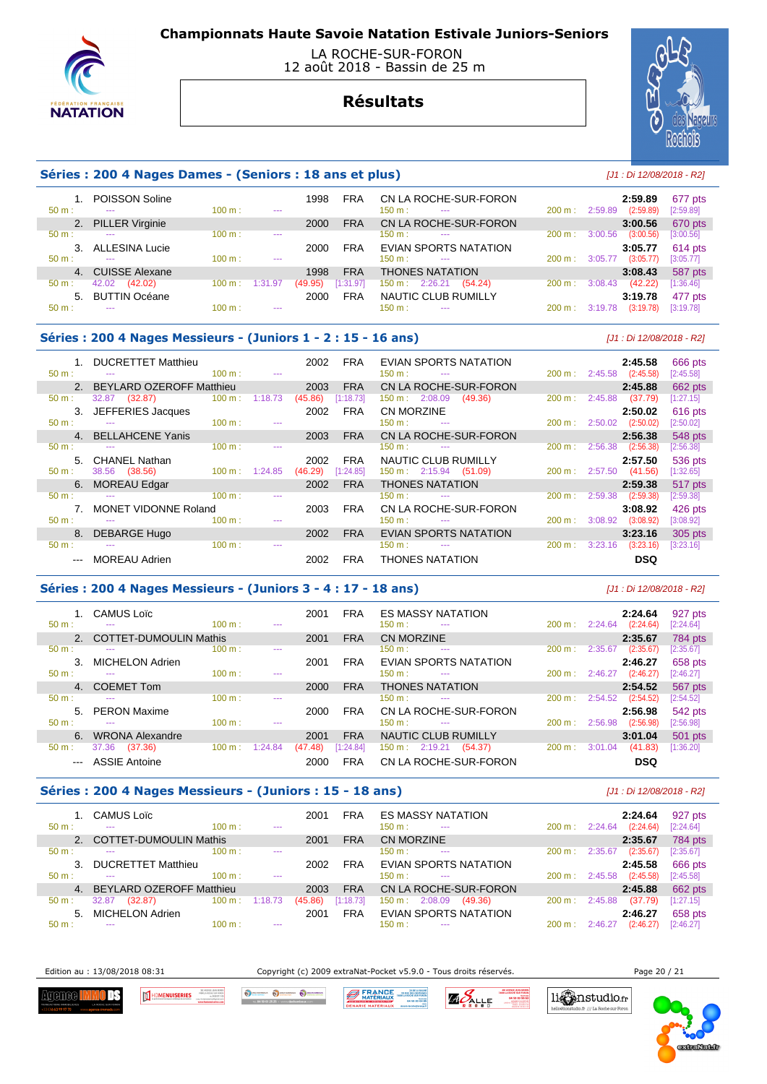

#### LA ROCHE-SUR-FORON 12 août 2018 - Bassin de 25 m

# **Résultats**



## **Séries : 200 4 Nages Dames - (Seniors : 18 ans et plus)** [J1 : Di 12/08/2018 - R2]

| $50 m$ :       | <b>POISSON Soline</b><br>--- | 100 m: | $- - -$ | 1998    | <b>FRA</b> | CN LA ROCHE-SUR-FORON<br>150 m:<br>$- - -$ | 200 m:            | 2:59.89<br>(2:59.89)<br>2:59.89 | 677 pts<br>[2:59.89] |
|----------------|------------------------------|--------|---------|---------|------------|--------------------------------------------|-------------------|---------------------------------|----------------------|
| 2.             | <b>PILLER Virginie</b>       |        |         | 2000    | <b>FRA</b> | CN LA ROCHE-SUR-FORON                      |                   | 3:00.56                         | 670 pts              |
| $50 m$ :       | ---                          | 100 m: | $- - -$ |         |            | 150 m :<br>$- - -$                         | 200 m:            | (3:00.56)<br>3:00.56            | [3:00.56]            |
|                | <b>ALLESINA Lucie</b>        |        |         | 2000    | <b>FRA</b> | <b>EVIAN SPORTS NATATION</b>               |                   | 3:05.77                         | 614 pts              |
| $50 m$ :       | $\sim$ $\sim$                | 100 m: | $- - -$ |         |            | $150 \text{ m}$ :<br>$- - -$               | 200 m:            | (3:05.77)<br>3:05.77            | [3:05.77]            |
| 4 <sup>1</sup> | <b>CUISSE Alexane</b>        |        |         | 1998    | <b>FRA</b> | <b>THONES NATATION</b>                     |                   | 3:08.43                         | 587 pts              |
| $50 m$ :       | 42.02<br>(42.02)             | 100 m: | 1:31.97 | (49.95) | [1:31.97]  | 2:26.21<br>(54.24)<br>150 m :              | 200 m:            | (42.22)<br>3:08.43              | [1:36.46]            |
| 5 <sub>1</sub> | <b>BUTTIN Océane</b>         |        |         | 2000    | <b>FRA</b> | NAUTIC CLUB RUMILLY                        |                   | 3:19.78                         | 477 pts              |
| 50 m:          | $- - -$                      | 100 m: | ---     |         |            | $150 \text{ m}$ :<br>$\frac{1}{2}$         | $200 \text{ m}$ : | (3:19.78)<br>3:19.78            | 3:19.78              |
|                |                              |        |         |         |            |                                            |                   |                                 |                      |

#### **Séries : 200 4 Nages Messieurs - (Juniors 1 - 2 : 15 - 16 ans)** [J1 : Di 12/08/2018 - R2]

|               | <b>DUCRETTET Matthieu</b>       |                   |          | 2002    | <b>FRA</b> | EVIAN SPORTS NATATION                     |                   | 2:45.58              | 666 pts     |
|---------------|---------------------------------|-------------------|----------|---------|------------|-------------------------------------------|-------------------|----------------------|-------------|
| $50 m$ :      |                                 | 100 m:            | $-$      |         |            | $150 \text{ m}$ :<br>$-$                  | $200 \text{ m}$ : | 2:45.58<br>(2:45.58) | [2:45.58]   |
|               | <b>BEYLARD OZEROFF Matthieu</b> |                   |          | 2003    | <b>FRA</b> | CN LA ROCHE-SUR-FORON                     |                   | 2:45.88              | 662 pts     |
| $50 m$ :      | (32.87)<br>32.87                | 100 m:            | 1:18.73  | (45.86) | [1:18.73]  | $150 \text{ m}: 2:08.09$<br>(49.36)       | $200 \text{ m}$ : | 2:45.88<br>(37.79)   | $[1:27.15]$ |
| 3.            | JEFFERIES Jacques               |                   |          | 2002    | <b>FRA</b> | <b>CN MORZINE</b>                         |                   | 2:50.02              | 616 pts     |
| $50 m$ :      | $\sim$                          | 100 m:            | $\cdots$ |         |            | $150 \text{ m}$ :<br>$\cdots$             | 200 m:            | (2:50.02)<br>2:50.02 | [2:50.02]   |
|               | 4. BELLAHCENE Yanis             |                   |          | 2003    | <b>FRA</b> | CN LA ROCHE-SUR-FORON                     |                   | 2:56.38              | 548 pts     |
| $50 m$ :      | $-$                             | 100 m:            | $\sim$   |         |            | $150 \text{ m}$ :<br>$\sim$ $\sim$ $\sim$ | 200 m:            | (2:56.38)<br>2:56.38 | [2:56.38]   |
| 5.            | <b>CHANEL Nathan</b>            |                   |          | 2002    | <b>FRA</b> | NAUTIC CLUB RUMILLY                       |                   | 2:57.50              | 536 pts     |
| $50 m$ :      | 38.56<br>(38.56)                | 100 m:            | 1:24.85  | (46.29) | [1:24.85]  | $150 \text{ m}: 2:15.94$<br>(51.09)       | $200 \text{ m}$ : | (41.56)<br>2:57.50   | [1:32.65]   |
| 6.            | <b>MOREAU Edgar</b>             |                   |          | 2002    | <b>FRA</b> | <b>THONES NATATION</b>                    |                   | 2:59.38              | 517 pts     |
| $50 m$ :      | $\sim$ $\sim$                   | 100 m:            | $- - -$  |         |            | $150 \text{ m}$ :<br>$\cdots$             | 200 m:            | 2:59.38<br>(2:59.38) | [2:59.38]   |
|               | MONET VIDONNE Roland            |                   |          | 2003    | <b>FRA</b> | CN LA ROCHE-SUR-FORON                     |                   | 3:08.92              | 426 pts     |
| $50 m$ :      | $- - -$                         | 100 m:            | $- - -$  |         |            | $150 \text{ m}$ :<br>$- - -$              | $200 \text{ m}$ : | (3:08.92)<br>3:08.92 | [3:08.92]   |
| 8.            | <b>DEBARGE Hugo</b>             |                   |          | 2002    | <b>FRA</b> | <b>EVIAN SPORTS NATATION</b>              |                   | 3:23.16              | 305 pts     |
| $50 m$ :      | ---                             | $100 \text{ m}$ : | $- - -$  |         |            | $150 \text{ m}$ :<br>$- - -$              | 200 m:            | (3:23.16)<br>3:23.16 | [3:23.16]   |
| $\sim$ $\sim$ | <b>MOREAU Adrien</b>            |                   |          | 2002    | <b>FRA</b> | <b>THONES NATATION</b>                    |                   | <b>DSQ</b>           |             |

#### **Séries : 200 4 Nages Messieurs - (Juniors 3 - 4 : 17 - 18 ans)** [J1 : Di 12/08/2018 - R2]

 1. CAMUS Loïc 2001 FRA ES MASSY NATATION **2:24.64** 927 pts 50 m : --- 100 m : --- 100 m : --- 150 m : --- 200 m : 2:24.64 (2:24.64) [2:24.64] 2. COTTET-DUMOULIN Mathis 2001 FRA CN MORZINE **2:35.67** 784 pts 50 m : --- 100 m : --- 100 m : --- 150 m : --- 200 m : 2:35.67 (2:35.67) [2:35.67] 3. MICHELON Adrien 2001 FRA EVIAN SPORTS NATATION **2:46.27** 658 pts 50 m : --- 100 m : --- 100 m : --- 150 m : --- 200 m : 2:46.27 (2:46.27) [2:46.27] 4. COEMET Tom 2000 FRA THONES NATATION **2:54.52** 567 pts 50 m : --- 100 m : --- 100 m : --- 150 m : --- 200 m : 2:54.52 (2:54.52) [2:54.52] 5. PERON Maxime 2000 FRA CN LA ROCHE-SUR-FORON **2:56.98** 542 pts 50 m : --- 100 m : --- 100 m : --- 150 m : --- 200 m : 2:56.98 (2:56.98) [2:56.98] 6. WRONA Alexandre 2001 FRA NAUTIC CLUB RUMILLY **3:01.04** 501 pts 50 m : 37.36 (37.36) 100 m : 1:24.84 (47.48) [1:24.84] 150 m : 2:19.21 (54.37) 200 m : 3:01.04 (41.83) [1:36.20] --- ASSIE Antoine 2000 FRA CN LA ROCHE-SUR-FORON **DSQ** 

### **Séries : 200 4 Nages Messieurs - (Juniors : 15 - 18 ans)** [J1 : Di 12/08/2018 - R2]

| $50 m$ :       | <b>CAMUS Loïc</b><br>$- - -$    | 100 m: | ---     | 2001    | FRA        | <b>ES MASSY NATATION</b><br>$150 \text{ m}$ :<br>$\sim$ $\sim$ | $200 \text{ m}$ : | 2:24.64<br>(2:24.64)<br>2:24.64 | 927 pts<br>[2:24.64] |
|----------------|---------------------------------|--------|---------|---------|------------|----------------------------------------------------------------|-------------------|---------------------------------|----------------------|
|                | <b>COTTET-DUMOULIN Mathis</b>   |        |         | 2001    | <b>FRA</b> | CN MORZINE                                                     |                   | 2:35.67                         | 784 pts              |
| $50 m$ :       | ---                             | 100 m: | $- - -$ |         |            | $150 \text{ m}$ :<br>$- - -$                                   | $200 \text{ m}$ : | (2:35.67)<br>2:35.67            | [2:35.67]            |
|                | <b>DUCRETTET Matthieu</b>       |        |         | 2002    | <b>FRA</b> | EVIAN SPORTS NATATION                                          |                   | 2:45.58                         | 666 pts              |
| $50 m$ :       |                                 | 100 m: | $- - -$ |         |            | 150 m :<br>$- - -$                                             | $200 \text{ m}$ : | (2:45.58)<br>2:45.58            | [2:45.58]            |
| 4 <sup>1</sup> | <b>BEYLARD OZEROFF Matthieu</b> |        |         | 2003    | <b>FRA</b> | CN LA ROCHE-SUR-FORON                                          |                   | 2:45.88                         | 662 pts              |
| $50 m$ :       | 32.87<br>(32.87)                | 100 m: | 1:18.73 | (45.86) | [1:18.73]  | 2:08.09<br>$150 \text{ m}$ :<br>(49.36)                        | $200 \text{ m}$ : | (37.79)<br>2:45.88              | [1:27.15]            |
| 5.             | <b>MICHELON Adrien</b>          |        |         | 2001    | <b>FRA</b> | <b>EVIAN SPORTS NATATION</b>                                   |                   | 2:46.27                         | 658 pts              |
| $50 m$ :       | $- - -$                         | 100 m: | $- - -$ |         |            | 150 m :<br>$- - -$                                             | 200 m:            | (2:46.27)<br>2:46.27            | [2:46.27]            |

Edition au : 13/08/2018 08:31 Copyright (c) 2009 extraNat-Pocket v5.9.0 - Tous droits réservés. Page 20 / 21

Agenee l ΠŦ **MENUISERIES** 

Oscarso Oscarso Osc **BERANCE** 



li nstudio.fr

fr $\frac{1}{2}$ La Ro